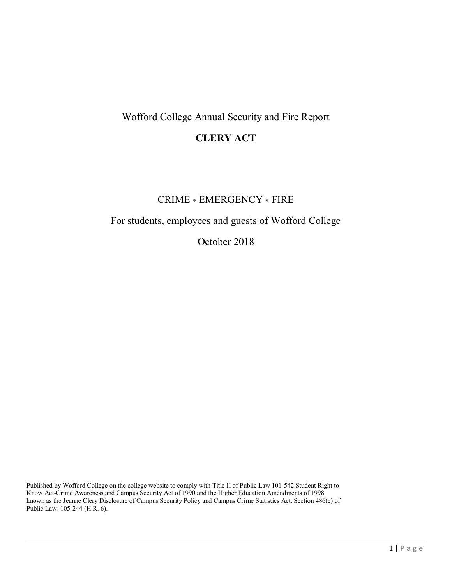# Wofford College Annual Security and Fire Report

# **CLERY ACT**

# CRIME \* EMERGENCY \* FIRE

# For students, employees and guests of Wofford College

October 2018

Published by Wofford College on the college website to comply with Title II of Public Law 101-542 Student Right to Know Act-Crime Awareness and Campus Security Act of 1990 and the Higher Education Amendments of 1998 known as the Jeanne Clery Disclosure of Campus Security Policy and Campus Crime Statistics Act, Section 486(e) of Public Law: 105-244 (H.R. 6).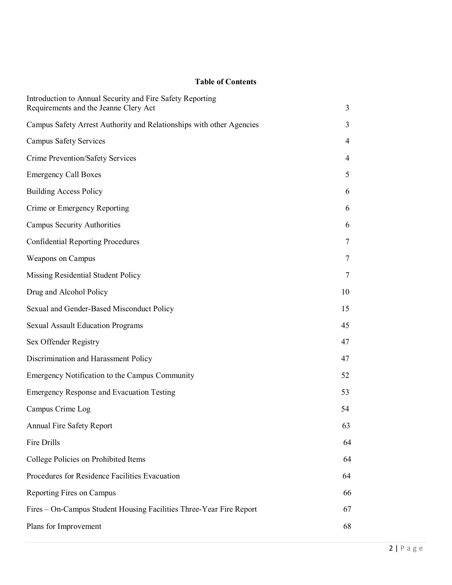## **Table of Contents**

| Introduction to Annual Security and Fire Safety Reporting<br>Requirements and the Jeanne Clery Act | 3      |
|----------------------------------------------------------------------------------------------------|--------|
|                                                                                                    | 3      |
| Campus Safety Arrest Authority and Relationships with other Agencies                               |        |
| <b>Campus Safety Services</b>                                                                      | 4      |
| Crime Prevention/Safety Services                                                                   | 4      |
| <b>Emergency Call Boxes</b>                                                                        | 5      |
| <b>Building Access Policy</b>                                                                      | 6      |
| Crime or Emergency Reporting                                                                       | 6      |
| <b>Campus Security Authorities</b>                                                                 | 6      |
| <b>Confidential Reporting Procedures</b>                                                           | $\tau$ |
| Weapons on Campus                                                                                  | 7      |
| Missing Residential Student Policy                                                                 | 7      |
| Drug and Alcohol Policy                                                                            | 10     |
| Sexual and Gender-Based Misconduct Policy                                                          | 15     |
| <b>Sexual Assault Education Programs</b>                                                           | 45     |
| Sex Offender Registry                                                                              | 47     |
| Discrimination and Harassment Policy                                                               | 47     |
| Emergency Notification to the Campus Community                                                     | 52     |
| <b>Emergency Response and Evacuation Testing</b>                                                   | 53     |
| Campus Crime Log                                                                                   | 54     |
| <b>Annual Fire Safety Report</b>                                                                   | 63     |
| Fire Drills                                                                                        | 64     |
| College Policies on Prohibited Items                                                               | 64     |
| Procedures for Residence Facilities Evacuation                                                     | 64     |
| Reporting Fires on Campus                                                                          | 66     |
| Fires - On-Campus Student Housing Facilities Three-Year Fire Report                                | 67     |
| Plans for Improvement                                                                              | 68     |
|                                                                                                    |        |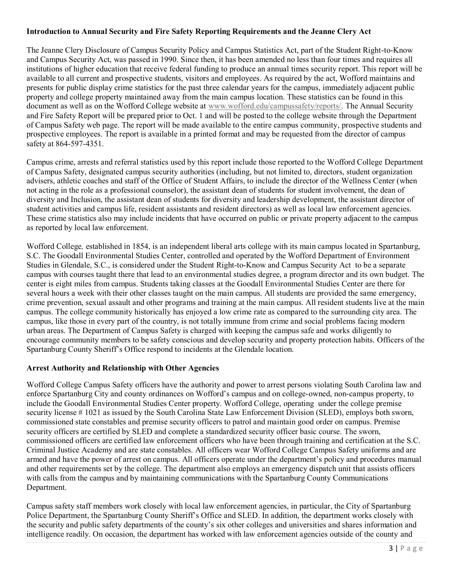## **Introduction to Annual Security and Fire Safety Reporting Requirements and the Jeanne Clery Act**

The Jeanne Clery Disclosure of Campus Security Policy and Campus Statistics Act, part of the Student Right-to-Know and Campus Security Act, was passed in 1990. Since then, it has been amended no less than four times and requires all institutions of higher education that receive federal funding to produce an annual times security report. This report will be available to all current and prospective students, visitors and employees. As required by the act, Wofford maintains and presents for public display crime statistics for the past three calendar years for the campus, immediately adjacent public property and college property maintained away from the main campus location. These statistics can be found in this document as well as on the Wofford College website at [www.wofford.edu/campussafety/reports/.](http://www.wofford.edu/campussafety/reports/) The Annual Security and Fire Safety Report will be prepared prior to Oct. 1 and will be posted to the college website through the Department of Campus Safety web page. The report will be made available to the entire campus community, prospective students and prospective employees. The report is available in a printed format and may be requested from the director of campus safety at 864-597-4351.

Campus crime, arrests and referral statistics used by this report include those reported to the Wofford College Department of Campus Safety, designated campus security authorities (including, but not limited to, directors, student organization advisers, athletic coaches and staff of the Office of Student Affairs, to include the director of the Wellness Center (when not acting in the role as a professional counselor), the assistant dean of students for student involvement, the dean of diversity and Inclusion, the assistant dean of students for diversity and leadership development, the assistant director of student activities and campus life, resident assistants and resident directors) as well as local law enforcement agencies. These crime statistics also may include incidents that have occurred on public or private property adjacent to the campus as reported by local law enforcement.

Wofford College*,* established in 1854, is an independent liberal arts college with its main campus located in Spartanburg, S.C. The Goodall Environmental Studies Center, controlled and operated by the Wofford Department of Environment Studies in Glendale, S.C., is considered under the Student Right-to-Know and Campus Security Act to be a separate campus with courses taught there that lead to an environmental studies degree, a program director and its own budget. The center is eight miles from campus. Students taking classes at the Goodall Environmental Studies Center are there for several hours a week with their other classes taught on the main campus. All students are provided the same emergency, crime prevention, sexual assault and other programs and training at the main campus. All resident students live at the main campus. The college community historically has enjoyed a low crime rate as compared to the surrounding city area. The campus, like those in every part of the country, is not totally immune from crime and social problems facing modern urban areas. The Department of Campus Safety is charged with keeping the campus safe and works diligently to encourage community members to be safety conscious and develop security and property protection habits. Officers of the Spartanburg County Sheriff's Office respond to incidents at the Glendale location.

## **Arrest Authority and Relationship with Other Agencies**

Wofford College Campus Safety officers have the authority and power to arrest persons violating South Carolina law and enforce Spartanburg City and county ordinances on Wofford's campus and on college-owned, non-campus property, to include the Goodall Environmental Studies Center property. Wofford College, operating under the college premise security license # 1021 as issued by the South Carolina State Law Enforcement Division (SLED), employs both sworn, commissioned state constables and premise security officers to patrol and maintain good order on campus. Premise security officers are certified by SLED and complete a standardized security officer basic course. The sworn, commissioned officers are certified law enforcement officers who have been through training and certification at the S.C. Criminal Justice Academy and are state constables. All officers wear Wofford College Campus Safety uniforms and are armed and have the power of arrest on campus. All officers operate under the department's policy and procedures manual and other requirements set by the college. The department also employs an emergency dispatch unit that assists officers with calls from the campus and by maintaining communications with the Spartanburg County Communications Department.

Campus safety staff members work closely with local law enforcement agencies, in particular, the City of Spartanburg Police Department, the Spartanburg County Sheriff's Office and SLED. In addition, the department works closely with the security and public safety departments of the county's six other colleges and universities and shares information and intelligence readily. On occasion, the department has worked with law enforcement agencies outside of the county and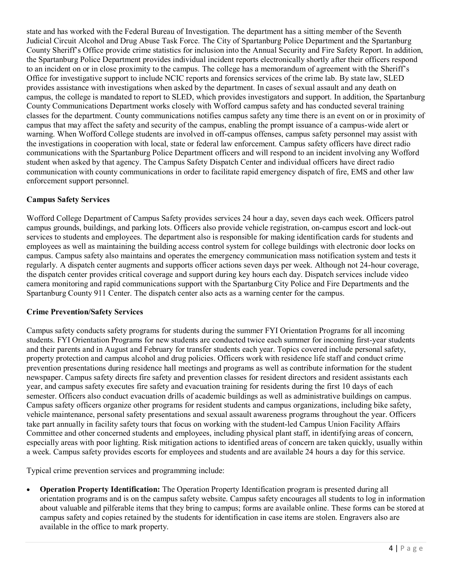state and has worked with the Federal Bureau of Investigation. The department has a sitting member of the Seventh Judicial Circuit Alcohol and Drug Abuse Task Force. The City of Spartanburg Police Department and the Spartanburg County Sheriff's Office provide crime statistics for inclusion into the Annual Security and Fire Safety Report. In addition, the Spartanburg Police Department provides individual incident reports electronically shortly after their officers respond to an incident on or in close proximity to the campus. The college has a memorandum of agreement with the Sheriff's Office for investigative support to include NCIC reports and forensics services of the crime lab. By state law, SLED provides assistance with investigations when asked by the department. In cases of sexual assault and any death on campus, the college is mandated to report to SLED, which provides investigators and support. In addition, the Spartanburg County Communications Department works closely with Wofford campus safety and has conducted several training classes for the department. County communications notifies campus safety any time there is an event on or in proximity of campus that may affect the safety and security of the campus, enabling the prompt issuance of a campus-wide alert or warning. When Wofford College students are involved in off-campus offenses, campus safety personnel may assist with the investigations in cooperation with local, state or federal law enforcement. Campus safety officers have direct radio communications with the Spartanburg Police Department officers and will respond to an incident involving any Wofford student when asked by that agency. The Campus Safety Dispatch Center and individual officers have direct radio communication with county communications in order to facilitate rapid emergency dispatch of fire, EMS and other law enforcement support personnel.

## **Campus Safety Services**

Wofford College Department of Campus Safety provides services 24 hour a day, seven days each week. Officers patrol campus grounds, buildings, and parking lots. Officers also provide vehicle registration, on-campus escort and lock-out services to students and employees. The department also is responsible for making identification cards for students and employees as well as maintaining the building access control system for college buildings with electronic door locks on campus. Campus safety also maintains and operates the emergency communication mass notification system and tests it regularly. A dispatch center augments and supports officer actions seven days per week. Although not 24-hour coverage, the dispatch center provides critical coverage and support during key hours each day. Dispatch services include video camera monitoring and rapid communications support with the Spartanburg City Police and Fire Departments and the Spartanburg County 911 Center. The dispatch center also acts as a warning center for the campus.

## **Crime Prevention/Safety Services**

Campus safety conducts safety programs for students during the summer FYI Orientation Programs for all incoming students. FYI Orientation Programs for new students are conducted twice each summer for incoming first-year students and their parents and in August and February for transfer students each year. Topics covered include personal safety, property protection and campus alcohol and drug policies. Officers work with residence life staff and conduct crime prevention presentations during residence hall meetings and programs as well as contribute information for the student newspaper. Campus safety directs fire safety and prevention classes for resident directors and resident assistants each year, and campus safety executes fire safety and evacuation training for residents during the first 10 days of each semester. Officers also conduct evacuation drills of academic buildings as well as administrative buildings on campus. Campus safety officers organize other programs for resident students and campus organizations, including bike safety, vehicle maintenance, personal safety presentations and sexual assault awareness programs throughout the year. Officers take part annually in facility safety tours that focus on working with the student-led Campus Union Facility Affairs Committee and other concerned students and employees, including physical plant staff, in identifying areas of concern, especially areas with poor lighting. Risk mitigation actions to identified areas of concern are taken quickly, usually within a week. Campus safety provides escorts for employees and students and are available 24 hours a day for this service.

Typical crime prevention services and programming include:

• **Operation Property Identification:** The Operation Property Identification program is presented during all orientation programs and is on the campus safety website. Campus safety encourages all students to log in information about valuable and pilferable items that they bring to campus; forms are available online. These forms can be stored at campus safety and copies retained by the students for identification in case items are stolen. Engravers also are available in the office to mark property.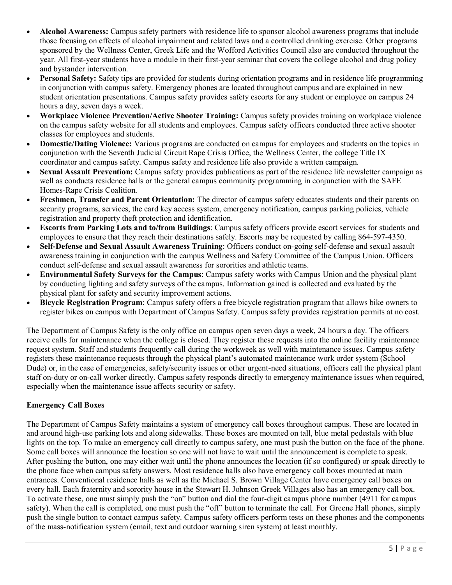- **Alcohol Awareness:** Campus safety partners with residence life to sponsor alcohol awareness programs that include those focusing on effects of alcohol impairment and related laws and a controlled drinking exercise. Other programs sponsored by the Wellness Center, Greek Life and the Wofford Activities Council also are conducted throughout the year. All first-year students have a module in their first-year seminar that covers the college alcohol and drug policy and bystander intervention.
- **Personal Safety:** Safety tips are provided for students during orientation programs and in residence life programming in conjunction with campus safety. Emergency phones are located throughout campus and are explained in new student orientation presentations. Campus safety provides safety escorts for any student or employee on campus 24 hours a day, seven days a week.
- **Workplace Violence Prevention/Active Shooter Training:** Campus safety provides training on workplace violence on the campus safety website for all students and employees. Campus safety officers conducted three active shooter classes for employees and students.
- **Domestic/Dating Violence:** Various programs are conducted on campus for employees and students on the topics in conjunction with the Seventh Judicial Circuit Rape Crisis Office, the Wellness Center, the college Title IX coordinator and campus safety. Campus safety and residence life also provide a written campaign.
- **Sexual Assault Prevention:** Campus safety provides publications as part of the residence life newsletter campaign as well as conducts residence halls or the general campus community programming in conjunction with the SAFE Homes-Rape Crisis Coalition.
- **Freshmen, Transfer and Parent Orientation:** The director of campus safety educates students and their parents on security programs, services, the card key access system, emergency notification, campus parking policies, vehicle registration and property theft protection and identification.
- **Escorts from Parking Lots and to/from Buildings**: Campus safety officers provide escort services for students and employees to ensure that they reach their destinations safely. Escorts may be requested by calling 864-597-4350.
- **Self-Defense and Sexual Assault Awareness Training**: Officers conduct on-going self-defense and sexual assault awareness training in conjunction with the campus Wellness and Safety Committee of the Campus Union. Officers conduct self-defense and sexual assault awareness for sororities and athletic teams.
- **Environmental Safety Surveys for the Campus**: Campus safety works with Campus Union and the physical plant by conducting lighting and safety surveys of the campus. Information gained is collected and evaluated by the physical plant for safety and security improvement actions.
- **Bicycle Registration Program**: Campus safety offers a free bicycle registration program that allows bike owners to register bikes on campus with Department of Campus Safety. Campus safety provides registration permits at no cost.

The Department of Campus Safety is the only office on campus open seven days a week, 24 hours a day. The officers receive calls for maintenance when the college is closed. They register these requests into the online facility maintenance request system. Staff and students frequently call during the workweek as well with maintenance issues. Campus safety registers these maintenance requests through the physical plant's automated maintenance work order system (School Dude) or, in the case of emergencies, safety/security issues or other urgent-need situations, officers call the physical plant staff on-duty or on-call worker directly. Campus safety responds directly to emergency maintenance issues when required, especially when the maintenance issue affects security or safety.

## **Emergency Call Boxes**

The Department of Campus Safety maintains a system of emergency call boxes throughout campus. These are located in and around high-use parking lots and along sidewalks. These boxes are mounted on tall, blue metal pedestals with blue lights on the top. To make an emergency call directly to campus safety, one must push the button on the face of the phone. Some call boxes will announce the location so one will not have to wait until the announcement is complete to speak. After pushing the button, one may either wait until the phone announces the location (if so configured) or speak directly to the phone face when campus safety answers. Most residence halls also have emergency call boxes mounted at main entrances. Conventional residence halls as well as the Michael S. Brown Village Center have emergency call boxes on every hall. Each fraternity and sorority house in the Stewart H. Johnson Greek Villages also has an emergency call box. To activate these, one must simply push the "on" button and dial the four-digit campus phone number (4911 for campus safety). When the call is completed, one must push the "off" button to terminate the call. For Greene Hall phones, simply push the single button to contact campus safety. Campus safety officers perform tests on these phones and the components of the mass-notification system (email, text and outdoor warning siren system) at least monthly.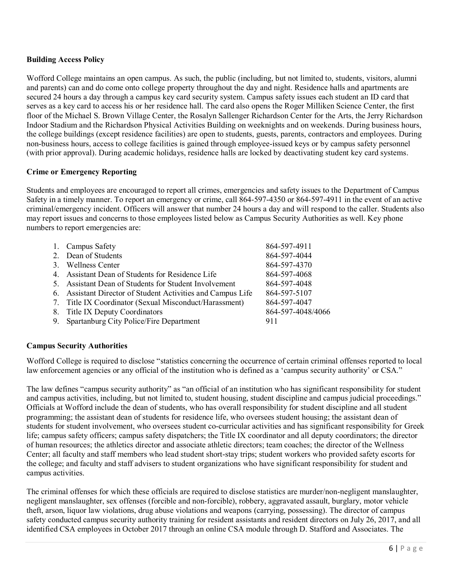## **Building Access Policy**

Wofford College maintains an open campus. As such, the public (including, but not limited to, students, visitors, alumni and parents) can and do come onto college property throughout the day and night. Residence halls and apartments are secured 24 hours a day through a campus key card security system. Campus safety issues each student an ID card that serves as a key card to access his or her residence hall. The card also opens the Roger Milliken Science Center, the first floor of the Michael S. Brown Village Center, the Rosalyn Sallenger Richardson Center for the Arts, the Jerry Richardson Indoor Stadium and the Richardson Physical Activities Building on weeknights and on weekends. During business hours, the college buildings (except residence facilities) are open to students, guests, parents, contractors and employees. During non-business hours, access to college facilities is gained through employee-issued keys or by campus safety personnel (with prior approval). During academic holidays, residence halls are locked by deactivating student key card systems.

## **Crime or Emergency Reporting**

Students and employees are encouraged to report all crimes, emergencies and safety issues to the Department of Campus Safety in a timely manner. To report an emergency or crime, call 864-597-4350 or 864-597-4911 in the event of an active criminal/emergency incident. Officers will answer that number 24 hours a day and will respond to the caller. Students also may report issues and concerns to those employees listed below as Campus Security Authorities as well. Key phone numbers to report emergencies are:

| 864-597-4911                                                                                                                                                                                                                                                                                                                                                                         |
|--------------------------------------------------------------------------------------------------------------------------------------------------------------------------------------------------------------------------------------------------------------------------------------------------------------------------------------------------------------------------------------|
| 864-597-4044                                                                                                                                                                                                                                                                                                                                                                         |
| 864-597-4370                                                                                                                                                                                                                                                                                                                                                                         |
| 864-597-4068                                                                                                                                                                                                                                                                                                                                                                         |
| 864-597-4048                                                                                                                                                                                                                                                                                                                                                                         |
| 864-597-5107                                                                                                                                                                                                                                                                                                                                                                         |
| 864-597-4047                                                                                                                                                                                                                                                                                                                                                                         |
| 864-597-4048/4066                                                                                                                                                                                                                                                                                                                                                                    |
| 911                                                                                                                                                                                                                                                                                                                                                                                  |
| 1. Campus Safety<br>2. Dean of Students<br>3. Wellness Center<br>4. Assistant Dean of Students for Residence Life<br>5. Assistant Dean of Students for Student Involvement<br>6. Assistant Director of Student Activities and Campus Life<br>7. Title IX Coordinator (Sexual Misconduct/Harassment)<br>8. Title IX Deputy Coordinators<br>9. Spartanburg City Police/Fire Department |

## **Campus Security Authorities**

Wofford College is required to disclose "statistics concerning the occurrence of certain criminal offenses reported to local law enforcement agencies or any official of the institution who is defined as a 'campus security authority' or CSA."

The law defines "campus security authority" as "an official of an institution who has significant responsibility for student and campus activities, including, but not limited to, student housing, student discipline and campus judicial proceedings." Officials at Wofford include the dean of students, who has overall responsibility for student discipline and all student programming; the assistant dean of students for residence life, who oversees student housing; the assistant dean of students for student involvement, who oversees student co-curricular activities and has significant responsibility for Greek life; campus safety officers; campus safety dispatchers; the Title IX coordinator and all deputy coordinators; the director of human resources; the athletics director and associate athletic directors; team coaches; the director of the Wellness Center; all faculty and staff members who lead student short-stay trips; student workers who provided safety escorts for the college; and faculty and staff advisers to student organizations who have significant responsibility for student and campus activities.

The criminal offenses for which these officials are required to disclose statistics are murder/non-negligent manslaughter, negligent manslaughter, sex offenses (forcible and non-forcible), robbery, aggravated assault, burglary, motor vehicle theft, arson, liquor law violations, drug abuse violations and weapons (carrying, possessing). The director of campus safety conducted campus security authority training for resident assistants and resident directors on July 26, 2017, and all identified CSA employees in October 2017 through an online CSA module through D. Stafford and Associates. The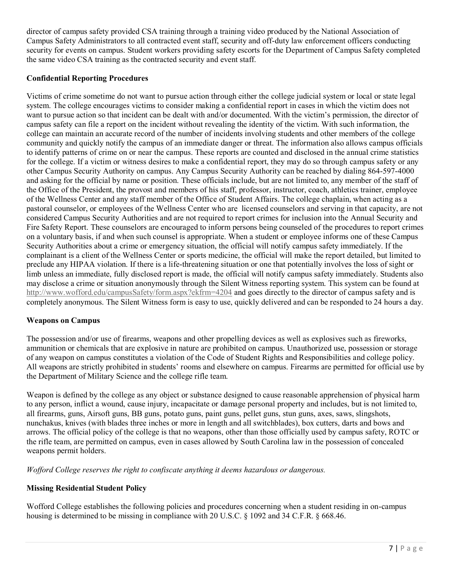director of campus safety provided CSA training through a training video produced by the National Association of Campus Safety Administrators to all contracted event staff, security and off-duty law enforcement officers conducting security for events on campus. Student workers providing safety escorts for the Department of Campus Safety completed the same video CSA training as the contracted security and event staff.

## **Confidential Reporting Procedures**

Victims of crime sometime do not want to pursue action through either the college judicial system or local or state legal system. The college encourages victims to consider making a confidential report in cases in which the victim does not want to pursue action so that incident can be dealt with and/or documented. With the victim's permission, the director of campus safety can file a report on the incident without revealing the identity of the victim. With such information, the college can maintain an accurate record of the number of incidents involving students and other members of the college community and quickly notify the campus of an immediate danger or threat. The information also allows campus officials to identify patterns of crime on or near the campus. These reports are counted and disclosed in the annual crime statistics for the college. If a victim or witness desires to make a confidential report, they may do so through campus safety or any other Campus Security Authority on campus. Any Campus Security Authority can be reached by dialing 864-597-4000 and asking for the official by name or position. These officials include, but are not limited to, any member of the staff of the Office of the President, the provost and members of his staff, professor, instructor, coach, athletics trainer, employee of the Wellness Center and any staff member of the Office of Student Affairs. The college chaplain, when acting as a pastoral counselor, or employees of the Wellness Center who are licensed counselors and serving in that capacity, are not considered Campus Security Authorities and are not required to report crimes for inclusion into the Annual Security and Fire Safety Report. These counselors are encouraged to inform persons being counseled of the procedures to report crimes on a voluntary basis, if and when such counsel is appropriate. When a student or employee informs one of these Campus Security Authorities about a crime or emergency situation, the official will notify campus safety immediately. If the complainant is a client of the Wellness Center or sports medicine, the official will make the report detailed, but limited to preclude any HIPAA violation. If there is a life-threatening situation or one that potentially involves the loss of sight or limb unless an immediate, fully disclosed report is made, the official will notify campus safety immediately. Students also may disclose a crime or situation anonymously through the Silent Witness reporting system. This system can be found at <http://www.wofford.edu/campusSafety/form.aspx?ekfrm=4204> and goes directly to the director of campus safety and is completely anonymous. The Silent Witness form is easy to use, quickly delivered and can be responded to 24 hours a day.

#### **Weapons on Campus**

The possession and/or use of firearms, weapons and other propelling devices as well as explosives such as fireworks, ammunition or chemicals that are explosive in nature are prohibited on campus. Unauthorized use, possession or storage of any weapon on campus constitutes a violation of the Code of Student Rights and Responsibilities and college policy. All weapons are strictly prohibited in students' rooms and elsewhere on campus. Firearms are permitted for official use by the Department of Military Science and the college rifle team.

Weapon is defined by the college as any object or substance designed to cause reasonable apprehension of physical harm to any person, inflict a wound, cause injury, incapacitate or damage personal property and includes, but is not limited to, all firearms, guns, Airsoft guns, BB guns, potato guns, paint guns, pellet guns, stun guns, axes, saws, slingshots, nunchakus, knives (with blades three inches or more in length and all switchblades), box cutters, darts and bows and arrows. The official policy of the college is that no weapons, other than those officially used by campus safety, ROTC or the rifle team, are permitted on campus, even in cases allowed by South Carolina law in the possession of concealed weapons permit holders.

*Wofford College reserves the right to confiscate anything it deems hazardous or dangerous.* 

## **Missing Residential Student Policy**

Wofford College establishes the following policies and procedures concerning when a student residing in on-campus housing is determined to be missing in compliance with 20 U.S.C. § 1092 and 34 C.F.R. § 668.46.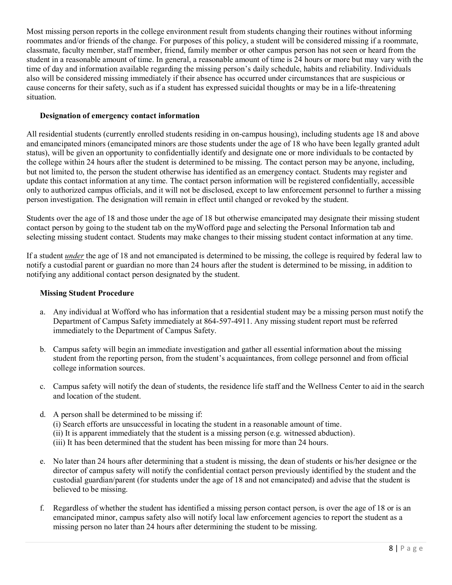Most missing person reports in the college environment result from students changing their routines without informing roommates and/or friends of the change. For purposes of this policy, a student will be considered missing if a roommate, classmate, faculty member, staff member, friend, family member or other campus person has not seen or heard from the student in a reasonable amount of time. In general, a reasonable amount of time is 24 hours or more but may vary with the time of day and information available regarding the missing person's daily schedule, habits and reliability. Individuals also will be considered missing immediately if their absence has occurred under circumstances that are suspicious or cause concerns for their safety, such as if a student has expressed suicidal thoughts or may be in a life-threatening situation.

## **Designation of emergency contact information**

All residential students (currently enrolled students residing in on-campus housing), including students age 18 and above and emancipated minors (emancipated minors are those students under the age of 18 who have been legally granted adult status), will be given an opportunity to confidentially identify and designate one or more individuals to be contacted by the college within 24 hours after the student is determined to be missing. The contact person may be anyone, including, but not limited to, the person the student otherwise has identified as an emergency contact. Students may register and update this contact information at any time. The contact person information will be registered confidentially, accessible only to authorized campus officials, and it will not be disclosed, except to law enforcement personnel to further a missing person investigation. The designation will remain in effect until changed or revoked by the student.

Students over the age of 18 and those under the age of 18 but otherwise emancipated may designate their missing student contact person by going to the student tab on the myWofford page and selecting the Personal Information tab and selecting missing student contact. Students may make changes to their missing student contact information at any time.

If a student *under* the age of 18 and not emancipated is determined to be missing, the college is required by federal law to notify a custodial parent or guardian no more than 24 hours after the student is determined to be missing, in addition to notifying any additional contact person designated by the student.

#### **Missing Student Procedure**

- a. Any individual at Wofford who has information that a residential student may be a missing person must notify the Department of Campus Safety immediately at 864-597-4911. Any missing student report must be referred immediately to the Department of Campus Safety.
- b. Campus safety will begin an immediate investigation and gather all essential information about the missing student from the reporting person, from the student's acquaintances, from college personnel and from official college information sources.
- c. Campus safety will notify the dean of students, the residence life staff and the Wellness Center to aid in the search and location of the student.
- d. A person shall be determined to be missing if: (i) Search efforts are unsuccessful in locating the student in a reasonable amount of time. (ii) It is apparent immediately that the student is a missing person (e.g. witnessed abduction). (iii) It has been determined that the student has been missing for more than 24 hours.
- e. No later than 24 hours after determining that a student is missing, the dean of students or his/her designee or the director of campus safety will notify the confidential contact person previously identified by the student and the custodial guardian/parent (for students under the age of 18 and not emancipated) and advise that the student is believed to be missing.
- f. Regardless of whether the student has identified a missing person contact person, is over the age of 18 or is an emancipated minor, campus safety also will notify local law enforcement agencies to report the student as a missing person no later than 24 hours after determining the student to be missing.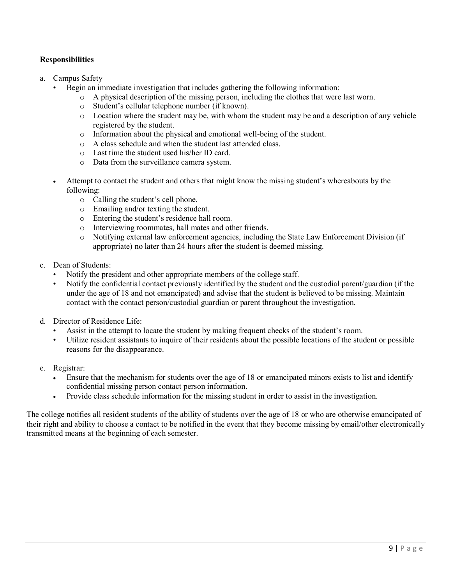## **Responsibilities**

- a. Campus Safety
	- Begin an immediate investigation that includes gathering the following information:
		- $\circ$  A physical description of the missing person, including the clothes that were last worn.
		- o Student's cellular telephone number (if known).
		- $\circ$  Location where the student may be, with whom the student may be and a description of any vehicle registered by the student.
		- o Information about the physical and emotional well-being of the student.
		- o A class schedule and when the student last attended class.
		- o Last time the student used his/her ID card.
		- o Data from the surveillance camera system.
	- Attempt to contact the student and others that might know the missing student's whereabouts by the following:
		- o Calling the student's cell phone.
		- o Emailing and/or texting the student.
		- o Entering the student's residence hall room.
		- o Interviewing roommates, hall mates and other friends.
		- o Notifying external law enforcement agencies, including the State Law Enforcement Division (if appropriate) no later than 24 hours after the student is deemed missing.
- c. Dean of Students:
	- Notify the president and other appropriate members of the college staff.
	- Notify the confidential contact previously identified by the student and the custodial parent/guardian (if the under the age of 18 and not emancipated) and advise that the student is believed to be missing. Maintain contact with the contact person/custodial guardian or parent throughout the investigation.
- d. Director of Residence Life:
	- Assist in the attempt to locate the student by making frequent checks of the student's room.
	- Utilize resident assistants to inquire of their residents about the possible locations of the student or possible reasons for the disappearance.
- e. Registrar:
	- Ensure that the mechanism for students over the age of 18 or emancipated minors exists to list and identify confidential missing person contact person information.
	- Provide class schedule information for the missing student in order to assist in the investigation.

The college notifies all resident students of the ability of students over the age of 18 or who are otherwise emancipated of their right and ability to choose a contact to be notified in the event that they become missing by email/other electronically transmitted means at the beginning of each semester.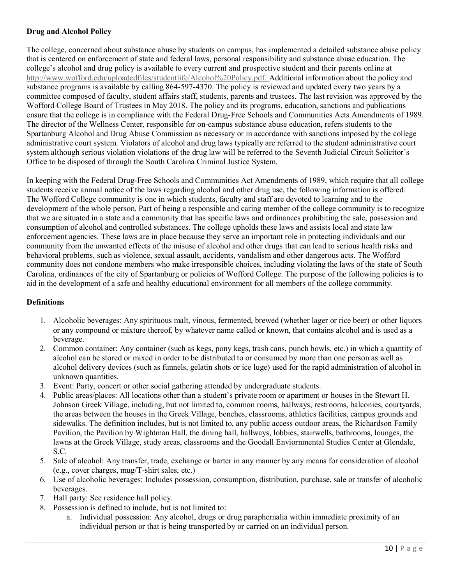## **Drug and Alcohol Policy**

The college, concerned about substance abuse by students on campus, has implemented a detailed substance abuse policy that is centered on enforcement of state and federal laws, personal responsibility and substance abuse education. The college's alcohol and drug policy is available to every current and prospective student and their parents online at [http://www.wofford.edu/uploadedfiles/studentlife/Alcohol%20Policy.pdf.](http://www.wofford.edu/uploadedfiles/studentlife/Alcohol%20Policy.pdf) Additional information about the policy and substance programs is available by calling 864-597-4370. The policy is reviewed and updated every two years by a committee composed of faculty, student affairs staff, students, parents and trustees. The last revision was approved by the Wofford College Board of Trustees in May 2018. The policy and its programs, education, sanctions and publications ensure that the college is in compliance with the Federal Drug-Free Schools and Communities Acts Amendments of 1989. The director of the Wellness Center, responsible for on-campus substance abuse education, refers students to the Spartanburg Alcohol and Drug Abuse Commission as necessary or in accordance with sanctions imposed by the college administrative court system. Violators of alcohol and drug laws typically are referred to the student administrative court system although serious violation violations of the drug law will be referred to the Seventh Judicial Circuit Solicitor's Office to be disposed of through the South Carolina Criminal Justice System.

In keeping with the Federal Drug-Free Schools and Communities Act Amendments of 1989, which require that all college students receive annual notice of the laws regarding alcohol and other drug use, the following information is offered: The Wofford College community is one in which students, faculty and staff are devoted to learning and to the development of the whole person. Part of being a responsible and caring member of the college community is to recognize that we are situated in a state and a community that has specific laws and ordinances prohibiting the sale, possession and consumption of alcohol and controlled substances. The college upholds these laws and assists local and state law enforcement agencies. These laws are in place because they serve an important role in protecting individuals and our community from the unwanted effects of the misuse of alcohol and other drugs that can lead to serious health risks and behavioral problems, such as violence, sexual assault, accidents, vandalism and other dangerous acts. The Wofford community does not condone members who make irresponsible choices, including violating the laws of the state of South Carolina, ordinances of the city of Spartanburg or policies of Wofford College. The purpose of the following policies is to aid in the development of a safe and healthy educational environment for all members of the college community.

## **Definitions**

- 1. Alcoholic beverages: Any spirituous malt, vinous, fermented, brewed (whether lager or rice beer) or other liquors or any compound or mixture thereof, by whatever name called or known, that contains alcohol and is used as a beverage.
- 2. Common container: Any container (such as kegs, pony kegs, trash cans, punch bowls, etc.) in which a quantity of alcohol can be stored or mixed in order to be distributed to or consumed by more than one person as well as alcohol delivery devices (such as funnels, gelatin shots or ice luge) used for the rapid administration of alcohol in unknown quantities.
- 3. Event: Party, concert or other social gathering attended by undergraduate students.
- 4. Public areas/places: All locations other than a student's private room or apartment or houses in the Stewart H. Johnson Greek Village, including, but not limited to, common rooms, hallways, restrooms, balconies, courtyards, the areas between the houses in the Greek Village, benches, classrooms, athletics facilities, campus grounds and sidewalks. The definition includes, but is not limited to, any public access outdoor areas, the Richardson Family Pavilion, the Pavilion by Wightman Hall, the dining hall, hallways, lobbies, stairwells, bathrooms, lounges, the lawns at the Greek Village, study areas, classrooms and the Goodall Enviornmental Studies Center at Glendale, S.C.
- 5. Sale of alcohol: Any transfer, trade, exchange or barter in any manner by any means for consideration of alcohol (e.g., cover charges, mug/T-shirt sales, etc.)
- 6. Use of alcoholic beverages: Includes possession, consumption, distribution, purchase, sale or transfer of alcoholic beverages.
- 7. Hall party: See residence hall policy.
- 8. Possession is defined to include, but is not limited to:
	- a. Individual possession: Any alcohol, drugs or drug paraphernalia within immediate proximity of an individual person or that is being transported by or carried on an individual person.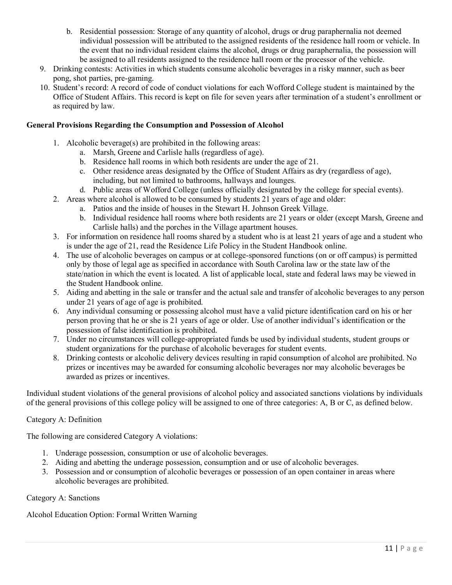- b. Residential possession: Storage of any quantity of alcohol, drugs or drug paraphernalia not deemed individual possession will be attributed to the assigned residents of the residence hall room or vehicle. In the event that no individual resident claims the alcohol, drugs or drug paraphernalia, the possession will be assigned to all residents assigned to the residence hall room or the processor of the vehicle.
- 9. Drinking contests: Activities in which students consume alcoholic beverages in a risky manner, such as beer pong, shot parties, pre-gaming.
- 10. Student's record: A record of code of conduct violations for each Wofford College student is maintained by the Office of Student Affairs. This record is kept on file for seven years after termination of a student's enrollment or as required by law.

#### **General Provisions Regarding the Consumption and Possession of Alcohol**

- 1. Alcoholic beverage(s) are prohibited in the following areas:
	- a. Marsh, Greene and Carlisle halls (regardless of age).
	- b. Residence hall rooms in which both residents are under the age of 21.
	- c. Other residence areas designated by the Office of Student Affairs as dry (regardless of age), including, but not limited to bathrooms, hallways and lounges.
	- d. Public areas of Wofford College (unless officially designated by the college for special events).
- 2. Areas where alcohol is allowed to be consumed by students 21 years of age and older:
	- a. Patios and the inside of houses in the Stewart H. Johnson Greek Village.
	- b. Individual residence hall rooms where both residents are 21 years or older (except Marsh, Greene and Carlisle halls) and the porches in the Village apartment houses.
- 3. For information on residence hall rooms shared by a student who is at least 21 years of age and a student who is under the age of 21, read the Residence Life Policy in the Student Handbook online.
- 4. The use of alcoholic beverages on campus or at college-sponsored functions (on or off campus) is permitted only by those of legal age as specified in accordance with South Carolina law or the state law of the state/nation in which the event is located. A list of applicable local, state and federal laws may be viewed in the Student Handbook online.
- 5. Aiding and abetting in the sale or transfer and the actual sale and transfer of alcoholic beverages to any person under 21 years of age of age is prohibited.
- 6. Any individual consuming or possessing alcohol must have a valid picture identification card on his or her person proving that he or she is 21 years of age or older. Use of another individual's identification or the possession of false identification is prohibited.
- 7. Under no circumstances will college-appropriated funds be used by individual students, student groups or student organizations for the purchase of alcoholic beverages for student events.
- 8. Drinking contests or alcoholic delivery devices resulting in rapid consumption of alcohol are prohibited. No prizes or incentives may be awarded for consuming alcoholic beverages nor may alcoholic beverages be awarded as prizes or incentives.

Individual student violations of the general provisions of alcohol policy and associated sanctions violations by individuals of the general provisions of this college policy will be assigned to one of three categories: A, B or C, as defined below.

## Category A: Definition

The following are considered Category A violations:

- 1. Underage possession, consumption or use of alcoholic beverages.
- 2. Aiding and abetting the underage possession, consumption and or use of alcoholic beverages.
- 3. Possession and or consumption of alcoholic beverages or possession of an open container in areas where alcoholic beverages are prohibited.

Category A: Sanctions

Alcohol Education Option: Formal Written Warning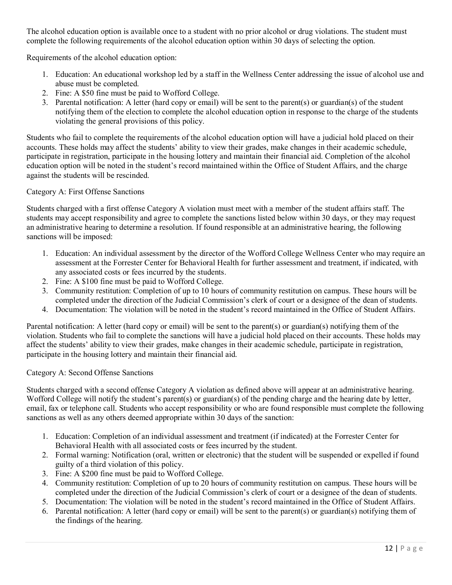The alcohol education option is available once to a student with no prior alcohol or drug violations. The student must complete the following requirements of the alcohol education option within 30 days of selecting the option.

Requirements of the alcohol education option:

- 1. Education: An educational workshop led by a staff in the Wellness Center addressing the issue of alcohol use and abuse must be completed.
- 2. Fine: A \$50 fine must be paid to Wofford College.
- 3. Parental notification: A letter (hard copy or email) will be sent to the parent(s) or guardian(s) of the student notifying them of the election to complete the alcohol education option in response to the charge of the students violating the general provisions of this policy.

Students who fail to complete the requirements of the alcohol education option will have a judicial hold placed on their accounts. These holds may affect the students' ability to view their grades, make changes in their academic schedule, participate in registration, participate in the housing lottery and maintain their financial aid. Completion of the alcohol education option will be noted in the student's record maintained within the Office of Student Affairs, and the charge against the students will be rescinded.

## Category A: First Offense Sanctions

Students charged with a first offense Category A violation must meet with a member of the student affairs staff. The students may accept responsibility and agree to complete the sanctions listed below within 30 days, or they may request an administrative hearing to determine a resolution. If found responsible at an administrative hearing, the following sanctions will be imposed:

- 1. Education: An individual assessment by the director of the Wofford College Wellness Center who may require an assessment at the Forrester Center for Behavioral Health for further assessment and treatment, if indicated, with any associated costs or fees incurred by the students.
- 2. Fine: A \$100 fine must be paid to Wofford College.
- 3. Community restitution: Completion of up to 10 hours of community restitution on campus. These hours will be completed under the direction of the Judicial Commission's clerk of court or a designee of the dean of students.
- 4. Documentation: The violation will be noted in the student's record maintained in the Office of Student Affairs.

Parental notification: A letter (hard copy or email) will be sent to the parent(s) or guardian(s) notifying them of the violation. Students who fail to complete the sanctions will have a judicial hold placed on their accounts. These holds may affect the students' ability to view their grades, make changes in their academic schedule, participate in registration, participate in the housing lottery and maintain their financial aid.

## Category A: Second Offense Sanctions

Students charged with a second offense Category A violation as defined above will appear at an administrative hearing. Wofford College will notify the student's parent(s) or guardian(s) of the pending charge and the hearing date by letter, email, fax or telephone call. Students who accept responsibility or who are found responsible must complete the following sanctions as well as any others deemed appropriate within 30 days of the sanction:

- 1. Education: Completion of an individual assessment and treatment (if indicated) at the Forrester Center for Behavioral Health with all associated costs or fees incurred by the student.
- 2. Formal warning: Notification (oral, written or electronic) that the student will be suspended or expelled if found guilty of a third violation of this policy.
- 3. Fine: A \$200 fine must be paid to Wofford College.
- 4. Community restitution: Completion of up to 20 hours of community restitution on campus. These hours will be completed under the direction of the Judicial Commission's clerk of court or a designee of the dean of students.
- 5. Documentation: The violation will be noted in the student's record maintained in the Office of Student Affairs.
- 6. Parental notification: A letter (hard copy or email) will be sent to the parent(s) or guardian(s) notifying them of the findings of the hearing.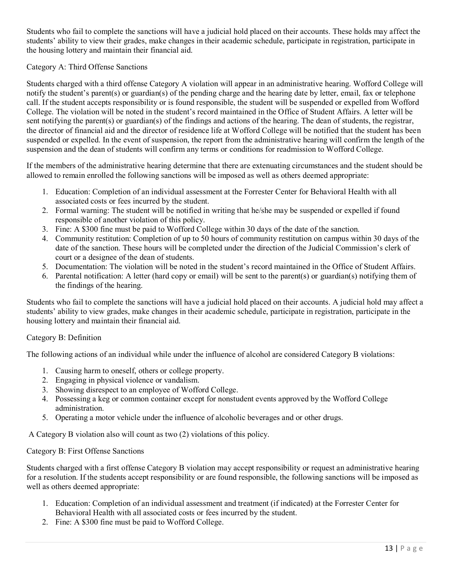Students who fail to complete the sanctions will have a judicial hold placed on their accounts. These holds may affect the students' ability to view their grades, make changes in their academic schedule, participate in registration, participate in the housing lottery and maintain their financial aid.

## Category A: Third Offense Sanctions

Students charged with a third offense Category A violation will appear in an administrative hearing. Wofford College will notify the student's parent(s) or guardian(s) of the pending charge and the hearing date by letter, email, fax or telephone call. If the student accepts responsibility or is found responsible, the student will be suspended or expelled from Wofford College. The violation will be noted in the student's record maintained in the Office of Student Affairs. A letter will be sent notifying the parent(s) or guardian(s) of the findings and actions of the hearing. The dean of students, the registrar, the director of financial aid and the director of residence life at Wofford College will be notified that the student has been suspended or expelled. In the event of suspension, the report from the administrative hearing will confirm the length of the suspension and the dean of students will confirm any terms or conditions for readmission to Wofford College.

If the members of the administrative hearing determine that there are extenuating circumstances and the student should be allowed to remain enrolled the following sanctions will be imposed as well as others deemed appropriate:

- 1. Education: Completion of an individual assessment at the Forrester Center for Behavioral Health with all associated costs or fees incurred by the student.
- 2. Formal warning: The student will be notified in writing that he/she may be suspended or expelled if found responsible of another violation of this policy.
- 3. Fine: A \$300 fine must be paid to Wofford College within 30 days of the date of the sanction.
- 4. Community restitution: Completion of up to 50 hours of community restitution on campus within 30 days of the date of the sanction. These hours will be completed under the direction of the Judicial Commission's clerk of court or a designee of the dean of students.
- 5. Documentation: The violation will be noted in the student's record maintained in the Office of Student Affairs.
- 6. Parental notification: A letter (hard copy or email) will be sent to the parent(s) or guardian(s) notifying them of the findings of the hearing.

Students who fail to complete the sanctions will have a judicial hold placed on their accounts. A judicial hold may affect a students' ability to view grades, make changes in their academic schedule, participate in registration, participate in the housing lottery and maintain their financial aid.

#### Category B: Definition

The following actions of an individual while under the influence of alcohol are considered Category B violations:

- 1. Causing harm to oneself, others or college property.
- 2. Engaging in physical violence or vandalism.
- 3. Showing disrespect to an employee of Wofford College.
- 4. Possessing a keg or common container except for nonstudent events approved by the Wofford College administration.
- 5. Operating a motor vehicle under the influence of alcoholic beverages and or other drugs.

A Category B violation also will count as two (2) violations of this policy.

#### Category B: First Offense Sanctions

Students charged with a first offense Category B violation may accept responsibility or request an administrative hearing for a resolution. If the students accept responsibility or are found responsible, the following sanctions will be imposed as well as others deemed appropriate:

- 1. Education: Completion of an individual assessment and treatment (if indicated) at the Forrester Center for Behavioral Health with all associated costs or fees incurred by the student.
- 2. Fine: A \$300 fine must be paid to Wofford College.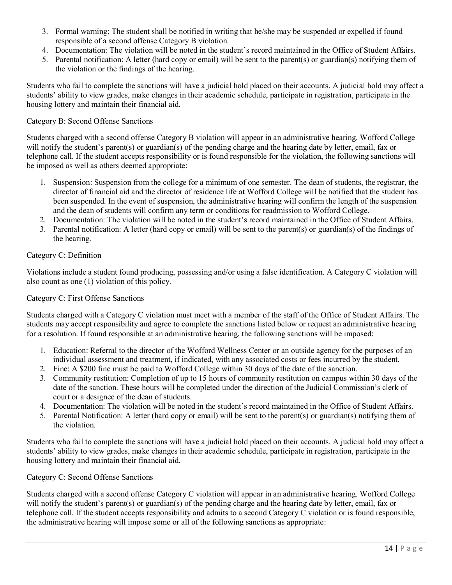- 3. Formal warning: The student shall be notified in writing that he/she may be suspended or expelled if found responsible of a second offense Category B violation.
- 4. Documentation: The violation will be noted in the student's record maintained in the Office of Student Affairs.
- 5. Parental notification: A letter (hard copy or email) will be sent to the parent(s) or guardian(s) notifying them of the violation or the findings of the hearing.

Students who fail to complete the sanctions will have a judicial hold placed on their accounts. A judicial hold may affect a students' ability to view grades, make changes in their academic schedule, participate in registration, participate in the housing lottery and maintain their financial aid.

## Category B: Second Offense Sanctions

Students charged with a second offense Category B violation will appear in an administrative hearing. Wofford College will notify the student's parent(s) or guardian(s) of the pending charge and the hearing date by letter, email, fax or telephone call. If the student accepts responsibility or is found responsible for the violation, the following sanctions will be imposed as well as others deemed appropriate:

- 1. Suspension: Suspension from the college for a minimum of one semester. The dean of students, the registrar, the director of financial aid and the director of residence life at Wofford College will be notified that the student has been suspended. In the event of suspension, the administrative hearing will confirm the length of the suspension and the dean of students will confirm any term or conditions for readmission to Wofford College.
- 2. Documentation: The violation will be noted in the student's record maintained in the Office of Student Affairs.
- 3. Parental notification: A letter (hard copy or email) will be sent to the parent(s) or guardian(s) of the findings of the hearing.

## Category C: Definition

Violations include a student found producing, possessing and/or using a false identification. A Category C violation will also count as one (1) violation of this policy.

#### Category C: First Offense Sanctions

Students charged with a Category C violation must meet with a member of the staff of the Office of Student Affairs. The students may accept responsibility and agree to complete the sanctions listed below or request an administrative hearing for a resolution. If found responsible at an administrative hearing, the following sanctions will be imposed:

- 1. Education: Referral to the director of the Wofford Wellness Center or an outside agency for the purposes of an individual assessment and treatment, if indicated, with any associated costs or fees incurred by the student.
- 2. Fine: A \$200 fine must be paid to Wofford College within 30 days of the date of the sanction.
- 3. Community restitution: Completion of up to 15 hours of community restitution on campus within 30 days of the date of the sanction. These hours will be completed under the direction of the Judicial Commission's clerk of court or a designee of the dean of students.
- 4. Documentation: The violation will be noted in the student's record maintained in the Office of Student Affairs.
- 5. Parental Notification: A letter (hard copy or email) will be sent to the parent(s) or guardian(s) notifying them of the violation.

Students who fail to complete the sanctions will have a judicial hold placed on their accounts. A judicial hold may affect a students' ability to view grades, make changes in their academic schedule, participate in registration, participate in the housing lottery and maintain their financial aid.

## Category C: Second Offense Sanctions

Students charged with a second offense Category C violation will appear in an administrative hearing. Wofford College will notify the student's parent(s) or guardian(s) of the pending charge and the hearing date by letter, email, fax or telephone call. If the student accepts responsibility and admits to a second Category C violation or is found responsible, the administrative hearing will impose some or all of the following sanctions as appropriate: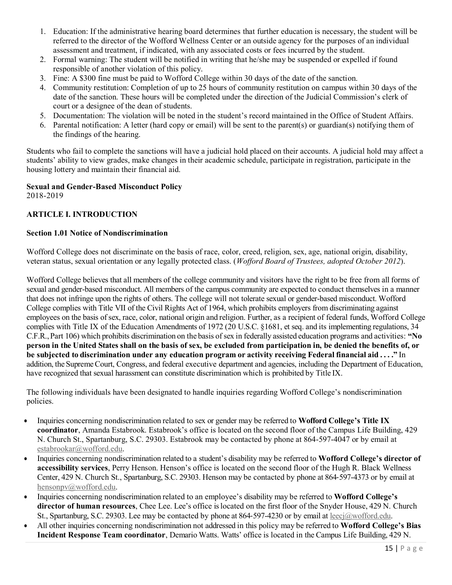- 1. Education: If the administrative hearing board determines that further education is necessary, the student will be referred to the director of the Wofford Wellness Center or an outside agency for the purposes of an individual assessment and treatment, if indicated, with any associated costs or fees incurred by the student.
- 2. Formal warning: The student will be notified in writing that he/she may be suspended or expelled if found responsible of another violation of this policy.
- 3. Fine: A \$300 fine must be paid to Wofford College within 30 days of the date of the sanction.
- 4. Community restitution: Completion of up to 25 hours of community restitution on campus within 30 days of the date of the sanction. These hours will be completed under the direction of the Judicial Commission's clerk of court or a designee of the dean of students.
- 5. Documentation: The violation will be noted in the student's record maintained in the Office of Student Affairs.
- 6. Parental notification: A letter (hard copy or email) will be sent to the parent(s) or guardian(s) notifying them of the findings of the hearing.

Students who fail to complete the sanctions will have a judicial hold placed on their accounts. A judicial hold may affect a students' ability to view grades, make changes in their academic schedule, participate in registration, participate in the housing lottery and maintain their financial aid.

# **Sexual and Gender-Based Misconduct Policy**

2018-2019

## **ARTICLE I. INTRODUCTION**

## **Section 1.01 Notice of Nondiscrimination**

Wofford College does not discriminate on the basis of race, color, creed, religion, sex, age, national origin, disability, veteran status, sexual orientation or any legally protected class. (*Wofford Board of Trustees, adopted October 2012*).

Wofford College believes that all members of the college community and visitors have the right to be free from all forms of sexual and gender-based misconduct. All members of the campus community are expected to conduct themselves in a manner that does not infringe upon the rights of others. The college will not tolerate sexual or gender-based misconduct. Wofford College complies with Title VII of the Civil Rights Act of 1964, which prohibits employers from discriminating against employees on the basis of sex, race, color, national origin and religion. Further, as a recipient of federal funds, Wofford College complies with Title IX of the Education Amendments of 1972 (20 U.S.C. §1681, et seq. and its implementing regulations, 34 C.F.R.,Part 106) which prohibits discrimination on the basis ofsex in federally assisted education programs and activities: **"No person in the United States shall on the basis of sex, be excluded from participation in, be denied the benefits of, or be subjected to discrimination under any education program or activity receiving Federal financial aid . . . ."** In addition, the SupremeCourt, Congress, and federal executive department and agencies, including the Department of Education, have recognized that sexual harassment can constitute discrimination which is prohibited by Title IX.

The following individuals have been designated to handle inquiries regarding Wofford College's nondiscrimination policies.

- Inquiries concerning nondiscrimination related to sex or gender may be referred to **Wofford College's Title IX coordinator**, Amanda Estabrook. Estabrook's office is located on the second floor of the Campus Life Building, 429 N. Church St., Spartanburg, S.C. 29303. Estabrook may be contacted by phone at 864-597-4047 or by email a[t](mailto:estabrookar@wofford.edu) [estabrookar@wofford.edu.](mailto:estabrookar@wofford.edu)
- Inquiries concerning nondiscrimination related to a student's disability may be referred to **Wofford College's director of accessibility services**, Perry Henson. Henson's office is located on the second floor of the Hugh R. Black Wellness Center, 429 N. Church St., Spartanburg, S.C. 29303. Henson may be contacted by phone at 864‐597-4373 or by email a[t](mailto:hensonpv@wofford.edu) [hensonpv@wofford.edu.](mailto:hensonpv@wofford.edu)
- Inquiries concerning nondiscrimination related to an employee's disability may be referred to **Wofford College's director of human resources**, Chee Lee. Lee's office is located on the first floor of the Snyder House, 429 N. Church St., Spartanburg, S.C. 29303. Lee may be contacted by phone at 864-597-4230 or by email at leecj@wofford.edu.
- All other inquiries concerning nondiscrimination not addressed in this policy may be referred to **Wofford College's Bias Incident Response Team coordinator**, Demario Watts. Watts' office is located in the Campus Life Building, 429 N.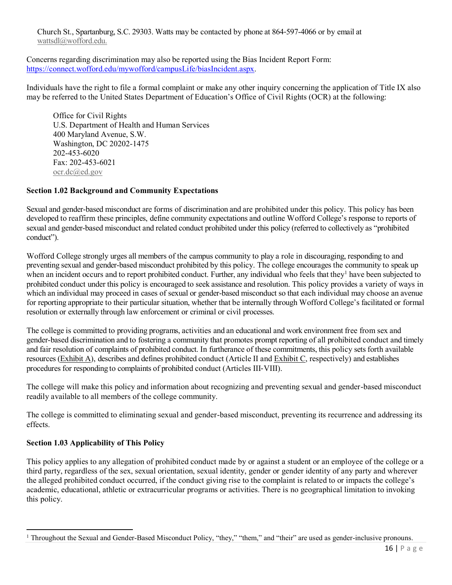Church St., Spartanburg, S.C. 29303. Watts may be contacted by phone at 864‐597-4066 or by email at [wattsdl@wofford.edu.](mailto:wattsdl@wofford.edu)

Concerns regarding discrimination may also be reported using the Bias Incident Report Form: [https://connect.wofford.edu/mywofford/campusLife/biasIncident.aspx.](https://connect.wofford.edu/mywofford/campusLife/biasIncident.aspx)

Individuals have the right to file a formal complaint or make any other inquiry concerning the application of Title IX also may be referred to the United States Department of Education's Office of Civil Rights (OCR) at the following:

Office for Civil Rights U.S. Department of Health and Human Services 400 Maryland Avenue, S.W. Washington, DC 20202-1475 202-453-6020 Fax: 202-453-6021 [ocr.dc@ed.gov](mailto:ocr.dc@ed.gov)

#### **Section 1.02 Background and Community Expectations**

Sexual and gender-based misconduct are forms of discrimination and are prohibited under this policy. This policy has been developed to reaffirm these principles, define community expectations and outline Wofford College's response to reports of sexual and gender-based misconduct and related conduct prohibited under this policy (referred to collectively as "prohibited conduct").

Wofford College strongly urges all members of the campus community to play a role in discouraging, responding to and preventing sexual and gender-based misconduct prohibited by this policy. The college encourages the community to speak up when an incident occurs and to report prohibited conduct. Further, any individual who feels that they<sup>1</sup> have been subjected to prohibited conduct under this policy is encouraged to seek assistance and resolution. This policy provides a variety of ways in which an individual may proceed in cases of sexual or gender-based misconduct so that each individual may choose an avenue for reporting appropriate to their particular situation, whether that be internally through Wofford College's facilitated or formal resolution or externally through law enforcement or criminal or civil processes.

The college is committed to providing programs, activities and an educational and work environment free from sex and gender-based discrimination and to fostering a community that promotes prompt reporting of all prohibited conduct and timely and fair resolution of complaints of prohibited conduct. In furtherance of these commitments, this policy sets forth available resources (Exhibit A), describes and defines prohibited conduct (Article II and Exhibit C, respectively) and establishes procedures for responding to complaints of prohibited conduct (Articles III‐VIII).

The college will make this policy and information about recognizing and preventing sexual and gender-based misconduct readily available to all members of the college community.

The college is committed to eliminating sexual and gender-based misconduct, preventing its recurrence and addressing its effects.

## **Section 1.03 Applicability of This Policy**

 $\overline{a}$ 

This policy applies to any allegation of prohibited conduct made by or against a student or an employee of the college or a third party, regardless of the sex, sexual orientation, sexual identity, gender or gender identity of any party and wherever the alleged prohibited conduct occurred, if the conduct giving rise to the complaint is related to or impacts the college's academic, educational, athletic or extracurricular programs or activities. There is no geographical limitation to invoking this policy.

<sup>&</sup>lt;sup>1</sup> Throughout the Sexual and Gender-Based Misconduct Policy, "they," "them," and "their" are used as gender-inclusive pronouns.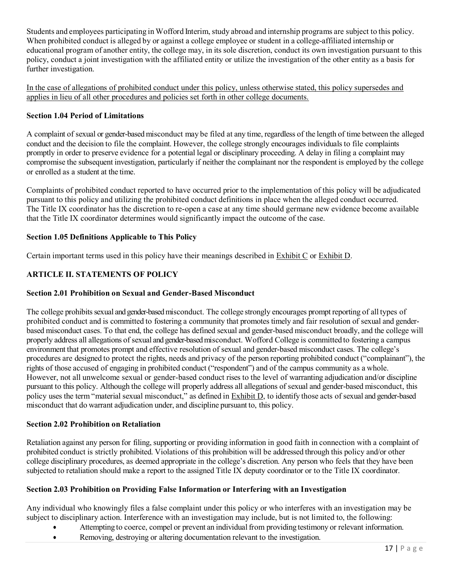Students and employees participating in Wofford Interim, study abroad and internship programs are subject to this policy. When prohibited conduct is alleged by or against a college employee or student in a college-affiliated internship or educational program of another entity, the college may, in its sole discretion, conduct its own investigation pursuant to this policy, conduct a joint investigation with the affiliated entity or utilize the investigation of the other entity as a basis for further investigation.

In the case of allegations of prohibited conduct under this policy, unless otherwise stated, this policy supersedes and applies in lieu of all other procedures and policies set forth in other college documents.

## **Section 1.04 Period of Limitations**

A complaint of sexual or gender-based misconduct may be filed at any time, regardless of the length of time between the alleged conduct and the decision to file the complaint. However, the college strongly encourages individuals to file complaints promptly in order to preserve evidence for a potential legal or disciplinary proceeding. A delay in filing a complaint may compromise the subsequent investigation, particularly if neither the complainant nor the respondent is employed by the college or enrolled as a student at the time.

Complaints of prohibited conduct reported to have occurred prior to the implementation of this policy will be adjudicated pursuant to this policy and utilizing the prohibited conduct definitions in place when the alleged conduct occurred. The Title IX coordinator has the discretion to re-open a case at any time should germane new evidence become available that the Title IX coordinator determines would significantly impact the outcome of the case.

## **Section 1.05 Definitions Applicable to This Policy**

Certain important terms used in this policy have their meanings described in Exhibit C or Exhibit D.

## **ARTICLE II. STATEMENTS OF POLICY**

## **Section 2.01 Prohibition on Sexual and Gender-Based Misconduct**

The college prohibits sexual and gender-based misconduct. The college strongly encourages prompt reporting of all types of prohibited conduct and is committed to fostering a community that promotes timely and fair resolution of sexual and genderbased misconduct cases. To that end, the college has defined sexual and gender-based misconduct broadly, and the college will properly address all allegations of sexual and gender-based misconduct. Wofford College is committed to fostering a campus environment that promotes prompt and effective resolution of sexual and gender-based misconduct cases. The college's procedures are designed to protect the rights, needs and privacy of the person reporting prohibited conduct ("complainant"), the rights of those accused of engaging in prohibited conduct ("respondent") and of the campus community as a whole. However, not all unwelcome sexual or gender-based conduct rises to the level of warranting adjudication and/or discipline pursuant to this policy. Although the college will properly address all allegations of sexual and gender-based misconduct, this policy uses the term "material sexual misconduct," as defined in Exhibit D, to identify those acts of sexual and gender-based misconduct that do warrant adjudication under, and discipline pursuant to, this policy.

## **Section 2.02 Prohibition on Retaliation**

Retaliation against any person for filing, supporting or providing information in good faith in connection with a complaint of prohibited conduct is strictly prohibited. Violations of this prohibition will be addressed through this policy and/or other college disciplinary procedures, as deemed appropriate in the college's discretion. Any person who feels that they have been subjected to retaliation should make a report to the assigned Title IX deputy coordinator or to the Title IX coordinator.

## **Section 2.03 Prohibition on Providing False Information or Interfering with an Investigation**

Any individual who knowingly files a false complaint under this policy or who interferes with an investigation may be subject to disciplinary action. Interference with an investigation may include, but is not limited to, the following:

- Attempting to coerce, compel or prevent an individual from providing testimony or relevant information.
- Removing, destroying or altering documentation relevant to the investigation.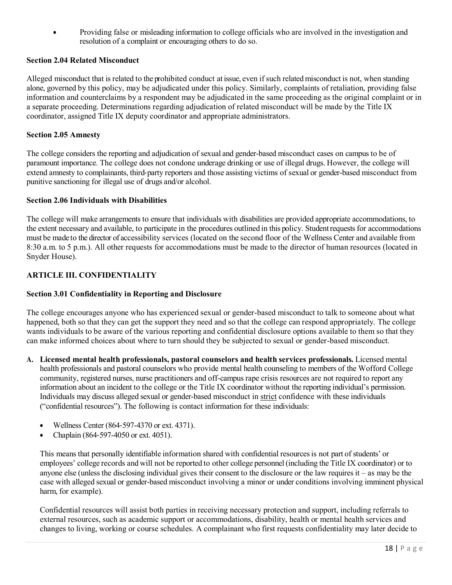• Providing false or misleading information to college officials who are involved in the investigation and resolution of a complaint or encouraging others to do so.

#### **Section 2.04 Related Misconduct**

Alleged misconduct that is related to the prohibited conduct at issue, even ifsuch related misconduct is not, when standing alone, governed by this policy, may be adjudicated under this policy. Similarly, complaints of retaliation, providing false information and counterclaims by a respondent may be adjudicated in the same proceeding as the original complaint or in a separate proceeding. Determinations regarding adjudication of related misconduct will be made by the Title IX coordinator, assigned Title IX deputy coordinator and appropriate administrators.

#### **Section 2.05 Amnesty**

The college considers the reporting and adjudication of sexual and gender-based misconduct cases on campus to be of paramount importance. The college does not condone underage drinking or use of illegal drugs. However, the college will extend amnesty to complainants, third‐party reporters and those assisting victims of sexual or gender-based misconduct from punitive sanctioning for illegal use of drugs and/or alcohol.

#### **Section 2.06 Individuals with Disabilities**

The college will make arrangements to ensure that individuals with disabilities are provided appropriate accommodations, to the extent necessary and available, to participate in the procedures outlined in this policy. Studentrequestsfor accommodations must be made to the director of accessibility services (located on the second floor of the Wellness Center and available from 8:30 a.m. to 5 p.m.). All other requests for accommodations must be made to the director of human resources (located in Snyder House).

## **ARTICLE III. CONFIDENTIALITY**

#### **Section 3.01 Confidentiality in Reporting and Disclosure**

The college encourages anyone who has experienced sexual or gender-based misconduct to talk to someone about what happened, both so that they can get the support they need and so that the college can respond appropriately. The college wants individuals to be aware of the various reporting and confidential disclosure options available to them so that they can make informed choices about where to turn should they be subjected to sexual or gender-based misconduct.

- **A. Licensed mental health professionals, pastoral counselors and health services professionals.** Licensed mental health professionals and pastoral counselors who provide mental health counseling to members of the Wofford College community, registered nurses, nurse practitioners and off-campus rape crisis resources are not required to report any information about an incident to the college or the Title IX coordinator without the reporting individual's permission. Individuals may discuss alleged sexual or gender-based misconduct in strict confidence with these individuals ("confidential resources"). The following is contact information for these individuals:
	- Wellness Center (864‐597-4370 or ext. 4371).
	- Chaplain (864‐597-4050 or ext. 4051).

This means that personally identifiable information shared with confidential resourcesis not part of students' or employees' college records and will not be reported to other college personnel (including the Title IX coordinator) or to anyone else (unless the disclosing individual gives their consent to the disclosure or the law requires it – as may be the case with alleged sexual or gender-based misconduct involving a minor or under conditions involving imminent physical harm, for example).

Confidential resources will assist both parties in receiving necessary protection and support, including referrals to external resources, such as academic support or accommodations, disability, health or mental health services and changes to living, working or course schedules. A complainant who first requests confidentiality may later decide to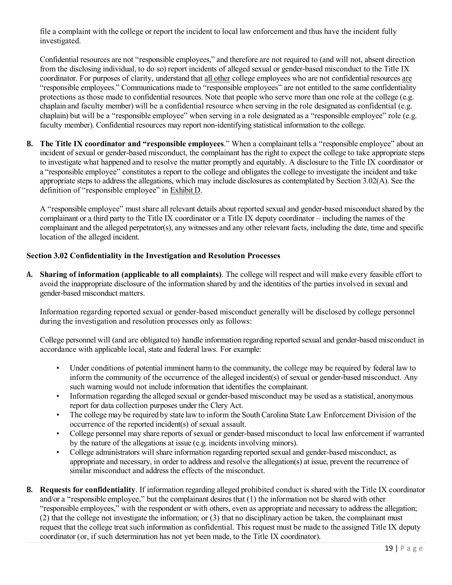file a complaint with the college or report the incident to local law enforcement and thus have the incident fully investigated.

Confidential resources are not "responsible employees," and therefore are not required to (and will not, absent direction from the disclosing individual, to do so) report incidents of alleged sexual or gender-based misconduct to the Title IX coordinator. For purposes of clarity, understand that all other college employees who are not confidential resources are "responsible employees." Communications made to "responsible employees" are not entitled to the same confidentiality protections as those made to confidential resources. Note that people who serve more than one role at the college (e.g. chaplain and faculty member) will be a confidential resource when serving in the role designated as confidential (e.g. chaplain) but will be a "responsible employee" when serving in a role designated as a "responsible employee" role (e.g. faculty member). Confidential resources may report non-identifying statistical information to the college.

**B. The Title IX coordinator and "responsible employees**." When a complainant tells a "responsible employee" about an incident of sexual or gender-based misconduct, the complainant has the right to expect the college to take appropriate steps to investigate what happened and to resolve the matter promptly and equitably. A disclosure to the Title IX coordinator or a "responsible employee" constitutes a report to the college and obligates the college to investigate the incident and take appropriate steps to address the allegations, which may include disclosures as contemplated by Section 3.02(A). See the definition of "responsible employee" in Exhibit D.

A "responsible employee" must share all relevant details about reported sexual and gender-based misconduct shared by the complainant or a third party to the Title IX coordinator or a Title IX deputy coordinator – including the names of the complainant and the alleged perpetrator(s), any witnesses and any other relevant facts, including the date, time and specific location of the alleged incident.

## **Section 3.02 Confidentiality in the Investigation and Resolution Processes**

**A. Sharing of information (applicable to all complaints)**. The college will respect and will make every feasible effort to avoid the inappropriate disclosure of the information shared by and the identities of the parties involved in sexual and gender-based misconduct matters.

Information regarding reported sexual or gender-based misconduct generally will be disclosed by college personnel during the investigation and resolution processes only as follows:

College personnel will (and are obligated to) handle information regarding reported sexual and gender-based misconduct in accordance with applicable local, state and federal laws. For example:

- Under conditions of potential imminent harm to the community, the college may be required by federal law to inform the community of the occurrence of the alleged incident(s) of sexual or gender-based misconduct. Any such warning would not include information that identifies the complainant.
- Information regarding the alleged sexual or gender-based misconduct may be used as a statistical, anonymous report for data collection purposes under the Clery Act.
- The college may be required by state law to inform the South Carolina State Law Enforcement Division of the occurrence of the reported incident(s) of sexual assault.
- College personnel may share reports of sexual or gender-based misconduct to local law enforcement if warranted by the nature of the allegations at issue (e.g. incidents involving minors).
- College administrators will share information regarding reported sexual and gender-based misconduct, as appropriate and necessary, in order to address and resolve the allegation(s) at issue, prevent the recurrence of similar misconduct and address the effects of the misconduct.
- **B. Requests for confidentiality**. If information regarding alleged prohibited conduct is shared with the Title IX coordinator and/or a "responsible employee," but the complainant desires that (1) the information not be shared with other "responsible employees," with the respondent or with others, even as appropriate and necessary to address the allegation; (2) that the college not investigate the information; or (3) that no disciplinary action be taken, the complainant must request that the college treat such information as confidential. This request must be made to the assigned Title IX deputy coordinator (or, if such determination has not yet been made, to the Title IX coordinator).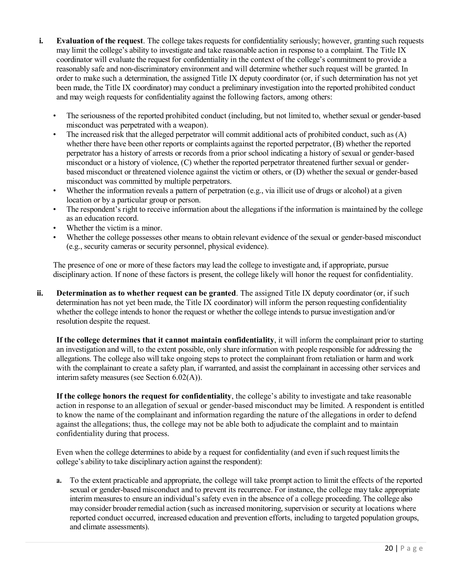- **i. Evaluation of the request**. The college takes requests for confidentiality seriously; however, granting such requests may limit the college's ability to investigate and take reasonable action in response to a complaint. The Title IX coordinator will evaluate the request for confidentiality in the context of the college's commitment to provide a reasonably safe and non‐discriminatory environment and will determine whether such request will be granted. In order to make such a determination, the assigned Title IX deputy coordinator (or, if such determination has not yet been made, the Title IX coordinator) may conduct a preliminary investigation into the reported prohibited conduct and may weigh requests for confidentiality against the following factors, among others:
	- The seriousness of the reported prohibited conduct (including, but not limited to, whether sexual or gender-based misconduct was perpetrated with a weapon).
	- The increased risk that the alleged perpetrator will commit additional acts of prohibited conduct, such as (A) whether there have been other reports or complaints against the reported perpetrator, (B) whether the reported perpetrator has a history of arrests or records from a prior school indicating a history of sexual or gender-based misconduct or a history of violence, (C) whether the reported perpetrator threatened further sexual or genderbased misconduct or threatened violence against the victim or others, or (D) whether the sexual or gender-based misconduct was committed by multiple perpetrators.
	- Whether the information reveals a pattern of perpetration (e.g., via illicit use of drugs or alcohol) at a given location or by a particular group or person.
	- The respondent's right to receive information about the allegations if the information is maintained by the college as an education record.
	- Whether the victim is a minor.
	- Whether the college possesses other means to obtain relevant evidence of the sexual or gender-based misconduct (e.g., security cameras or security personnel, physical evidence).

The presence of one or more of these factors may lead the college to investigate and, if appropriate, pursue disciplinary action. If none of these factors is present, the college likely will honor the request for confidentiality.

**ii. Determination as to whether request can be granted**. The assigned Title IX deputy coordinator (or, if such determination has not yet been made, the Title IX coordinator) will inform the person requesting confidentiality whether the college intends to honor the request or whether the college intends to pursue investigation and/or resolution despite the request.

**If the college determines that it cannot maintain confidentiality**, it will inform the complainant prior to starting an investigation and will, to the extent possible, only share information with people responsible for addressing the allegations. The college also will take ongoing steps to protect the complainant from retaliation or harm and work with the complainant to create a safety plan, if warranted, and assist the complainant in accessing other services and interim safety measures (see Section 6.02(A)).

**If the college honors the request for confidentiality**, the college's ability to investigate and take reasonable action in response to an allegation of sexual or gender-based misconduct may be limited. A respondent is entitled to know the name of the complainant and information regarding the nature of the allegations in order to defend against the allegations; thus, the college may not be able both to adjudicate the complaint and to maintain confidentiality during that process.

Even when the college determines to abide by a request for confidentiality (and even if such request limits the college's ability to take disciplinary action against the respondent):

**a.** To the extent practicable and appropriate, the college will take prompt action to limit the effects of the reported sexual or gender-based misconduct and to prevent its recurrence. For instance, the college may take appropriate interim measures to ensure an individual's safety even in the absence of a college proceeding. The college also may consider broader remedial action (such as increased monitoring, supervision or security at locations where reported conduct occurred, increased education and prevention efforts, including to targeted population groups, and climate assessments).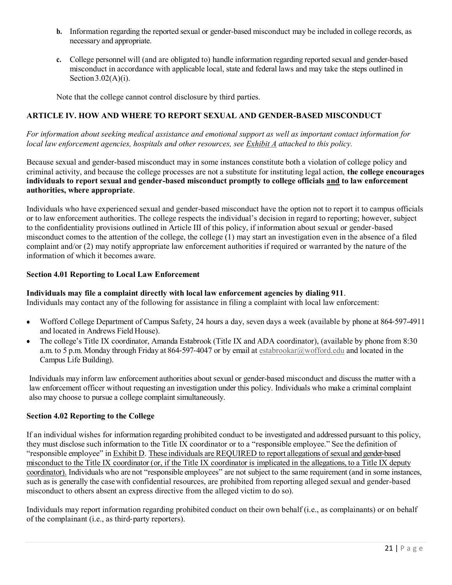- **b.** Information regarding the reported sexual or gender-based misconduct may be included in college records, as necessary and appropriate.
- **c.** College personnel will (and are obligated to) handle information regarding reported sexual and gender-based misconduct in accordance with applicable local, state and federal laws and may take the steps outlined in Section  $3.02(A)(i)$ .

Note that the college cannot control disclosure by third parties.

#### **ARTICLE IV. HOW AND WHERE TO REPORT SEXUAL AND GENDER-BASED MISCONDUCT**

*For information about seeking medical assistance and emotional support as well as important contact information for local law enforcement agencies, hospitals and other resources, see Exhibit A attached to this policy.*

Because sexual and gender-based misconduct may in some instances constitute both a violation of college policy and criminal activity, and because the college processes are not a substitute for instituting legal action, **the college encourages individuals to report sexual and gender-based misconduct promptly to college officials and to law enforcement authorities, where appropriate**.

Individuals who have experienced sexual and gender-based misconduct have the option not to report it to campus officials or to law enforcement authorities. The college respects the individual's decision in regard to reporting; however, subject to the confidentiality provisions outlined in Article III of this policy, if information about sexual or gender-based misconduct comes to the attention of the college, the college (1) may start an investigation even in the absence of a filed complaint and/or (2) may notify appropriate law enforcement authorities if required or warranted by the nature of the information of which it becomes aware.

#### **Section 4.01 Reporting to Local Law Enforcement**

**Individuals may file a complaint directly with local law enforcement agencies by dialing 911**. Individuals may contact any of the following for assistance in filing a complaint with local law enforcement:

- Wofford College Department of Campus Safety, 24 hours a day, seven days a week (available by phone at 864–597–4911 and located in Andrews Field House).
- The college's Title IX coordinator, Amanda Estabrook (Title IX and ADA coordinator), (available by phone from 8:30 a.m. to 5 p.m. Monday through Friday at 864-597-4047 or by email at [estabrookar@wofford.edu](mailto:estabrookar@wofford.edu) and located in the Campus Life Building).

Individuals may inform law enforcement authorities about sexual or gender-based misconduct and discuss the matter with a law enforcement officer without requesting an investigation under this policy. Individuals who make a criminal complaint also may choose to pursue a college complaint simultaneously.

#### **Section 4.02 Reporting to the College**

If an individual wishes for information regarding prohibited conduct to be investigated and addressed pursuant to this policy, they must disclose such information to the Title IX coordinator or to a "responsible employee." See the definition of "responsible employee" in Exhibit D. These individuals are REQUIRED to report allegations of sexual and gender-based misconduct to the Title IX coordinator (or, if the Title IX coordinator is implicated in the allegations, to a Title IX deputy coordinator). Individuals who are not "responsible employees" are not subject to the same requirement (and in some instances, such as is generally the casewith confidential resources, are prohibited from reporting alleged sexual and gender-based misconduct to others absent an express directive from the alleged victim to do so).

Individuals may report information regarding prohibited conduct on their own behalf (i.e., as complainants) or on behalf of the complainant (i.e., as third‐party reporters).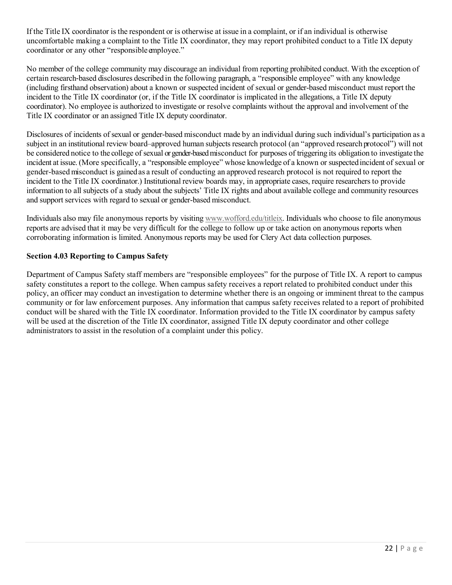If the Title IX coordinator is the respondent or is otherwise at issue in a complaint, or if an individual is otherwise uncomfortable making a complaint to the Title IX coordinator, they may report prohibited conduct to a Title IX deputy coordinator or any other "responsible employee."

No member of the college community may discourage an individual from reporting prohibited conduct. With the exception of certain research‐based disclosures described in the following paragraph, a "responsible employee" with any knowledge (including firsthand observation) about a known or suspected incident of sexual or gender-based misconduct must report the incident to the Title IX coordinator (or, if the Title IX coordinator is implicated in the allegations, a Title IX deputy coordinator). No employee is authorized to investigate or resolve complaints without the approval and involvement of the Title IX coordinator or an assigned Title IX deputy coordinator.

Disclosures of incidents of sexual or gender-based misconduct made by an individual during such individual's participation as a subject in an institutional review board–approved human subjects research protocol (an "approved research protocol") will not be considered notice to the college of sexual or gender-based misconduct for purposes of triggering its obligation to investigate the incident at issue.(More specifically, a "responsible employee" whose knowledge of a known or suspectedincident of sexual or gender-based misconduct is gainedas a result of conducting an approved research protocol is not required to report the incident to the Title IX coordinator.) Institutional review boards may, in appropriate cases, require researchers to provide information to all subjects of a study about the subjects' Title IX rights and about available college and community resources and support services with regard to sexual or gender-based misconduct.

Individuals also may file anonymous reports by visiting [www.wofford.edu/titleix.](http://www.wofford.edu/titleix) Individuals who choose to file anonymous reports are advised that it may be very difficult for the college to follow up or take action on anonymous reports when corroborating information is limited. Anonymous reports may be used for Clery Act data collection purposes.

## **Section 4.03 Reporting to Campus Safety**

Department of Campus Safety staff members are "responsible employees" for the purpose of Title IX. A report to campus safety constitutes a report to the college. When campus safety receives a report related to prohibited conduct under this policy, an officer may conduct an investigation to determine whether there is an ongoing or imminent threat to the campus community or for law enforcement purposes. Any information that campus safety receives related to a report of prohibited conduct will be shared with the Title IX coordinator. Information provided to the Title IX coordinator by campus safety will be used at the discretion of the Title IX coordinator, assigned Title IX deputy coordinator and other college administrators to assist in the resolution of a complaint under this policy.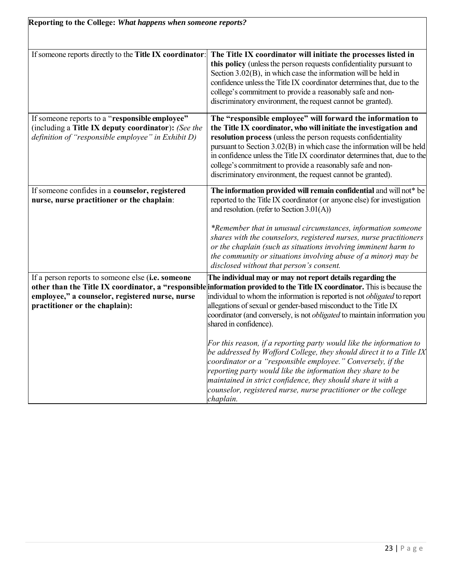| If someone reports directly to the Title IX coordinator: | The Title IX coordinator will initiate the processes listed in<br>this policy (unless the person requests confidentiality pursuant to<br>Section 3.02(B), in which case the information will be held in<br>confidence unless the Title IX coordinator determines that, due to the<br>college's commitment to provide a reasonably safe and non-<br>discriminatory environment, the request cannot be granted). |
|----------------------------------------------------------|----------------------------------------------------------------------------------------------------------------------------------------------------------------------------------------------------------------------------------------------------------------------------------------------------------------------------------------------------------------------------------------------------------------|
| If someone reports to a "responsible employee"           | The "responsible employee" will forward the information to                                                                                                                                                                                                                                                                                                                                                     |
| (including a Title IX deputy coordinator): (See the      | the Title IX coordinator, who will initiate the investigation and                                                                                                                                                                                                                                                                                                                                              |
| definition of "responsible employee" in Exhibit D)       | resolution process (unless the person requests confidentiality<br>pursuant to Section 3.02(B) in which case the information will be held                                                                                                                                                                                                                                                                       |
|                                                          | in confidence unless the Title IX coordinator determines that, due to the                                                                                                                                                                                                                                                                                                                                      |
|                                                          | college's commitment to provide a reasonably safe and non-                                                                                                                                                                                                                                                                                                                                                     |
|                                                          | discriminatory environment, the request cannot be granted).                                                                                                                                                                                                                                                                                                                                                    |
| If someone confides in a counselor, registered           | The information provided will remain confidential and will not* be                                                                                                                                                                                                                                                                                                                                             |
| nurse, nurse practitioner or the chaplain:               | reported to the Title IX coordinator (or anyone else) for investigation                                                                                                                                                                                                                                                                                                                                        |
|                                                          | and resolution. (refer to Section 3.01(A))                                                                                                                                                                                                                                                                                                                                                                     |
|                                                          | *Remember that in unusual circumstances, information someone<br>shares with the counselors, registered nurses, nurse practitioners<br>or the chaplain (such as situations involving imminent harm to<br>the community or situations involving abuse of a minor) may be<br>disclosed without that person's consent.                                                                                             |
| If a person reports to someone else (i.e. someone        | The individual may or may not report details regarding the                                                                                                                                                                                                                                                                                                                                                     |
|                                                          | other than the Title IX coordinator, a "responsible information provided to the Title IX coordinator. This is because the                                                                                                                                                                                                                                                                                      |
| employee," a counselor, registered nurse, nurse          | individual to whom the information is reported is not <i>obligated</i> to report                                                                                                                                                                                                                                                                                                                               |
| practitioner or the chaplain):                           | allegations of sexual or gender-based misconduct to the Title IX                                                                                                                                                                                                                                                                                                                                               |
|                                                          | coordinator (and conversely, is not <i>obligated</i> to maintain information you<br>shared in confidence).                                                                                                                                                                                                                                                                                                     |
|                                                          |                                                                                                                                                                                                                                                                                                                                                                                                                |
|                                                          | For this reason, if a reporting party would like the information to                                                                                                                                                                                                                                                                                                                                            |
|                                                          | be addressed by Wofford College, they should direct it to a Title IX                                                                                                                                                                                                                                                                                                                                           |
|                                                          | coordinator or a "responsible employee." Conversely, if the                                                                                                                                                                                                                                                                                                                                                    |
|                                                          | reporting party would like the information they share to be                                                                                                                                                                                                                                                                                                                                                    |
|                                                          | maintained in strict confidence, they should share it with a                                                                                                                                                                                                                                                                                                                                                   |
|                                                          | counselor, registered nurse, nurse practitioner or the college                                                                                                                                                                                                                                                                                                                                                 |
|                                                          | chaplain.                                                                                                                                                                                                                                                                                                                                                                                                      |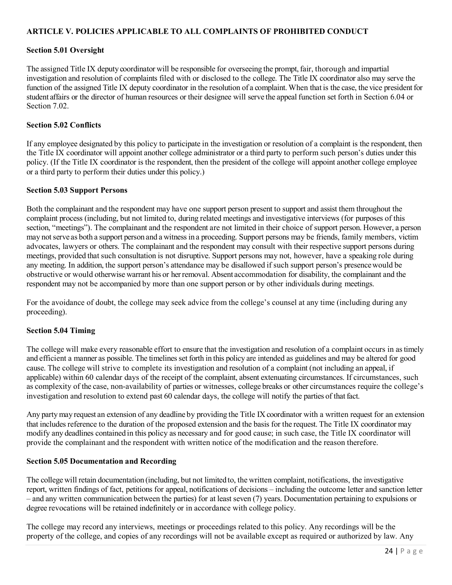## **ARTICLE V. POLICIES APPLICABLE TO ALL COMPLAINTS OF PROHIBITED CONDUCT**

#### **Section 5.01 Oversight**

The assigned Title IX deputy coordinator will be responsible for overseeing the prompt, fair, thorough and impartial investigation and resolution of complaints filed with or disclosed to the college. The Title IX coordinator also may serve the function of the assigned Title IX deputy coordinator in the resolution of a complaint. When that is the case, the vice president for student affairs or the director of human resources or their designee will serve the appeal function set forth in Section 6.04 or Section 7.02.

#### **Section 5.02 Conflicts**

If any employee designated by this policy to participate in the investigation or resolution of a complaint is the respondent, then the Title IX coordinator will appoint another college administrator or a third party to perform such person's duties under this policy. (If the Title IX coordinator is the respondent, then the president of the college will appoint another college employee or a third party to perform their duties under this policy.)

#### **Section 5.03 Support Persons**

Both the complainant and the respondent may have one support person present to support and assist them throughout the complaint process (including, but not limited to, during related meetings and investigative interviews (for purposes of this section, "meetings"). The complainant and the respondent are not limited in their choice of support person. However, a person may notserve as both a support person and a witness in a proceeding. Support persons may be friends, family members, victim advocates, lawyers or others. The complainant and the respondent may consult with their respective support persons during meetings, provided that such consultation is not disruptive. Support persons may not, however, have a speaking role during any meeting. In addition, the support person's attendance may be disallowed if such support person's presencewould be obstructive or would otherwise warrant his or herremoval. Absent accommodation for disability, the complainant and the respondent may not be accompanied by more than one support person or by other individuals during meetings.

For the avoidance of doubt, the college may seek advice from the college's counsel at any time (including during any proceeding).

#### **Section 5.04 Timing**

The college will make every reasonable effort to ensure that the investigation and resolution of a complaint occurs in astimely and efficient a manner as possible. The timelines set forth in this policy are intended as guidelines and may be altered for good cause. The college will strive to complete its investigation and resolution of a complaint (not including an appeal, if applicable) within 60 calendar days of the receipt of the complaint, absent extenuating circumstances. If circumstances, such as complexity of the case, non-availability of parties or witnesses, college breaks or other circumstances require the college's investigation and resolution to extend past 60 calendar days, the college will notify the parties of thatfact.

Any party may request an extension of any deadline by providing the Title IX coordinator with a written request for an extension that includes reference to the duration of the proposed extension and the basis for the request. The Title IX coordinator may modify any deadlines contained in this policy as necessary and for good cause; in such case, the Title IX coordinator will provide the complainant and the respondent with written notice of the modification and the reason therefore.

#### **Section 5.05 Documentation and Recording**

The college will retain documentation (including, but not limited to, the written complaint, notifications, the investigative report, written findings of fact, petitions for appeal, notifications of decisions – including the outcome letter and sanction letter – and any written communication between the parties) for at least seven (7) years. Documentation pertaining to expulsions or degree revocations will be retained indefinitely or in accordance with college policy.

The college may record any interviews, meetings or proceedings related to this policy. Any recordings will be the property of the college, and copies of any recordings will not be available except as required or authorized by law. Any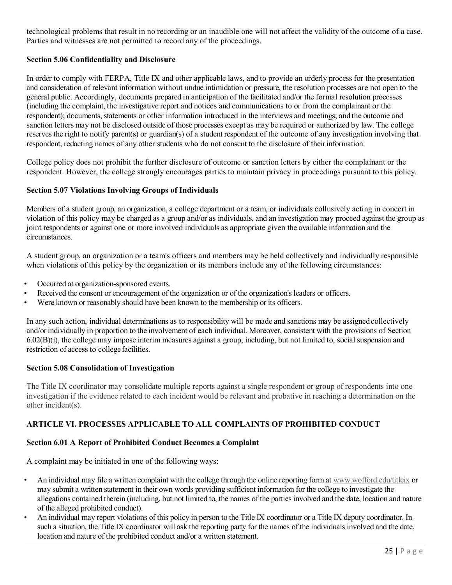technological problems that result in no recording or an inaudible one will not affect the validity of the outcome of a case. Parties and witnesses are not permitted to record any of the proceedings.

## **Section 5.06 Confidentiality and Disclosure**

In order to comply with FERPA, Title IX and other applicable laws, and to provide an orderly process for the presentation and consideration of relevant information without undue intimidation or pressure, the resolution processes are not open to the general public. Accordingly, documents prepared in anticipation of the facilitated and/or the formal resolution processes (including the complaint, the investigative report and notices and communications to or from the complainant or the respondent); documents, statements or other information introduced in the interviews and meetings; and the outcome and sanction letters may not be disclosed outside of those processes except as may be required or authorized by law. The college reserves the right to notify parent(s) or guardian(s) of a student respondent of the outcome of any investigation involving that respondent, redacting names of any other students who do not consent to the disclosure of theirinformation.

College policy does not prohibit the further disclosure of outcome or sanction letters by either the complainant or the respondent. However, the college strongly encourages parties to maintain privacy in proceedings pursuant to this policy.

## **Section 5.07 Violations Involving Groups of Individuals**

Members of a student group, an organization, a college department or a team, or individuals collusively acting in concert in violation of this policy may be charged as a group and/or as individuals, and an investigation may proceed against the group as joint respondents or against one or more involved individuals as appropriate given the available information and the circumstances.

A student group, an organization or a team's officers and members may be held collectively and individually responsible when violations of this policy by the organization or its members include any of the following circumstances:

- Occurred at organization-sponsored events.
- Received the consent or encouragement of the organization or of the organization's leaders or officers.
- Were known or reasonably should have been known to the membership or its officers.

In any such action, individual determinations as to responsibility will be made and sanctions may be assignedcollectively and/or individually in proportion to the involvement of each individual. Moreover, consistent with the provisions of Section 6.02(B)(i), the college may impose interim measures against a group, including, but not limited to, social suspension and restriction of access to college facilities.

#### **Section 5.08 Consolidation of Investigation**

The Title IX coordinator may consolidate multiple reports against a single respondent or group of respondents into one investigation if the evidence related to each incident would be relevant and probative in reaching a determination on the other incident(s).

## **ARTICLE VI. PROCESSES APPLICABLE TO ALL COMPLAINTS OF PROHIBITED CONDUCT**

## **Section 6.01 A Report of Prohibited Conduct Becomes a Complaint**

A complaint may be initiated in one of the following ways:

- An individual may file a written complaint with the college through the online reporting form a[t www.wofford.edu/titleix](http://www.wofford.edu/titleix) or may submit a written statement in their own words providing sufficient information for the college to investigate the allegations contained therein (including, but not limited to, the names of the parties involved and the date, location and nature of the alleged prohibited conduct).
- An individual may report violations of this policy in person to the Title IX coordinator or a Title IX deputy coordinator. In such a situation, the Title IX coordinator will ask the reporting party for the names of the individuals involved and the date, location and nature of the prohibited conduct and/or a written statement.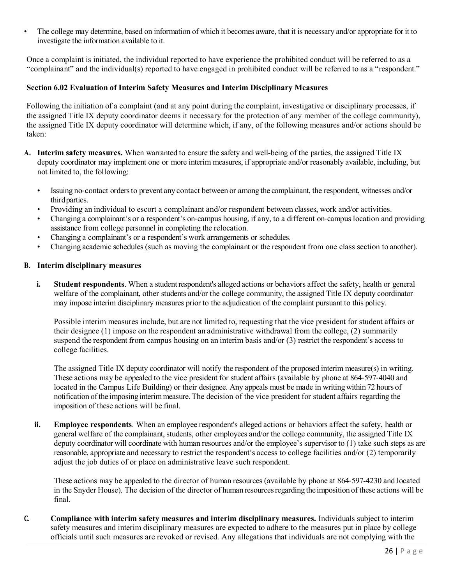• The college may determine, based on information of which it becomes aware, that it is necessary and/or appropriate for it to investigate the information available to it.

Once a complaint is initiated, the individual reported to have experience the prohibited conduct will be referred to as a "complainant" and the individual(s) reported to have engaged in prohibited conduct will be referred to as a "respondent."

#### **Section 6.02 Evaluation of Interim Safety Measures and Interim Disciplinary Measures**

Following the initiation of a complaint (and at any point during the complaint, investigative or disciplinary processes, if the assigned Title IX deputy coordinator deems it necessary for the protection of any member of the college community), the assigned Title IX deputy coordinator will determine which, if any, of the following measures and/or actions should be taken:

- **A. Interim safety measures.** When warranted to ensure the safety and well-being of the parties, the assigned Title IX deputy coordinator may implement one or more interim measures, if appropriate and/or reasonably available, including, but not limited to, the following:
	- Issuing no-contact orders to prevent any contact between or among the complainant, the respondent, witnesses and/or thirdparties.
	- Providing an individual to escort a complainant and/or respondent between classes, work and/or activities.
	- Changing a complainant's or a respondent's on‐campus housing, if any, to a different on‐campus location and providing assistance from college personnel in completing the relocation.
	- Changing a complainant's or a respondent's work arrangements or schedules.
	- Changing academic schedules (such as moving the complainant or the respondent from one class section to another).

#### **B. Interim disciplinary measures**

**i. Student respondents**. When a student respondent's alleged actions or behaviors affect the safety, health or general welfare of the complainant, other students and/or the college community, the assigned Title IX deputy coordinator may impose interim disciplinary measures prior to the adjudication of the complaint pursuant to this policy.

Possible interim measures include, but are not limited to, requesting that the vice president for student affairs or their designee (1) impose on the respondent an administrative withdrawal from the college, (2) summarily suspend the respondent from campus housing on an interim basis and/or (3) restrict the respondent's access to college facilities.

The assigned Title IX deputy coordinator will notify the respondent of the proposed interim measure(s) in writing. These actions may be appealed to the vice president for student affairs (available by phone at 864‐597‐4040 and located in the Campus Life Building) or their designee. Any appeals must be made in writingwithin 72 hours of notification of the imposing interim measure. The decision of the vice president for student affairs regarding the imposition of these actions will be final.

**ii. Employee respondents**. When an employee respondent's alleged actions or behaviors affect the safety, health or general welfare of the complainant, students, other employees and/or the college community, the assigned Title IX deputy coordinator will coordinate with human resources and/or the employee's supervisor to (1) take such steps as are reasonable, appropriate and necessary to restrict the respondent's access to college facilities and/or (2) temporarily adjust the job duties of or place on administrative leave such respondent.

These actions may be appealed to the director of human resources (available by phone at 864‐597-4230 and located in the Snyder House). The decision of the director of human resources regarding the imposition of these actions will be final.

**C. Compliance with interim safety measures and interim disciplinary measures.** Individuals subject to interim safety measures and interim disciplinary measures are expected to adhere to the measures put in place by college officials until such measures are revoked or revised. Any allegations that individuals are not complying with the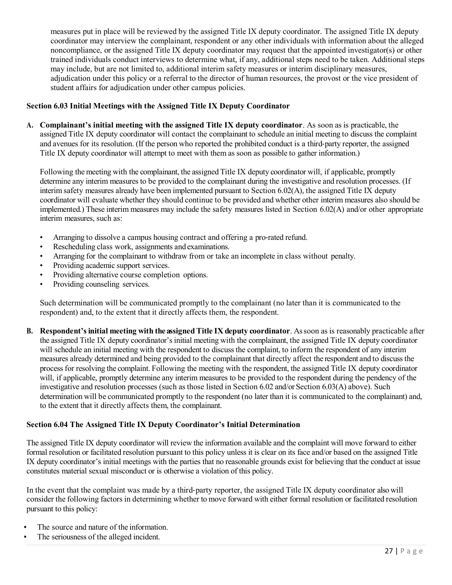measures put in place will be reviewed by the assigned Title IX deputy coordinator. The assigned Title IX deputy coordinator may interview the complainant, respondent or any other individuals with information about the alleged noncompliance, or the assigned Title IX deputy coordinator may request that the appointed investigator(s) or other trained individuals conduct interviews to determine what, if any, additional steps need to be taken. Additional steps may include, but are not limited to, additional interim safety measures or interim disciplinary measures, adjudication under this policy or a referral to the director of human resources, the provost or the vice president of student affairs for adjudication under other campus policies.

## **Section 6.03 Initial Meetings with the Assigned Title IX Deputy Coordinator**

**A. Complainant's initial meeting with the assigned Title IX deputy coordinator**. As soon as is practicable, the assigned Title IX deputy coordinator will contact the complainant to schedule an initial meeting to discuss the complaint and avenues for its resolution. (If the person who reported the prohibited conduct is a third-party reporter, the assigned Title IX deputy coordinator will attempt to meet with them as soon as possible to gather information.)

Following the meeting with the complainant, the assigned Title IX deputy coordinator will, if applicable, promptly determine any interim measures to be provided to the complainant during the investigative and resolution processes. (If interim safety measures already have been implemented pursuant to Section 6.02(A), the assigned Title IX deputy coordinator will evaluate whether they should continue to be provided and whether other interim measures also should be implemented.) These interim measures may include the safety measures listed in Section 6.02(A) and/or other appropriate interim measures, such as:

- Arranging to dissolve a campus housing contract and offering a pro‐rated refund.
- Rescheduling class work, assignments and examinations.
- Arranging for the complainant to withdraw from or take an incomplete in class without penalty.
- Providing academic support services.
- Providing alternative course completion options.
- Providing counseling services.

Such determination will be communicated promptly to the complainant (no later than it is communicated to the respondent) and, to the extent that it directly affects them, the respondent.

**B. Respondent'sinitial meeting with the assigned Title IX deputy coordinator**. Assoon as is reasonably practicable after the assigned Title IX deputy coordinator's initial meeting with the complainant, the assigned Title IX deputy coordinator will schedule an initial meeting with the respondent to discuss the complaint, to inform the respondent of any interim measures already determined and being provided to the complainant that directly affect the respondent and to discussthe process for resolving the complaint. Following the meeting with the respondent, the assigned Title IX deputy coordinator will, if applicable, promptly determine any interim measures to be provided to the respondent during the pendency of the investigative and resolution processes (such as those listed in Section 6.02 and/or Section 6.03(A) above). Such determination will be communicated promptly to the respondent (no later than it is communicated to the complainant) and, to the extent that it directly affects them, the complainant.

## **Section 6.04 The Assigned Title IX Deputy Coordinator's Initial Determination**

The assigned Title IX deputy coordinator will review the information available and the complaint will move forward to either formal resolution or facilitated resolution pursuant to this policy unless it is clear on its face and/or based on the assigned Title IX deputy coordinator's initial meetings with the parties that no reasonable grounds exist for believing that the conduct at issue constitutes material sexual misconduct or is otherwise a violation of this policy.

In the event that the complaint was made by a third‐party reporter, the assigned Title IX deputy coordinator also will consider the following factors in determining whether to move forward with either formal resolution or facilitated resolution pursuant to this policy:

- **•** The source and nature of the information.
- **•** The seriousness of the alleged incident.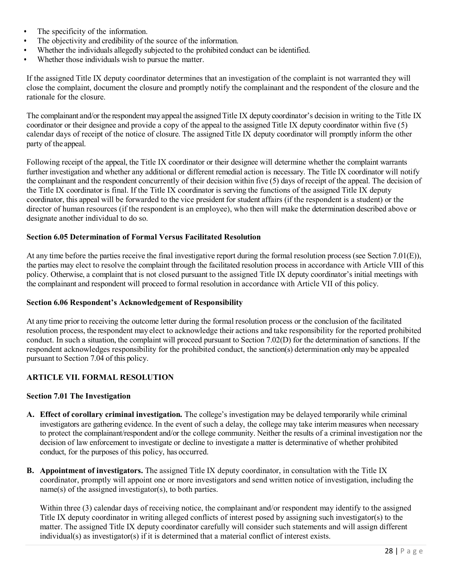- The specificity of the information.<br>• The objectivity and credibility of the
- **•** The objectivity and credibility of the source of the information.
- **•** Whether the individuals allegedly subjected to the prohibited conduct can be identified.
- **•** Whether those individuals wish to pursue the matter.

If the assigned Title IX deputy coordinator determines that an investigation of the complaint is not warranted they will close the complaint, document the closure and promptly notify the complainant and the respondent of the closure and the rationale for the closure.

The complainant and/or the respondent may appeal the assigned Title IX deputy coordinator's decision in writing to the Title IX coordinator or their designee and provide a copy of the appeal to the assigned Title IX deputy coordinator within five (5) calendar days of receipt of the notice of closure. The assigned Title IX deputy coordinator will promptly inform the other party of the appeal.

Following receipt of the appeal, the Title IX coordinator or their designee will determine whether the complaint warrants further investigation and whether any additional or different remedial action is necessary. The Title IX coordinator will notify the complainant and the respondent concurrently of their decision within five (5) days of receipt of the appeal. The decision of the Title IX coordinator is final. If the Title IX coordinator is serving the functions of the assigned Title IX deputy coordinator, this appeal will be forwarded to the vice president for student affairs (if the respondent is a student) or the director of human resources (if the respondent is an employee), who then will make the determination described above or designate another individual to do so.

#### **Section 6.05 Determination of Formal Versus Facilitated Resolution**

At any time before the parties receive the final investigative report during the formal resolution process (see Section 7.01(E)), the parties may elect to resolve the complaint through the facilitated resolution process in accordance with Article VIII of this policy. Otherwise, a complaint that is not closed pursuant to the assigned Title IX deputy coordinator's initial meetings with the complainant and respondent will proceed to formal resolution in accordance with Article VII of this policy.

#### **Section 6.06 Respondent's Acknowledgement of Responsibility**

At any time prior to receiving the outcome letter during the formal resolution process or the conclusion of the facilitated resolution process, the respondent may elect to acknowledge their actions and take responsibility for the reported prohibited conduct. In such a situation, the complaint will proceed pursuant to Section 7.02(D) for the determination of sanctions. If the respondent acknowledges responsibility for the prohibited conduct, the sanction(s) determination only may be appealed pursuant to Section 7.04 of this policy.

## **ARTICLE VII. FORMAL RESOLUTION**

#### **Section 7.01 The Investigation**

- **A. Effect of corollary criminal investigation.** The college's investigation may be delayed temporarily while criminal investigators are gathering evidence. In the event of such a delay, the college may take interim measures when necessary to protect the complainant/respondent and/or the college community. Neither the results of a criminal investigation nor the decision of law enforcement to investigate or decline to investigate a matter is determinative of whether prohibited conduct, for the purposes of this policy, has occurred.
- **B. Appointment of investigators.** The assigned Title IX deputy coordinator, in consultation with the Title IX coordinator, promptly will appoint one or more investigators and send written notice of investigation, including the name(s) of the assigned investigator(s), to both parties.

Within three (3) calendar days of receiving notice, the complainant and/or respondent may identify to the assigned Title IX deputy coordinator in writing alleged conflicts of interest posed by assigning such investigator(s) to the matter. The assigned Title IX deputy coordinator carefully will consider such statements and will assign different individual(s) as investigator(s) if it is determined that a material conflict of interest exists.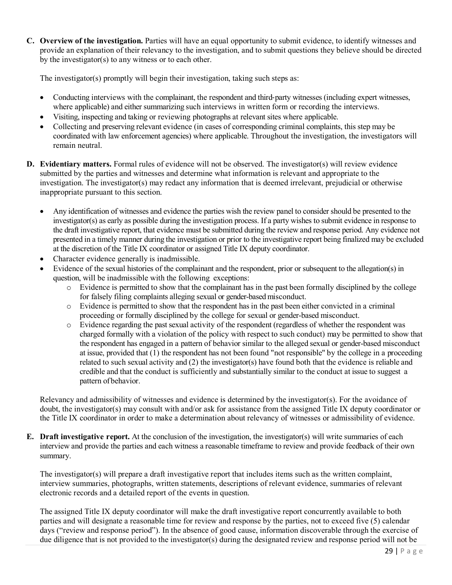**C. Overview of the investigation.** Parties will have an equal opportunity to submit evidence, to identify witnesses and provide an explanation of their relevancy to the investigation, and to submit questions they believe should be directed by the investigator(s) to any witness or to each other.

The investigator(s) promptly will begin their investigation, taking such steps as:

- Conducting interviews with the complainant, the respondent and third-party witnesses (including expert witnesses, where applicable) and either summarizing such interviews in written form or recording the interviews.
- Visiting, inspecting and taking or reviewing photographs at relevant sites where applicable.
- Collecting and preserving relevant evidence (in cases of corresponding criminal complaints, this step may be coordinated with law enforcement agencies) where applicable. Throughout the investigation, the investigators will remain neutral.
- **D. Evidentiary matters.** Formal rules of evidence will not be observed. The investigator(s) will review evidence submitted by the parties and witnesses and determine what information is relevant and appropriate to the investigation. The investigator(s) may redact any information that is deemed irrelevant, prejudicial or otherwise inappropriate pursuant to this section.
	- Any identification of witnesses and evidence the parties wish the review panel to consider should be presented to the investigator(s) as early as possible during the investigation process. If a party wishes to submit evidence in response to the draft investigative report, that evidence must be submitted during the review and response period. Any evidence not presented in a timely manner during the investigation or prior to the investigative report being finalized may be excluded at the discretion of the Title IX coordinator or assigned Title IX deputy coordinator.
	- Character evidence generally is inadmissible.
	- Evidence of the sexual histories of the complainant and the respondent, prior or subsequent to the allegation(s) in question, will be inadmissible with the following exceptions:
		- o Evidence is permitted to show that the complainant has in the past been formally disciplined by the college for falsely filing complaints alleging sexual or gender-based misconduct.
		- o Evidence is permitted to show that the respondent has in the past been either convicted in a criminal proceeding or formally disciplined by the college for sexual or gender-based misconduct.
		- o Evidence regarding the past sexual activity of the respondent (regardless of whether the respondent was charged formally with a violation of the policy with respect to such conduct) may be permitted to show that the respondent has engaged in a pattern of behavior similar to the alleged sexual or gender-based misconduct at issue, provided that (1) the respondent has not been found "not responsible" by the college in a proceeding related to such sexual activity and (2) the investigator(s) have found both that the evidence is reliable and credible and that the conduct is sufficiently and substantially similar to the conduct at issue to suggest a pattern of behavior.

Relevancy and admissibility of witnesses and evidence is determined by the investigator(s). For the avoidance of doubt, the investigator(s) may consult with and/or ask for assistance from the assigned Title IX deputy coordinator or the Title IX coordinator in order to make a determination about relevancy of witnesses or admissibility of evidence.

**E. Draft investigative report.** At the conclusion of the investigation, the investigator(s) will write summaries of each interview and provide the parties and each witness a reasonable timeframe to review and provide feedback of their own summary.

The investigator(s) will prepare a draft investigative report that includes items such as the written complaint, interview summaries, photographs, written statements, descriptions of relevant evidence, summaries of relevant electronic records and a detailed report of the events in question.

The assigned Title IX deputy coordinator will make the draft investigative report concurrently available to both parties and will designate a reasonable time for review and response by the parties, not to exceed five (5) calendar days ("review and response period"). In the absence of good cause, information discoverable through the exercise of due diligence that is not provided to the investigator(s) during the designated review and response period will not be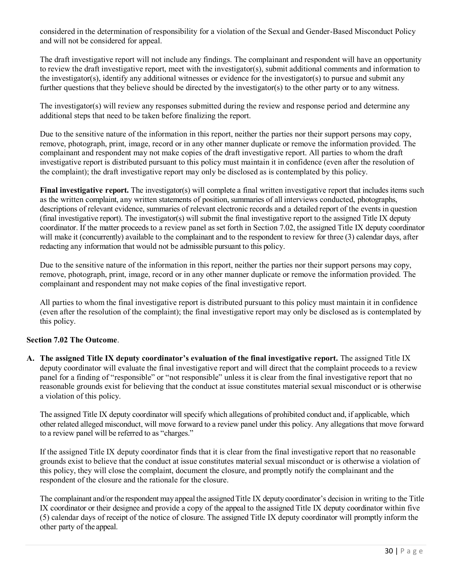considered in the determination of responsibility for a violation of the Sexual and Gender-Based Misconduct Policy and will not be considered for appeal.

The draft investigative report will not include any findings. The complainant and respondent will have an opportunity to review the draft investigative report, meet with the investigator(s), submit additional comments and information to the investigator(s), identify any additional witnesses or evidence for the investigator(s) to pursue and submit any further questions that they believe should be directed by the investigator(s) to the other party or to any witness.

The investigator(s) will review any responses submitted during the review and response period and determine any additional steps that need to be taken before finalizing the report.

Due to the sensitive nature of the information in this report, neither the parties nor their support persons may copy, remove, photograph, print, image, record or in any other manner duplicate or remove the information provided. The complainant and respondent may not make copies of the draft investigative report. All parties to whom the draft investigative report is distributed pursuant to this policy must maintain it in confidence (even after the resolution of the complaint); the draft investigative report may only be disclosed as is contemplated by this policy.

**Final investigative report.** The investigator(s) will complete a final written investigative report that includes items such as the written complaint, any written statements of position, summaries of all interviews conducted, photographs, descriptions of relevant evidence, summaries of relevant electronic records and a detailed report of the events in question (final investigative report). The investigator(s) will submit the final investigative report to the assigned Title IX deputy coordinator. If the matter proceeds to a review panel as set forth in Section 7.02, the assigned Title IX deputy coordinator will make it (concurrently) available to the complainant and to the respondent to review for three (3) calendar days, after redacting any information that would not be admissible pursuant to this policy.

Due to the sensitive nature of the information in this report, neither the parties nor their support persons may copy, remove, photograph, print, image, record or in any other manner duplicate or remove the information provided. The complainant and respondent may not make copies of the final investigative report.

All parties to whom the final investigative report is distributed pursuant to this policy must maintain it in confidence (even after the resolution of the complaint); the final investigative report may only be disclosed as is contemplated by this policy.

## **Section 7.02 The Outcome**.

**A. The assigned Title IX deputy coordinator's evaluation of the final investigative report.** The assigned Title IX deputy coordinator will evaluate the final investigative report and will direct that the complaint proceeds to a review panel for a finding of "responsible" or "not responsible" unless it is clear from the final investigative report that no reasonable grounds exist for believing that the conduct at issue constitutes material sexual misconduct or is otherwise a violation of this policy.

The assigned Title IX deputy coordinator will specify which allegations of prohibited conduct and, if applicable, which other related alleged misconduct, will move forward to a review panel under this policy. Any allegations that move forward to a review panel will be referred to as "charges."

If the assigned Title IX deputy coordinator finds that it is clear from the final investigative report that no reasonable grounds exist to believe that the conduct at issue constitutes material sexual misconduct or is otherwise a violation of this policy, they will close the complaint, document the closure, and promptly notify the complainant and the respondent of the closure and the rationale for the closure.

The complainant and/or the respondent may appeal the assigned Title IX deputy coordinator's decision in writing to the Title IX coordinator or their designee and provide a copy of the appeal to the assigned Title IX deputy coordinator within five (5) calendar days of receipt of the notice of closure. The assigned Title IX deputy coordinator will promptly inform the other party of the appeal.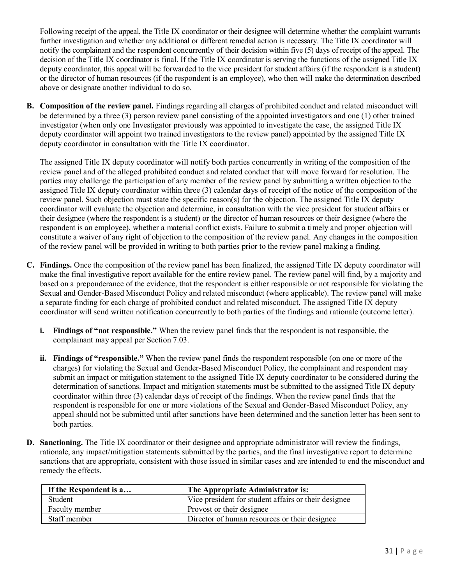Following receipt of the appeal, the Title IX coordinator or their designee will determine whether the complaint warrants further investigation and whether any additional or different remedial action is necessary. The Title IX coordinator will notify the complainant and the respondent concurrently of their decision within five (5) days of receipt of the appeal. The decision of the Title IX coordinator is final. If the Title IX coordinator is serving the functions of the assigned Title IX deputy coordinator, this appeal will be forwarded to the vice president for student affairs (if the respondent is a student) or the director of human resources (if the respondent is an employee), who then will make the determination described above or designate another individual to do so.

**B. Composition of the review panel.** Findings regarding all charges of prohibited conduct and related misconduct will be determined by a three (3) person review panel consisting of the appointed investigators and one (1) other trained investigator (when only one Investigator previously was appointed to investigate the case, the assigned Title IX deputy coordinator will appoint two trained investigators to the review panel) appointed by the assigned Title IX deputy coordinator in consultation with the Title IX coordinator.

The assigned Title IX deputy coordinator will notify both parties concurrently in writing of the composition of the review panel and of the alleged prohibited conduct and related conduct that will move forward for resolution. The parties may challenge the participation of any member of the review panel by submitting a written objection to the assigned Title IX deputy coordinator within three (3) calendar days of receipt of the notice of the composition of the review panel. Such objection must state the specific reason(s) for the objection. The assigned Title IX deputy coordinator will evaluate the objection and determine, in consultation with the vice president for student affairs or their designee (where the respondent is a student) or the director of human resources or their designee (where the respondent is an employee), whether a material conflict exists. Failure to submit a timely and proper objection will constitute a waiver of any right of objection to the composition of the review panel. Any changes in the composition of the review panel will be provided in writing to both parties prior to the review panel making a finding.

- **C. Findings.** Once the composition of the review panel has been finalized, the assigned Title IX deputy coordinator will make the final investigative report available for the entire review panel. The review panel will find, by a majority and based on a preponderance of the evidence, that the respondent is either responsible or not responsible for violating the Sexual and Gender-Based Misconduct Policy and related misconduct (where applicable). The review panel will make a separate finding for each charge of prohibited conduct and related misconduct. The assigned Title IX deputy coordinator will send written notification concurrently to both parties of the findings and rationale (outcome letter).
	- **i. Findings of "not responsible."** When the review panel finds that the respondent is not responsible, the complainant may appeal per Section 7.03.
	- **ii. Findings of "responsible."** When the review panel finds the respondent responsible (on one or more of the charges) for violating the Sexual and Gender-Based Misconduct Policy, the complainant and respondent may submit an impact or mitigation statement to the assigned Title IX deputy coordinator to be considered during the determination of sanctions. Impact and mitigation statements must be submitted to the assigned Title IX deputy coordinator within three (3) calendar days of receipt of the findings. When the review panel finds that the respondent is responsible for one or more violations of the Sexual and Gender-Based Misconduct Policy, any appeal should not be submitted until after sanctions have been determined and the sanction letter has been sent to both parties.
- **D. Sanctioning.** The Title IX coordinator or their designee and appropriate administrator will review the findings, rationale, any impact/mitigation statements submitted by the parties, and the final investigative report to determine sanctions that are appropriate, consistent with those issued in similar cases and are intended to end the misconduct and remedy the effects.

| The Appropriate Administrator is:<br>If the Respondent is a |                                                      |
|-------------------------------------------------------------|------------------------------------------------------|
| <b>Student</b>                                              | Vice president for student affairs or their designee |
| Faculty member                                              | Provost or their designee                            |
| Staff member                                                | Director of human resources or their designee        |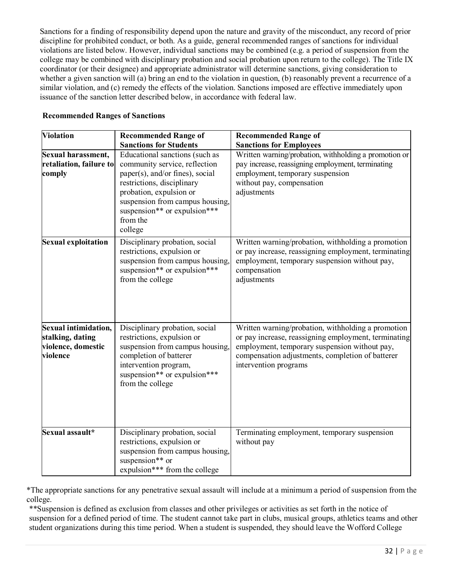Sanctions for a finding of responsibility depend upon the nature and gravity of the misconduct, any record of prior discipline for prohibited conduct, or both. As a guide, general recommended ranges of sanctions for individual violations are listed below. However, individual sanctions may be combined (e.g. a period of suspension from the college may be combined with disciplinary probation and social probation upon return to the college). The Title IX coordinator (or their designee) and appropriate administrator will determine sanctions, giving consideration to whether a given sanction will (a) bring an end to the violation in question, (b) reasonably prevent a recurrence of a similar violation, and (c) remedy the effects of the violation. Sanctions imposed are effective immediately upon issuance of the sanction letter described below, in accordance with federal law.

| <b>Violation</b>                                                           | <b>Recommended Range of</b>                                                                                                                                                                                                                           | <b>Recommended Range of</b>                                                                                                                                                                                                              |
|----------------------------------------------------------------------------|-------------------------------------------------------------------------------------------------------------------------------------------------------------------------------------------------------------------------------------------------------|------------------------------------------------------------------------------------------------------------------------------------------------------------------------------------------------------------------------------------------|
|                                                                            | <b>Sanctions for Students</b>                                                                                                                                                                                                                         | <b>Sanctions for Employees</b>                                                                                                                                                                                                           |
| Sexual harassment,<br>retaliation, failure to<br>comply                    | Educational sanctions (such as<br>community service, reflection<br>paper(s), and/or fines), social<br>restrictions, disciplinary<br>probation, expulsion or<br>suspension from campus housing,<br>suspension** or expulsion***<br>from the<br>college | Written warning/probation, withholding a promotion or<br>pay increase, reassigning employment, terminating<br>employment, temporary suspension<br>without pay, compensation<br>adjustments                                               |
| <b>Sexual exploitation</b>                                                 | Disciplinary probation, social<br>restrictions, expulsion or<br>suspension from campus housing.<br>suspension** or expulsion***<br>from the college                                                                                                   | Written warning/probation, withholding a promotion<br>or pay increase, reassigning employment, terminating<br>employment, temporary suspension without pay,<br>compensation<br>adjustments                                               |
| Sexual intimidation,<br>stalking, dating<br>violence, domestic<br>violence | Disciplinary probation, social<br>restrictions, expulsion or<br>suspension from campus housing,<br>completion of batterer<br>intervention program,<br>suspension** or expulsion***<br>from the college                                                | Written warning/probation, withholding a promotion<br>or pay increase, reassigning employment, terminating<br>employment, temporary suspension without pay,<br>compensation adjustments, completion of batterer<br>intervention programs |
| Sexual assault*                                                            | Disciplinary probation, social<br>restrictions, expulsion or<br>suspension from campus housing,<br>suspension** or<br>expulsion*** from the college                                                                                                   | Terminating employment, temporary suspension<br>without pay                                                                                                                                                                              |

#### **Recommended Ranges of Sanctions**

\*The appropriate sanctions for any penetrative sexual assault will include at a minimum a period of suspension from the college.

\*\*Suspension is defined as exclusion from classes and other privileges or activities as set forth in the notice of suspension for a defined period of time. The student cannot take part in clubs, musical groups, athletics teams and other student organizations during this time period. When a student is suspended, they should leave the Wofford College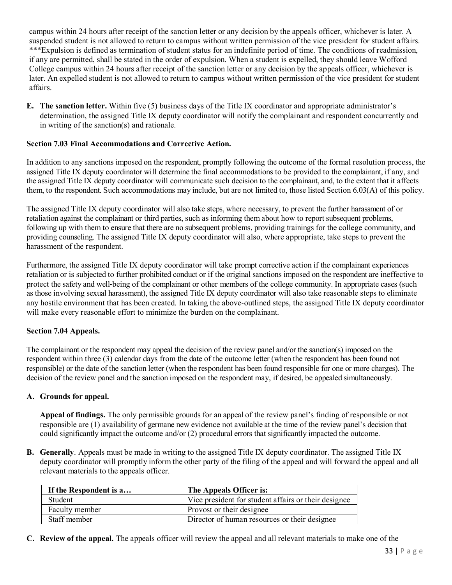campus within 24 hours after receipt of the sanction letter or any decision by the appeals officer, whichever is later. A suspended student is not allowed to return to campus without written permission of the vice president for student affairs. \*\*\*Expulsion is defined as termination of student status for an indefinite period of time. The conditions of readmission, if any are permitted, shall be stated in the order of expulsion. When a student is expelled, they should leave Wofford College campus within 24 hours after receipt of the sanction letter or any decision by the appeals officer, whichever is later. An expelled student is not allowed to return to campus without written permission of the vice president for student affairs.

**E. The sanction letter.** Within five (5) business days of the Title IX coordinator and appropriate administrator's determination, the assigned Title IX deputy coordinator will notify the complainant and respondent concurrently and in writing of the sanction(s) and rationale.

#### **Section 7.03 Final Accommodations and Corrective Action.**

In addition to any sanctions imposed on the respondent, promptly following the outcome of the formal resolution process, the assigned Title IX deputy coordinator will determine the final accommodations to be provided to the complainant, if any, and the assigned Title IX deputy coordinator will communicate such decision to the complainant, and, to the extent that it affects them, to the respondent. Such accommodations may include, but are not limited to, those listed Section 6.03(A) of this policy.

The assigned Title IX deputy coordinator will also take steps, where necessary, to prevent the further harassment of or retaliation against the complainant or third parties, such as informing them about how to report subsequent problems, following up with them to ensure that there are no subsequent problems, providing trainings for the college community, and providing counseling. The assigned Title IX deputy coordinator will also, where appropriate, take steps to prevent the harassment of the respondent.

Furthermore, the assigned Title IX deputy coordinator will take prompt corrective action if the complainant experiences retaliation or is subjected to further prohibited conduct or if the original sanctions imposed on the respondent are ineffective to protect the safety and well‐being of the complainant or other members of the college community. In appropriate cases (such as those involving sexual harassment), the assigned Title IX deputy coordinator will also take reasonable steps to eliminate any hostile environment that has been created. In taking the above-outlined steps, the assigned Title IX deputy coordinator will make every reasonable effort to minimize the burden on the complainant.

#### **Section 7.04 Appeals.**

The complainant or the respondent may appeal the decision of the review panel and/or the sanction(s) imposed on the respondent within three (3) calendar days from the date of the outcome letter (when the respondent has been found not responsible) or the date of the sanction letter (when the respondent has been found responsible for one or more charges). The decision of the review panel and the sanction imposed on the respondent may, if desired, be appealed simultaneously.

#### **A. Grounds for appeal.**

**Appeal of findings.** The only permissible grounds for an appeal of the review panel's finding of responsible or not responsible are (1) availability of germane new evidence not available at the time of the review panel's decision that could significantly impact the outcome and/or (2) procedural errors that significantly impacted the outcome.

**B. Generally**. Appeals must be made in writing to the assigned Title IX deputy coordinator. The assigned Title IX deputy coordinator will promptly inform the other party of the filing of the appeal and will forward the appeal and all relevant materials to the appeals officer.

| If the Respondent is a | The Appeals Officer is:                              |
|------------------------|------------------------------------------------------|
| Student                | Vice president for student affairs or their designee |
| Faculty member         | Provost or their designee                            |
| Staff member           | Director of human resources or their designee        |

**C. Review of the appeal.** The appeals officer will review the appeal and all relevant materials to make one of the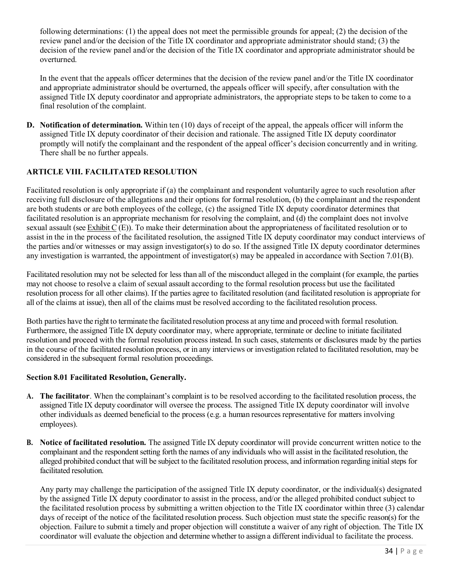following determinations: (1) the appeal does not meet the permissible grounds for appeal; (2) the decision of the review panel and/or the decision of the Title IX coordinator and appropriate administrator should stand; (3) the decision of the review panel and/or the decision of the Title IX coordinator and appropriate administrator should be overturned.

In the event that the appeals officer determines that the decision of the review panel and/or the Title IX coordinator and appropriate administrator should be overturned, the appeals officer will specify, after consultation with the assigned Title IX deputy coordinator and appropriate administrators, the appropriate steps to be taken to come to a final resolution of the complaint.

**D. Notification of determination.** Within ten (10) days of receipt of the appeal, the appeals officer will inform the assigned Title IX deputy coordinator of their decision and rationale. The assigned Title IX deputy coordinator promptly will notify the complainant and the respondent of the appeal officer's decision concurrently and in writing. There shall be no further appeals.

## **ARTICLE VIII. FACILITATED RESOLUTION**

Facilitated resolution is only appropriate if (a) the complainant and respondent voluntarily agree to such resolution after receiving full disclosure of the allegations and their options for formal resolution, (b) the complainant and the respondent are both students or are both employees of the college, (c) the assigned Title IX deputy coordinator determines that facilitated resolution is an appropriate mechanism for resolving the complaint, and (d) the complaint does not involve sexual assault (see Exhibit C (E)). To make their determination about the appropriateness of facilitated resolution or to assist in the in the process of the facilitated resolution, the assigned Title IX deputy coordinator may conduct interviews of the parties and/or witnesses or may assign investigator(s) to do so. If the assigned Title IX deputy coordinator determines any investigation is warranted, the appointment of investigator(s) may be appealed in accordance with Section 7.01(B).

Facilitated resolution may not be selected for less than all of the misconduct alleged in the complaint (for example, the parties may not choose to resolve a claim of sexual assault according to the formal resolution process but use the facilitated resolution process for all other claims). If the parties agree to facilitated resolution (and facilitated resolution is appropriate for all of the claims at issue), then all of the claims must be resolved according to the facilitated resolution process.

Both parties have the right to terminate the facilitated resolution process at any time and proceed with formal resolution. Furthermore, the assigned Title IX deputy coordinator may, where appropriate, terminate or decline to initiate facilitated resolution and proceed with the formal resolution process instead. In such cases, statements or disclosures made by the parties in the course of the facilitated resolution process, or in any interviews or investigation related to facilitated resolution, may be considered in the subsequent formal resolution proceedings.

## **Section 8.01 Facilitated Resolution, Generally.**

- **A. The facilitator**. When the complainant's complaint is to be resolved according to the facilitated resolution process, the assigned Title IX deputy coordinator will oversee the process. The assigned Title IX deputy coordinator will involve other individuals as deemed beneficial to the process (e.g. a human resources representative for matters involving employees).
- **B. Notice of facilitated resolution.** The assigned Title IX deputy coordinator will provide concurrent written notice to the complainant and the respondent setting forth the names of any individuals who will assist in the facilitated resolution, the alleged prohibited conduct that will be subject to the facilitated resolution process, and information regarding initial steps for facilitated resolution.

Any party may challenge the participation of the assigned Title IX deputy coordinator, or the individual(s) designated by the assigned Title IX deputy coordinator to assist in the process, and/or the alleged prohibited conduct subject to the facilitated resolution process by submitting a written objection to the Title IX coordinator within three (3) calendar days of receipt of the notice of the facilitated resolution process. Such objection must state the specific reason(s) for the objection. Failure to submit a timely and proper objection will constitute a waiver of any right of objection. The Title IX coordinator will evaluate the objection and determine whether to assign a different individual to facilitate the process.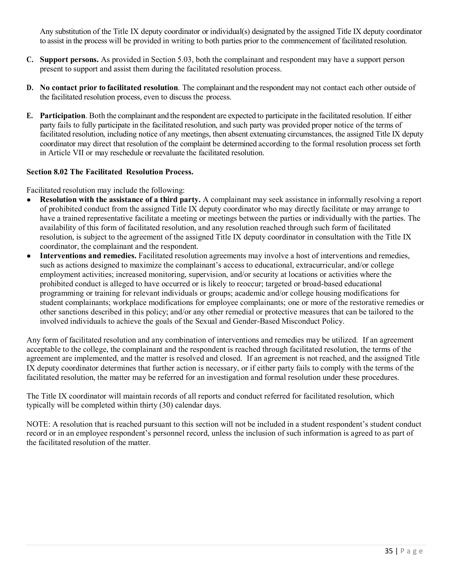Any substitution of the Title IX deputy coordinator or individual(s) designated by the assigned Title IX deputy coordinator to assist in the process will be provided in writing to both parties prior to the commencement of facilitated resolution.

- **C. Support persons.** As provided in Section 5.03, both the complainant and respondent may have a support person present to support and assist them during the facilitated resolution process.
- **D. No contact prior to facilitated resolution**. The complainant and the respondent may not contact each other outside of the facilitated resolution process, even to discuss the process.
- **E. Participation**. Both the complainant and the respondent are expected to participate in the facilitated resolution. If either party fails to fully participate in the facilitated resolution, and such party was provided proper notice of the terms of facilitated resolution, including notice of any meetings, then absent extenuating circumstances, the assigned Title IX deputy coordinator may direct that resolution of the complaint be determined according to the formal resolution process set forth in Article VII or may reschedule or reevaluate the facilitated resolution.

#### **Section 8.02 The Facilitated Resolution Process.**

Facilitated resolution may include the following:

- **Resolution with the assistance of a third party.** A complainant may seek assistance in informally resolving a report of prohibited conduct from the assigned Title IX deputy coordinator who may directly facilitate or may arrange to have a trained representative facilitate a meeting or meetings between the parties or individually with the parties. The availability of this form of facilitated resolution, and any resolution reached through such form of facilitated resolution, is subject to the agreement of the assigned Title IX deputy coordinator in consultation with the Title IX coordinator, the complainant and the respondent.
- **Interventions and remedies.** Facilitated resolution agreements may involve a host of interventions and remedies, such as actions designed to maximize the complainant's access to educational, extracurricular, and/or college employment activities; increased monitoring, supervision, and/or security at locations or activities where the prohibited conduct is alleged to have occurred or is likely to reoccur; targeted or broad-based educational programming or training for relevant individuals or groups; academic and/or college housing modifications for student complainants; workplace modifications for employee complainants; one or more of the restorative remedies or other sanctions described in this policy; and/or any other remedial or protective measures that can be tailored to the involved individuals to achieve the goals of the Sexual and Gender-Based Misconduct Policy.

Any form of facilitated resolution and any combination of interventions and remedies may be utilized. If an agreement acceptable to the college, the complainant and the respondent is reached through facilitated resolution, the terms of the agreement are implemented, and the matter is resolved and closed. If an agreement is not reached, and the assigned Title IX deputy coordinator determines that further action is necessary, or if either party fails to comply with the terms of the facilitated resolution, the matter may be referred for an investigation and formal resolution under these procedures.

The Title IX coordinator will maintain records of all reports and conduct referred for facilitated resolution, which typically will be completed within thirty (30) calendar days.

NOTE: A resolution that is reached pursuant to this section will not be included in a student respondent's student conduct record or in an employee respondent's personnel record, unless the inclusion of such information is agreed to as part of the facilitated resolution of the matter.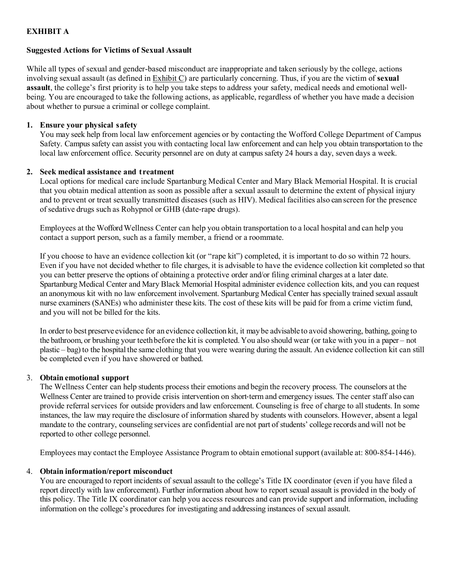## **EXHIBIT A**

#### **Suggested Actions for Victims of Sexual Assault**

While all types of sexual and gender-based misconduct are inappropriate and taken seriously by the college, actions involving sexual assault (as defined in Exhibit C) are particularly concerning. Thus, if you are the victim of **sexual assault**, the college's first priority is to help you take steps to address your safety, medical needs and emotional wellbeing. You are encouraged to take the following actions, as applicable, regardless of whether you have made a decision about whether to pursue a criminal or college complaint.

#### **1. Ensure your physical safety**

You may seek help from local law enforcement agencies or by contacting the Wofford College Department of Campus Safety. Campus safety can assist you with contacting local law enforcement and can help you obtain transportation to the local law enforcement office. Security personnel are on duty at campus safety 24 hours a day, seven days a week.

#### **2. Seek medical assistance and treatment**

Local options for medical care include Spartanburg Medical Center and Mary Black Memorial Hospital. It is crucial that you obtain medical attention as soon as possible after a sexual assault to determine the extent of physical injury and to prevent or treat sexually transmitted diseases (such as HIV). Medical facilities also can screen for the presence of sedative drugs such as Rohypnol or GHB (date-rape drugs).

Employees at the Wofford Wellness Center can help you obtain transportation to a local hospital and can help you contact a support person, such as a family member, a friend or a roommate.

If you choose to have an evidence collection kit (or "rape kit") completed, it is important to do so within 72 hours. Even if you have not decided whether to file charges, it is advisable to have the evidence collection kit completed so that you can better preserve the options of obtaining a protective order and/or filing criminal charges at a later date. Spartanburg Medical Center and Mary Black Memorial Hospital administer evidence collection kits, and you can request an anonymous kit with no law enforcement involvement. Spartanburg Medical Center has specially trained sexual assault nurse examiners (SANEs) who administer these kits. The cost of these kits will be paid for from a crime victim fund, and you will not be billed for the kits.

In orderto best preserve evidence for an evidence collection kit, it maybe advisable to avoid showering, bathing, going to the bathroom, or brushing your teethbefore the kit is completed. You also should wear (or take with you in a paper – not plastic – bag) to the hospital the same clothing that you were wearing during the assault. An evidence collection kit can still be completed even if you have showered or bathed.

## 3. **Obtain emotional support**

The Wellness Center can help students process their emotions and begin the recovery process. The counselors at the Wellness Center are trained to provide crisis intervention on short-term and emergency issues. The center staff also can provide referral services for outside providers and law enforcement. Counseling is free of charge to all students. In some instances, the law may require the disclosure of information shared by students with counselors. However, absent a legal mandate to the contrary, counseling services are confidential are not part of students' college records and will not be reported to other college personnel.

Employees may contact the Employee Assistance Program to obtain emotional support (available at: 800-854-1446).

## 4. **Obtain information/report misconduct**

You are encouraged to report incidents of sexual assault to the college's Title IX coordinator (even if you have filed a report directly with law enforcement). Further information about how to report sexual assault is provided in the body of this policy. The Title IX coordinator can help you access resources and can provide support and information, including information on the college's procedures for investigating and addressing instances of sexual assault.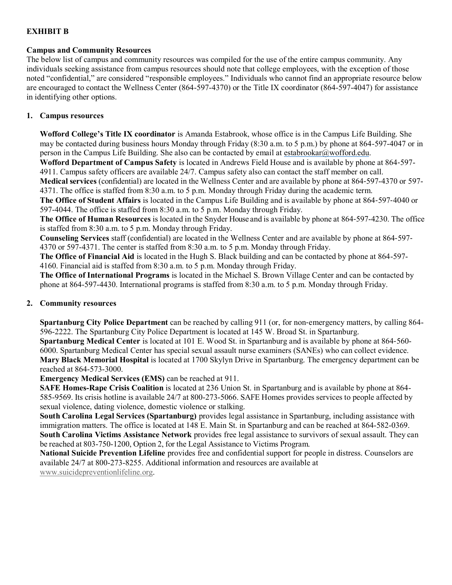## **EXHIBIT B**

#### **Campus and Community Resources**

The below list of campus and community resources was compiled for the use of the entire campus community. Any individuals seeking assistance from campus resources should note that college employees, with the exception of those noted "confidential," are considered "responsible employees." Individuals who cannot find an appropriate resource below are encouraged to contact the Wellness Center (864-597-4370) or the Title IX coordinator (864-597-4047) for assistance in identifying other options.

#### **1. Campus resources**

**Wofford College's Title IX coordinator** is Amanda Estabrook, whose office is in the Campus Life Building. She may be contacted during business hours Monday through Friday (8:30 a.m. to 5 p.m.) by phone at 864-597-4047 or in person in the Campus Life Building. She also can be contacted by email at [estabrookar@wofford.edu.](mailto:estabrookar@wofford.edu)

**Wofford Department of Campus Safety** is located in Andrews Field House and is available by phone at 864‐597- 4911. Campus safety officers are available 24/7. Campus safety also can contact the staff member on call.

**Medical services** (confidential) are located in the Wellness Center and are available by phone at 864‐597-4370 or 597- 4371. The office is staffed from 8:30 a.m. to 5 p.m. Monday through Friday during the academic term.

**The Office of Student Affairs** is located in the Campus Life Building and is available by phone at 864‐597‐4040 or 597-4044. The office is staffed from 8:30 a.m. to 5 p.m. Monday through Friday.

**The Office of Human Resources** is located in the Snyder House and is available by phone at 864‐597-4230. The office is staffed from 8:30 a.m. to 5 p.m. Monday through Friday.

**Counseling Services** staff (confidential) are located in the Wellness Center and are available by phone at 864‐597‐ 4370 or 597-4371. The center is staffed from 8:30 a.m. to 5 p.m. Monday through Friday.

**The Office of Financial Aid** is located in the Hugh S. Black building and can be contacted by phone at 864-597- 4160. Financial aid is staffed from 8:30 a.m. to 5 p.m. Monday through Friday.

**The Office of International Programs** is located in the Michael S. Brown Village Center and can be contacted by phone at 864-597-4430. International programs is staffed from 8:30 a.m. to 5 p.m. Monday through Friday.

## **2. Community resources**

**Spartanburg City Police Department** can be reached by calling 911 (or, for non-emergency matters, by calling 864-596-2222. The Spartanburg City Police Department is located at 145 W. Broad St. in Spartanburg.

**Spartanburg Medical Center** is located at 101 E. Wood St. in Spartanburg and is available by phone at 864‐560- 6000. Spartanburg Medical Center has special sexual assault nurse examiners (SANEs) who can collect evidence. **Mary Black Memorial Hospital** is located at 1700 Skylyn Drive in Spartanburg. The emergency department can be reached at 864-573-3000.

**Emergency Medical Services (EMS)** can be reached at 911.

**SAFE Homes-Rape Crisis Coalition** is located at 236 Union St. in Spartanburg and is available by phone at 864- 585-9569. Its crisis hotline is available 24/7 at 800-273-5066. SAFE Homes provides services to people affected by sexual violence, dating violence, domestic violence or stalking.

**South Carolina Legal Services (Spartanburg)** provides legal assistance in Spartanburg, including assistance with immigration matters. The office is located at 148 E. Main St. in Spartanburg and can be reached at 864-582-0369. **South Carolina Victims Assistance Network** provides free legal assistance to survivors of sexual assault. They can be reached at 803-750-1200, Option 2, for the Legal Assistance to Victims Program.

**National Suicide Prevention Lifeline** provides free and confidential support for people in distress. Counselors are available 24/7 at 800-273-8255. Additional information and resources are available at

[www.suicidepreventionlifeline.org.](http://www.suicidepreventionlifeline.org/)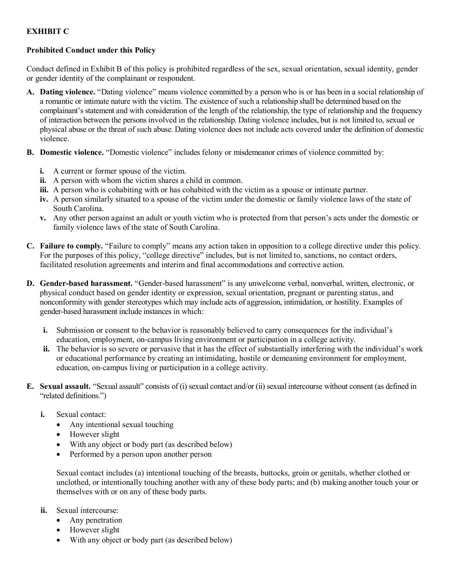## **EXHIBIT C**

## **Prohibited Conduct under this Policy**

Conduct defined in Exhibit B of this policy is prohibited regardless of the sex, sexual orientation, sexual identity, gender or gender identity of the complainant or respondent.

- **A. Dating violence.** "Dating violence" means violence committed by a person who is or has been in a social relationship of a romantic or intimate nature with the victim. The existence of such a relationship shall be determined based on the complainant's statement and with consideration of the length of the relationship, the type of relationship and the frequency of interaction between the persons involved in the relationship. Dating violence includes, but is not limited to, sexual or physical abuse or the threat of such abuse. Dating violence does not include acts covered under the definition of domestic violence.
- **B. Domestic violence.** "Domestic violence" includes felony or misdemeanor crimes of violence committed by:
	- **i.** A current or former spouse of the victim.
	- **ii.** A person with whom the victim shares a child in common.
	- **iii.** A person who is cohabiting with or has cohabited with the victim as a spouse or intimate partner.
	- **iv.** A person similarly situated to a spouse of the victim under the domestic or family violence laws of the state of South Carolina.
	- **v.** Any other person against an adult or youth victim who is protected from that person's acts under the domestic or family violence laws of the state of South Carolina.
- **C. Failure to comply.** "Failure to comply" means any action taken in opposition to a college directive under this policy. For the purposes of this policy, "college directive" includes, but is not limited to, sanctions, no contact orders, facilitated resolution agreements and interim and final accommodations and corrective action.
- **D. Gender-based harassment.** "Gender-based harassment" is any unwelcome verbal, nonverbal, written, electronic, or physical conduct based on gender identity or expression, sexual orientation, pregnant or parenting status, and nonconformity with gender stereotypes which may include acts of aggression, intimidation, or hostility. Examples of gender-based harassment include instances in which:
	- **i.** Submission or consent to the behavior is reasonably believed to carry consequences for the individual's education, employment, on‐campus living environment or participation in a college activity.
	- **ii.** The behavior is so severe or pervasive that it has the effect of substantially interfering with the individual's work or educational performance by creating an intimidating, hostile or demeaning environment for employment, education, on‐campus living or participation in a college activity.
- **E. Sexual assault.** "Sexual assault" consists of (i) sexual contact and/or (ii) sexual intercourse without consent (as defined in "related definitions.")
	- **i.** Sexual contact:
		- Any intentional sexual touching
		- However slight
		- With any object or body part (as described below)
		- Performed by a person upon another person

Sexual contact includes (a) intentional touching of the breasts, buttocks, groin or genitals, whether clothed or unclothed, or intentionally touching another with any of these body parts; and (b) making another touch your or themselves with or on any of these body parts.

- **ii.** Sexual intercourse:
	- Any penetration
	- However slight
	- With any object or body part (as described below)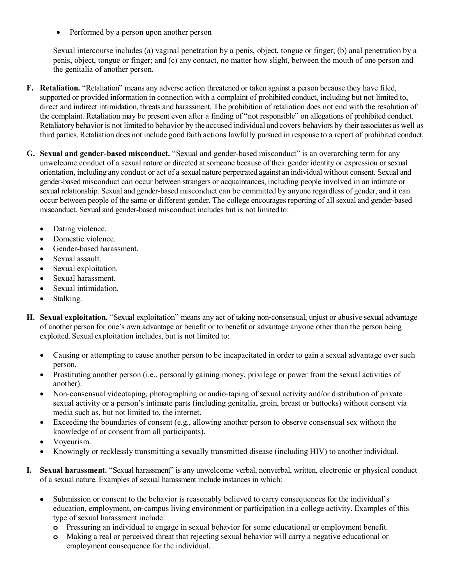• Performed by a person upon another person

Sexual intercourse includes (a) vaginal penetration by a penis, object, tongue or finger; (b) anal penetration by a penis, object, tongue or finger; and (c) any contact, no matter how slight, between the mouth of one person and the genitalia of another person.

- **F. Retaliation.** "Retaliation" means any adverse action threatened or taken against a person because they have filed, supported or provided information in connection with a complaint of prohibited conduct, including but not limited to, direct and indirect intimidation, threats and harassment. The prohibition of retaliation does not end with the resolution of the complaint. Retaliation may be present even after a finding of "not responsible" on allegations of prohibited conduct. Retaliatory behavior is not limited to behavior by the accused individual and covers behaviors by their associates as well as third parties. Retaliation does not include good faith actions lawfully pursued in response to a report of prohibited conduct.
- **G. Sexual and gender-based misconduct.** "Sexual and gender-based misconduct" is an overarching term for any unwelcome conduct of a sexual nature or directed at someone because of their gender identity or expression or sexual orientation, including anyconduct or act of a sexual nature perpetrated against an individual without consent. Sexual and gender-based misconduct can occur between strangers or acquaintances, including people involved in an intimate or sexual relationship. Sexual and gender-based misconduct can be committed by anyone regardless of gender, and it can occur between people of the same or different gender. The college encourages reporting of all sexual and gender-based misconduct. Sexual and gender-based misconduct includes but is not limitedto:
	- Dating violence.
	- Domestic violence.
	- Gender-based harassment.
	- Sexual assault.
	- Sexual exploitation.
	- Sexual harassment.
	- Sexual intimidation.
	- Stalking.
- **H.** Sexual exploitation. "Sexual exploitation" means any act of taking non-consensual, unjust or abusive sexual advantage of another person for one's own advantage or benefit or to benefit or advantage anyone other than the person being exploited. Sexual exploitation includes, but is not limited to:
	- Causing or attempting to cause another person to be incapacitated in order to gain a sexual advantage over such person.
	- Prostituting another person (i.e., personally gaining money, privilege or power from the sexual activities of another).
	- Non-consensual videotaping, photographing or audio-taping of sexual activity and/or distribution of private sexual activity or a person's intimate parts (including genitalia, groin, breast or buttocks) without consent via media such as, but not limited to, the internet.
	- Exceeding the boundaries of consent (e.g., allowing another person to observe consensual sex without the knowledge of or consent from all participants).
	- Voyeurism.
	- Knowingly or recklessly transmitting a sexually transmitted disease (including HIV) to another individual.
- **I. Sexual harassment.** "Sexual harassment" is any unwelcome verbal, nonverbal, written, electronic or physical conduct of a sexual nature. Examples of sexual harassment include instances in which:
	- Submission or consent to the behavior is reasonably believed to carry consequences for the individual's education, employment, on-campus living environment or participation in a college activity. Examples of this type of sexual harassment include:
		- **o** Pressuring an individual to engage in sexual behavior for some educational or employment benefit.
		- **o** Making a real or perceived threat that rejecting sexual behavior will carry a negative educational or employment consequence for the individual.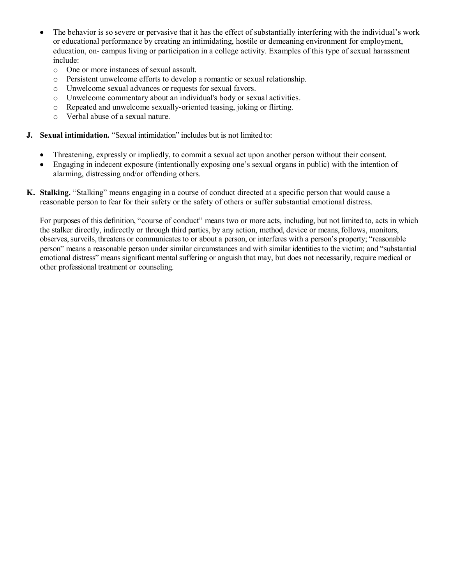- The behavior is so severe or pervasive that it has the effect of substantially interfering with the individual's work or educational performance by creating an intimidating, hostile or demeaning environment for employment, education, on-campus living or participation in a college activity. Examples of this type of sexual harassment include:
	- o One or more instances of sexual assault.
	- o Persistent unwelcome efforts to develop a romantic or sexual relationship.
	- o Unwelcome sexual advances or requests for sexual favors.
	- o Unwelcome commentary about an individual's body or sexual activities.
	- o Repeated and unwelcome sexually‐oriented teasing, joking or flirting.
	- o Verbal abuse of a sexual nature.
- **J. Sexual intimidation.** "Sexual intimidation" includes but is not limited to:
	- Threatening, expressly or impliedly, to commit a sexual act upon another person without their consent.
	- Engaging in indecent exposure (intentionally exposing one's sexual organs in public) with the intention of alarming, distressing and/or offending others.
- **K. Stalking.** "Stalking" means engaging in a course of conduct directed at a specific person that would cause a reasonable person to fear for their safety or the safety of others or suffer substantial emotional distress.

For purposes of this definition, "course of conduct" means two or more acts, including, but not limited to, acts in which the stalker directly, indirectly or through third parties, by any action, method, device or means,follows, monitors, observes, surveils, threatens or communicates to or about a person, or interferes with a person's property; "reasonable person" means a reasonable person under similar circumstances and with similar identities to the victim; and "substantial emotional distress" means significant mental suffering or anguish that may, but does not necessarily, require medical or other professional treatment or counseling.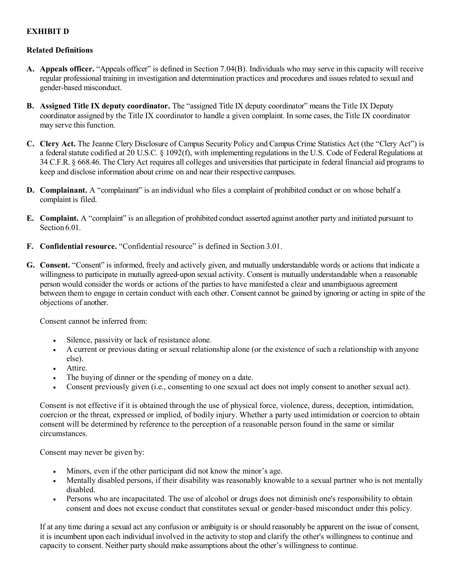## **EXHIBIT D**

#### **Related Definitions**

- **A. Appeals officer.** "Appeals officer" is defined in Section 7.04(B). Individuals who may serve in this capacity will receive regular professional training in investigation and determination practices and procedures and issues related to sexual and gender-based misconduct.
- **B. Assigned Title IX deputy coordinator.** The "assigned Title IX deputy coordinator" meansthe Title IX Deputy coordinator assigned by the Title IX coordinator to handle a given complaint. In some cases, the Title IX coordinator may serve this function.
- **C. Clery Act.** The Jeanne Clery Disclosure of Campus Security Policy and Campus Crime Statistics Act (the "Clery Act") is a federal statute codified at 20 U.S.C. § 1092(f), with implementing regulations in the U.S. Code of Federal Regulations at 34 C.F.R. § 668.46. The Clery Act requires all colleges and universities that participate in federal financial aid programs to keep and disclose information about crime on and near their respective campuses.
- **D. Complainant.** A "complainant" is an individual who files a complaint of prohibited conduct or on whose behalf a complaint is filed.
- **E. Complaint.** A "complaint" is an allegation of prohibited conduct asserted against another party and initiated pursuant to Section 6.01.
- **F. Confidential resource.** "Confidential resource" is defined in Section 3.01.
- **G. Consent.** "Consent" is informed, freely and actively given, and mutually understandable words or actions that indicate a willingness to participate in mutually agreed-upon sexual activity. Consent is mutually understandable when a reasonable person would consider the words or actions of the parties to have manifested a clear and unambiguous agreement between them to engage in certain conduct with each other. Consent cannot be gained by ignoring or acting in spite of the objections of another.

Consent cannot be inferred from:

- Silence, passivity or lack of resistance alone.
- A current or previous dating or sexual relationship alone (or the existence of such a relationship with anyone else).
- Attire.
- The buying of dinner or the spending of money on a date.
- Consent previously given (i.e., consenting to one sexual act does not imply consent to another sexual act).

Consent is not effective if it is obtained through the use of physical force, violence, duress, deception, intimidation, coercion or the threat, expressed or implied, of bodily injury. Whether a party used intimidation or coercion to obtain consent will be determined by reference to the perception of a reasonable person found in the same or similar circumstances.

Consent may never be given by:

- Minors, even if the other participant did not know the minor's age.
- Mentally disabled persons, if their disability was reasonably knowable to a sexual partner who is not mentally disabled.
- Persons who are incapacitated. The use of alcohol or drugs does not diminish one's responsibility to obtain consent and does not excuse conduct that constitutes sexual or gender-based misconduct under this policy.

If at any time during a sexual act any confusion or ambiguity is or should reasonably be apparent on the issue of consent, it is incumbent upon each individual involved in the activity to stop and clarify the other's willingness to continue and capacity to consent. Neither party should make assumptions about the other's willingness to continue.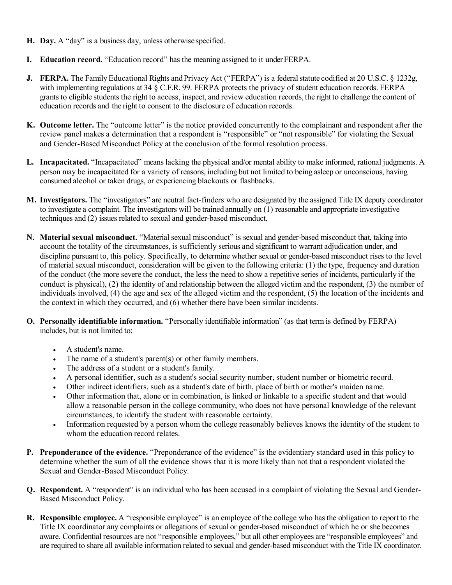- **H. Day.** A "day" is a business day, unless otherwise specified.
- **I. Education record.** "Education record" has the meaning assigned to it underFERPA.
- **J.** FERPA. The Family Educational Rights and Privacy Act ("FERPA") is a federal statute codified at 20 U.S.C. § 1232g, with implementing regulations at 34 § C.F.R. 99. FERPA protects the privacy of student education records. FERPA grants to eligible students the right to access, inspect, and review education records, the right to challenge the content of education records and the right to consent to the disclosure of education records.
- **K. Outcome letter.** The "outcome letter" is the notice provided concurrently to the complainant and respondent after the review panel makes a determination that a respondent is "responsible" or "not responsible" for violating the Sexual and Gender-Based Misconduct Policy at the conclusion of the formal resolution process.
- **L. Incapacitated.** "Incapacitated" means lacking the physical and/or mental ability to make informed, rational judgments. A person may be incapacitated for a variety of reasons, including but not limited to being asleep or unconscious, having consumed alcohol or taken drugs, or experiencing blackouts or flashbacks.
- **M. Investigators.** The "investigators" are neutral fact‐finders who are designated by the assigned Title IX deputy coordinator to investigate a complaint. The investigators will be trained annually on (1) reasonable and appropriate investigative techniques and (2) issues related to sexual and gender-based misconduct.
- **N. Material sexual misconduct.** "Material sexual misconduct" is sexual and gender-based misconduct that, taking into account the totality of the circumstances, is sufficiently serious and significant to warrant adjudication under, and discipline pursuant to, this policy. Specifically, to determine whether sexual or gender-based misconduct rises to the level of material sexual misconduct, consideration will be given to the following criteria: (1) the type, frequency and duration of the conduct (the more severe the conduct, the less the need to show a repetitive series of incidents, particularly if the conduct is physical), (2) the identity of and relationship between the alleged victim and the respondent, (3) the number of individuals involved, (4) the age and sex of the alleged victim and the respondent, (5) the location of the incidents and the context in which they occurred, and (6) whether there have been similar incidents.
- **O. Personally identifiable information.** "Personally identifiable information" (as that term is defined by FERPA) includes, but is not limited to:
	- A student's name.
	- The name of a student's parent(s) or other family members.
	- The address of a student or a student's family.
	- A personal identifier, such as a student's social security number, student number or biometric record.
	- Other indirect identifiers, such as a student's date of birth, place of birth or mother's maiden name.
	- Other information that, alone or in combination, is linked or linkable to a specific student and that would allow a reasonable person in the college community, who does not have personal knowledge of the relevant circumstances, to identify the student with reasonable certainty.
	- Information requested by a person whom the college reasonably believes knows the identity of the student to whom the education record relates.
- **P. Preponderance of the evidence.** "Preponderance of the evidence" is the evidentiary standard used in this policy to determine whether the sum of all the evidence shows that it is more likely than not that a respondent violated the Sexual and Gender-Based Misconduct Policy.
- **Q. Respondent.** A "respondent" is an individual who has been accused in a complaint of violating the Sexual and Gender-Based Misconduct Policy.
- **R. Responsible employee.** A "responsible employee" is an employee of the college who has the obligation to report to the Title IX coordinator any complaints or allegations of sexual or gender-based misconduct of which he or she becomes aware. Confidential resources are not "responsible employees," but all other employees are "responsible employees" and are required to share all available information related to sexual and gender-based misconduct with the Title IX coordinator.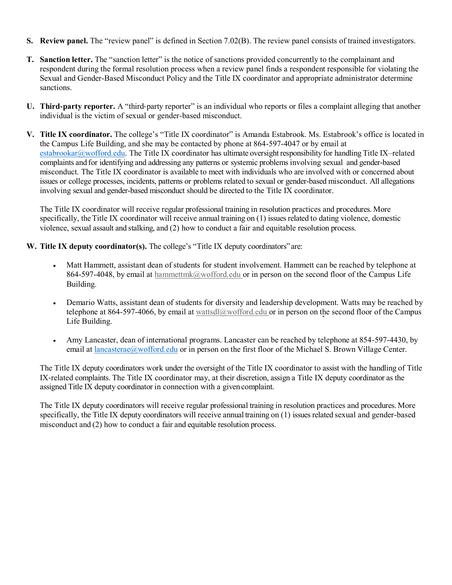- **S. Review panel.** The "review panel" is defined in Section 7.02(B). The review panel consists of trained investigators.
- **T. Sanction letter.** The "sanction letter" is the notice of sanctions provided concurrently to the complainant and respondent during the formal resolution process when a review panel finds a respondent responsible for violating the Sexual and Gender-Based Misconduct Policy and the Title IX coordinator and appropriate administrator determine sanctions.
- **U. Third**‐**party reporter.** A "third‐party reporter" is an individual who reports or files a complaint alleging that another individual is the victim of sexual or gender-based misconduct.
- **V. Title IX coordinator.** The college's "Title IX coordinator" is Amanda Estabrook. Ms. Estabrook's office is located in the Campus Life Building, and she may be contacted by phone at 864-597-4047 or by email at [estabrookar@wofford.edu.](mailto:estabrookar@wofford.edu) [The](mailto:597-4375orbyemailatnicholsmm@wofford.edu.The) Title IX coordinator has ultimate oversight responsibility for handling Title IX–related complaints and for identifying and addressing any patterns or systemic problems involving sexual and gender-based misconduct. The Title IX coordinator is available to meet with individuals who are involved with or concerned about issues or college processes, incidents, patterns or problems related to sexual or gender-based misconduct. All allegations involving sexual and gender-based misconduct should be directed to the Title IX coordinator.

The Title IX coordinator will receive regular professional training in resolution practices and procedures. More specifically, the Title IX coordinator will receive annual training on  $(1)$  issues related to dating violence, domestic violence, sexual assault and stalking, and (2) how to conduct a fair and equitable resolution process.

- **W. Title IX deputy coordinator(s).** The college's "Title IX deputy coordinators" are:
	- Matt Hammett, assistant dean of students for student involvement. Hammett can be reached by telephone at 864-597-4048, by email at [hammettmk@wofford.edu o](mailto:hammettmk@wofford.edu)r in person on the second floor of the Campus Life Building.
	- Demario Watts, assistant dean of students for diversity and leadership development. Watts may be reached by telephone at 864-597-4066, by email at wattsdl $@$ wofford.edu or in person on the second floor of the Campus Life Building.
	- Amy Lancaster, dean of international programs. Lancaster can be reached by telephone at 854-597-4430, by email at *lancasterae@wofford.edu* or in person on the first floor of the Michael S. Brown Village Center.

The Title IX deputy coordinators work under the oversight of the Title IX coordinator to assist with the handling of Title IX‐related complaints. The Title IX coordinator may, at their discretion, assign a Title IX deputy coordinator as the assigned Title IX deputy coordinator in connection with a given complaint.

The Title IX deputy coordinators will receive regular professional training in resolution practices and procedures. More specifically, the Title IX deputy coordinators will receive annual training on (1) issues related sexual and gender-based misconduct and (2) how to conduct a fair and equitable resolution process.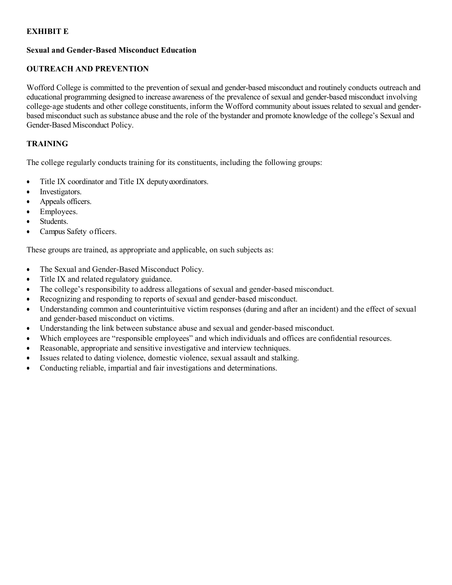## **EXHIBIT E**

#### **Sexual and Gender-Based Misconduct Education**

## **OUTREACH AND PREVENTION**

Wofford College is committed to the prevention of sexual and gender-based misconduct and routinely conducts outreach and educational programming designed to increase awareness of the prevalence of sexual and gender-based misconduct involving college‐age students and other college constituents, inform the Wofford community about issues related to sexual and genderbased misconduct such as substance abuse and the role of the bystander and promote knowledge of the college's Sexual and Gender-Based Misconduct Policy.

#### **TRAINING**

The college regularly conducts training for its constituents, including the following groups:

- Title IX coordinator and Title IX deputy coordinators.
- Investigators.
- Appeals officers.
- Employees.
- Students.
- Campus Safety officers.

These groups are trained, as appropriate and applicable, on such subjects as:

- The Sexual and Gender-Based Misconduct Policy.
- Title IX and related regulatory guidance.
- The college's responsibility to address allegations of sexual and gender-based misconduct.
- Recognizing and responding to reports of sexual and gender-based misconduct.
- Understanding common and counterintuitive victim responses (during and after an incident) and the effect of sexual and gender-based misconduct on victims.
- Understanding the link between substance abuse and sexual and gender-based misconduct.
- Which employees are "responsible employees" and which individuals and offices are confidential resources.
- Reasonable, appropriate and sensitive investigative and interview techniques.
- Issues related to dating violence, domestic violence, sexual assault and stalking.
- Conducting reliable, impartial and fair investigations and determinations.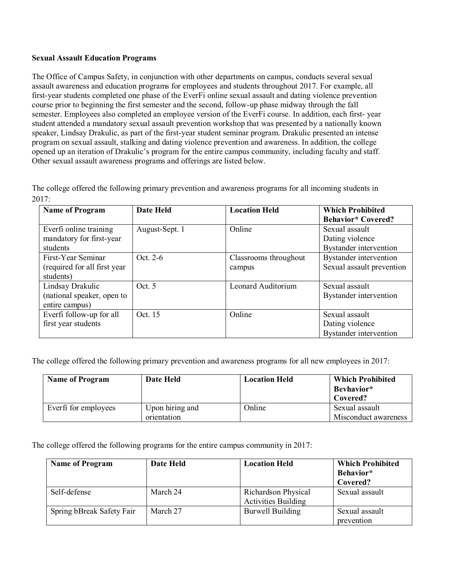#### **Sexual Assault Education Programs**

The Office of Campus Safety, in conjunction with other departments on campus, conducts several sexual assault awareness and education programs for employees and students throughout 2017. For example, all first-year students completed one phase of the EverFi online sexual assault and dating violence prevention course prior to beginning the first semester and the second, follow-up phase midway through the fall semester. Employees also completed an employee version of the EverFi course. In addition, each first- year student attended a mandatory sexual assault prevention workshop that was presented by a nationally known speaker, Lindsay Drakulic, as part of the first-year student seminar program. Drakulic presented an intense program on sexual assault, stalking and dating violence prevention and awareness. In addition, the college opened up an iteration of Drakulic's program for the entire campus community, including faculty and staff. Other sexual assault awareness programs and offerings are listed below.

The college offered the following primary prevention and awareness programs for all incoming students in 2017:

| <b>Name of Program</b>        | <b>Date Held</b> | <b>Location Held</b>  | <b>Which Prohibited</b>       |
|-------------------------------|------------------|-----------------------|-------------------------------|
|                               |                  |                       | <b>Behavior*</b> Covered?     |
| Everfi online training        | August-Sept. 1   | Online                | Sexual assault                |
| mandatory for first-year      |                  |                       | Dating violence               |
| students                      |                  |                       | <b>Bystander</b> intervention |
| First-Year Seminar            | $Oct$ 2-6        | Classrooms throughout | Bystander intervention        |
| (required for all first year) |                  | campus                | Sexual assault prevention     |
| students)                     |                  |                       |                               |
| Lindsay Drakulic              | Oct 5            | Leonard Auditorium    | Sexual assault                |
| (national speaker, open to    |                  |                       | Bystander intervention        |
| entire campus)                |                  |                       |                               |
| Everfi follow-up for all      | Oct. 15          | Online                | Sexual assault                |
| first year students           |                  |                       | Dating violence               |
|                               |                  |                       | <b>Bystander</b> intervention |

The college offered the following primary prevention and awareness programs for all new employees in 2017:

| <b>Name of Program</b> | Date Held                      | <b>Location Held</b> | <b>Which Prohibited</b><br>Bevhavior*<br>Covered? |
|------------------------|--------------------------------|----------------------|---------------------------------------------------|
| Everti for employees   | Upon hiring and<br>orientation | Online               | Sexual assault<br>Misconduct awareness            |

The college offered the following programs for the entire campus community in 2017:

| <b>Name of Program</b>    | Date Held | <b>Location Held</b>       | <b>Which Prohibited</b> |
|---------------------------|-----------|----------------------------|-------------------------|
|                           |           |                            | Behavior*               |
|                           |           |                            | Covered?                |
| Self-defense              | March 24  | Richardson Physical        | Sexual assault          |
|                           |           | <b>Activities Building</b> |                         |
| Spring bBreak Safety Fair | March 27  | <b>Burwell Building</b>    | Sexual assault          |
|                           |           |                            | prevention              |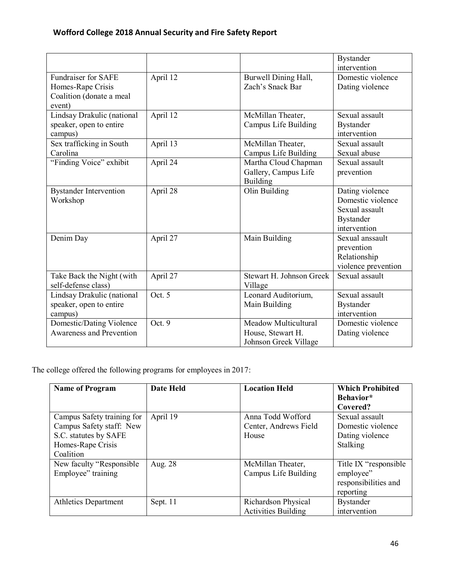|                                                                                       |          |                                                                    | <b>Bystander</b><br>intervention                                                           |
|---------------------------------------------------------------------------------------|----------|--------------------------------------------------------------------|--------------------------------------------------------------------------------------------|
| <b>Fundraiser for SAFE</b><br>Homes-Rape Crisis<br>Coalition (donate a meal<br>event) | April 12 | Burwell Dining Hall,<br>Zach's Snack Bar                           | Domestic violence<br>Dating violence                                                       |
| Lindsay Drakulic (national<br>speaker, open to entire<br>campus)                      | April 12 | McMillan Theater,<br>Campus Life Building                          | Sexual assault<br><b>Bystander</b><br>intervention                                         |
| Sex trafficking in South<br>Carolina                                                  | April 13 | McMillan Theater,<br><b>Campus Life Building</b>                   | Sexual assault<br>Sexual abuse                                                             |
| "Finding Voice" exhibit                                                               | April 24 | Martha Cloud Chapman<br>Gallery, Campus Life<br><b>Building</b>    | Sexual assault<br>prevention                                                               |
| <b>Bystander Intervention</b><br>Workshop                                             | April 28 | Olin Building                                                      | Dating violence<br>Domestic violence<br>Sexual assault<br><b>Bystander</b><br>intervention |
| Denim Day                                                                             | April 27 | Main Building                                                      | Sexual anssault<br>prevention<br>Relationship<br>violence prevention                       |
| Take Back the Night (with<br>self-defense class)                                      | April 27 | Stewart H. Johnson Greek<br>Village                                | Sexual assault                                                                             |
| Lindsay Drakulic (national<br>speaker, open to entire<br>campus)                      | Oct. 5   | Leonard Auditorium,<br>Main Building                               | Sexual assault<br><b>Bystander</b><br>intervention                                         |
| <b>Domestic/Dating Violence</b><br><b>Awareness and Prevention</b>                    | Oct. 9   | Meadow Multicultural<br>House, Stewart H.<br>Johnson Greek Village | Domestic violence<br>Dating violence                                                       |

The college offered the following programs for employees in 2017:

| <b>Name of Program</b>      | <b>Date Held</b> | <b>Location Held</b>       | <b>Which Prohibited</b> |
|-----------------------------|------------------|----------------------------|-------------------------|
|                             |                  |                            | Behavior*               |
|                             |                  |                            | Covered?                |
| Campus Safety training for  | April 19         | Anna Todd Wofford          | Sexual assault          |
| Campus Safety staff: New    |                  | Center, Andrews Field      | Domestic violence       |
| S.C. statutes by SAFE       |                  | House                      | Dating violence         |
| Homes-Rape Crisis           |                  |                            | <b>Stalking</b>         |
| Coalition                   |                  |                            |                         |
| New faculty "Responsible"   | Aug. 28          | McMillan Theater,          | Title IX "responsible"  |
| Employee" training          |                  | Campus Life Building       | employee"               |
|                             |                  |                            | responsibilities and    |
|                             |                  |                            | reporting               |
| <b>Athletics Department</b> | Sept. 11         | Richardson Physical        | <b>Bystander</b>        |
|                             |                  | <b>Activities Building</b> | intervention            |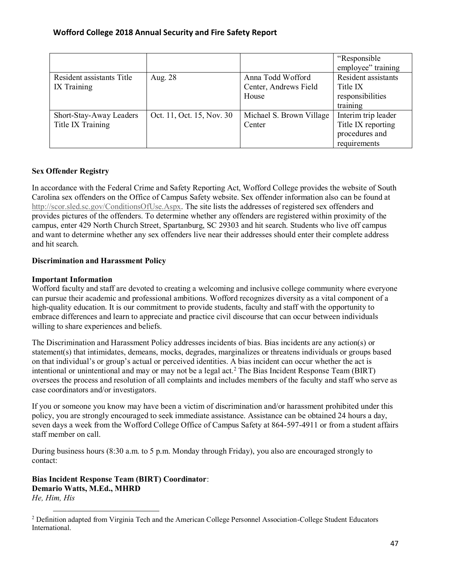|                                              |                           |                                                     | "Responsible"<br>employee" training                                         |
|----------------------------------------------|---------------------------|-----------------------------------------------------|-----------------------------------------------------------------------------|
| Resident assistants Title<br>IX Training     | Aug. 28                   | Anna Todd Wofford<br>Center, Andrews Field<br>House | Resident assistants<br>Title IX<br>responsibilities<br>training             |
| Short-Stay-Away Leaders<br>Title IX Training | Oct. 11, Oct. 15, Nov. 30 | Michael S. Brown Village<br>Center                  | Interim trip leader<br>Title IX reporting<br>procedures and<br>requirements |

## **Sex Offender Registry**

In accordance with the Federal Crime and Safety Reporting Act, Wofford College provides the website of South Carolina sex offenders on the Office of Campus Safety website. Sex offender information also can be found at [http://scor.sled.sc.gov/ConditionsOfUse.Aspx.](http://scor.sled.sc.gov/ConditionsOfUse.Aspx) The site lists the addresses of registered sex offenders and provides pictures of the offenders. To determine whether any offenders are registered within proximity of the campus, enter 429 North Church Street, Spartanburg, SC 29303 and hit search. Students who live off campus and want to determine whether any sex offenders live near their addresses should enter their complete address and hit search.

## **Discrimination and Harassment Policy**

## **Important Information**

 $\overline{a}$ 

Wofford faculty and staff are devoted to creating a welcoming and inclusive college community where everyone can pursue their academic and professional ambitions. Wofford recognizes diversity as a vital component of a high-quality education. It is our commitment to provide students, faculty and staff with the opportunity to embrace differences and learn to appreciate and practice civil discourse that can occur between individuals willing to share experiences and beliefs.

The Discrimination and Harassment Policy addresses incidents of bias. Bias incidents are any action(s) or statement(s) that intimidates, demeans, mocks, degrades, marginalizes or threatens individuals or groups based on that individual's or group's actual or perceived identities. A bias incident can occur whether the act is intentional or unintentional and may or may not be a legal act.<sup>2</sup> The Bias Incident Response Team (BIRT) oversees the process and resolution of all complaints and includes members of the faculty and staff who serve as case coordinators and/or investigators.

If you or someone you know may have been a victim of discrimination and/or harassment prohibited under this policy, you are strongly encouraged to seek immediate assistance. Assistance can be obtained 24 hours a day, seven days a week from the Wofford College Office of Campus Safety at 864-597-4911 or from a student affairs staff member on call.

During business hours (8:30 a.m. to 5 p.m. Monday through Friday), you also are encouraged strongly to contact:

**Bias Incident Response Team (BIRT) Coordinator**: **Demario Watts, M.Ed., MHRD** *He, Him, His*

<sup>2</sup> Definition adapted from Virginia Tech and the American College Personnel Association-College Student Educators International.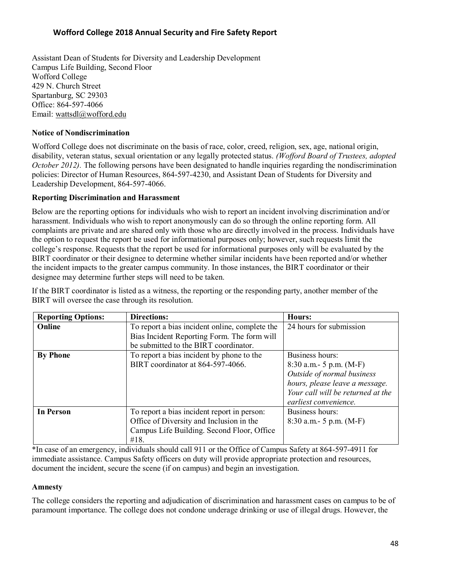Assistant Dean of Students for Diversity and Leadership Development Campus Life Building, Second Floor Wofford College 429 N. Church Street Spartanburg, SC 29303 Office: 864-597-4066 Email: [wattsdl@wofford.edu](mailto:wattsdl@wofford.edu)

#### **Notice of Nondiscrimination**

Wofford College does not discriminate on the basis of race, color, creed, religion, sex, age, national origin, disability, veteran status, sexual orientation or any legally protected status. *(Wofford Board of Trustees, adopted October 2012*). The following persons have been designated to handle inquiries regarding the nondiscrimination policies: Director of Human Resources, 864-597-4230, and Assistant Dean of Students for Diversity and Leadership Development, 864-597-4066.

## **Reporting Discrimination and Harassment**

Below are the reporting options for individuals who wish to report an incident involving discrimination and/or harassment. Individuals who wish to report anonymously can do so through the online reporting form. All complaints are private and are shared only with those who are directly involved in the process. Individuals have the option to request the report be used for informational purposes only; however, such requests limit the college's response. Requests that the report be used for informational purposes only will be evaluated by the BIRT coordinator or their designee to determine whether similar incidents have been reported and/or whether the incident impacts to the greater campus community. In those instances, the BIRT coordinator or their designee may determine further steps will need to be taken.

If the BIRT coordinator is listed as a witness, the reporting or the responding party, another member of the BIRT will oversee the case through its resolution.

| <b>Reporting Options:</b> | <b>Directions:</b>                             | Hours:                            |
|---------------------------|------------------------------------------------|-----------------------------------|
| Online                    | To report a bias incident online, complete the | 24 hours for submission           |
|                           | Bias Incident Reporting Form. The form will    |                                   |
|                           | be submitted to the BIRT coordinator.          |                                   |
| <b>By Phone</b>           | To report a bias incident by phone to the      | Business hours:                   |
|                           | BIRT coordinator at 864-597-4066.              | $8:30$ a.m. - 5 p.m. (M-F)        |
|                           |                                                | Outside of normal business        |
|                           |                                                | hours, please leave a message.    |
|                           |                                                | Your call will be returned at the |
|                           |                                                | earliest convenience.             |
| <b>In Person</b>          | To report a bias incident report in person:    | Business hours:                   |
|                           | Office of Diversity and Inclusion in the       | $8:30$ a.m. - 5 p.m. (M-F)        |
|                           | Campus Life Building. Second Floor, Office     |                                   |
|                           | #18.                                           |                                   |

\*In case of an emergency, individuals should call 911 or the Office of Campus Safety at 864-597-4911 for immediate assistance. Campus Safety officers on duty will provide appropriate protection and resources, document the incident, secure the scene (if on campus) and begin an investigation.

#### **Amnesty**

The college considers the reporting and adjudication of discrimination and harassment cases on campus to be of paramount importance. The college does not condone underage drinking or use of illegal drugs. However, the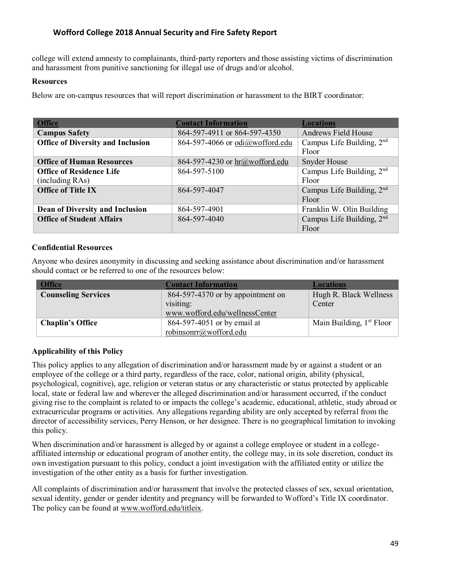college will extend amnesty to complainants, third‐party reporters and those assisting victims of discrimination and harassment from punitive sanctioning for illegal use of drugs and/or alcohol.

#### **Resources**

Below are on-campus resources that will report discrimination or harassment to the BIRT coordinator:

| <b>Office</b>                            | <b>Contact Information</b>      | <b>Locations</b>            |
|------------------------------------------|---------------------------------|-----------------------------|
| <b>Campus Safety</b>                     | 864-597-4911 or 864-597-4350    | <b>Andrews Field House</b>  |
| <b>Office of Diversity and Inclusion</b> | 864-597-4066 or odi@wofford.edu | Campus Life Building, $2nd$ |
|                                          |                                 | Floor                       |
| <b>Office of Human Resources</b>         | 864-597-4230 or hr@wofford.edu  | <b>Snyder House</b>         |
| <b>Office of Residence Life</b>          | 864-597-5100                    | Campus Life Building, $2nd$ |
| (including RAs)                          |                                 | Floor                       |
| <b>Office of Title IX</b>                | 864-597-4047                    | Campus Life Building, $2nd$ |
|                                          |                                 | Floor                       |
| <b>Dean of Diversity and Inclusion</b>   | 864-597-4901                    | Franklin W. Olin Building   |
| <b>Office of Student Affairs</b>         | 864-597-4040                    | Campus Life Building, $2nd$ |
|                                          |                                 | Floor                       |

#### **Confidential Resources**

Anyone who desires anonymity in discussing and seeking assistance about discrimination and/or harassment should contact or be referred to one of the resources below:

| <b>Office</b>              | <b>Contact Information</b>          | Locations                  |
|----------------------------|-------------------------------------|----------------------------|
| <b>Counseling Services</b> | $864-597-4370$ or by appointment on | Hugh R. Black Wellness     |
|                            | visiting:                           | Center                     |
|                            | www.wofford.edu/wellnessCenter      |                            |
| <b>Chaplin's Office</b>    | 864-597-4051 or by email at         | Main Building, $1st$ Floor |
|                            | robinsonrr@wofford.edu              |                            |

## **Applicability of this Policy**

This policy applies to any allegation of discrimination and/or harassment made by or against a student or an employee of the college or a third party, regardless of the race, color, national origin, ability (physical, psychological, cognitive), age, religion or veteran status or any characteristic or status protected by applicable local, state or federal law and wherever the alleged discrimination and/or harassment occurred, if the conduct giving rise to the complaint is related to or impacts the college's academic, educational, athletic, study abroad or extracurricular programs or activities. Any allegations regarding ability are only accepted by referral from the director of accessibility services, Perry Henson, or her designee. There is no geographical limitation to invoking this policy.

When discrimination and/or harassment is alleged by or against a college employee or student in a collegeaffiliated internship or educational program of another entity, the college may, in its sole discretion, conduct its own investigation pursuant to this policy, conduct a joint investigation with the affiliated entity or utilize the investigation of the other entity as a basis for further investigation.

All complaints of discrimination and/or harassment that involve the protected classes of sex, sexual orientation, sexual identity, gender or gender identity and pregnancy will be forwarded to Wofford's Title IX coordinator. The policy can be found at [www.wofford.edu/titleix.](http://www.wofford.edu/titleix)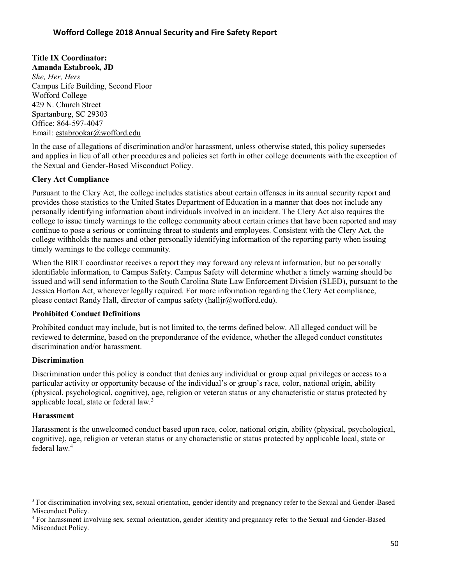## **Title IX Coordinator:**

**Amanda Estabrook, JD** *She, Her, Hers* Campus Life Building, Second Floor Wofford College 429 N. Church Street Spartanburg, SC 29303 Office: 864-597-4047 Email: [estabrookar@wofford.edu](mailto:estabrookar@wofford.edu)

In the case of allegations of discrimination and/or harassment, unless otherwise stated, this policy supersedes and applies in lieu of all other procedures and policies set forth in other college documents with the exception of the Sexual and Gender-Based Misconduct Policy.

## **Clery Act Compliance**

Pursuant to the Clery Act, the college includes statistics about certain offenses in its annual security report and provides those statistics to the United States Department of Education in a manner that does not include any personally identifying information about individuals involved in an incident. The Clery Act also requires the college to issue timely warnings to the college community about certain crimes that have been reported and may continue to pose a serious or continuing threat to students and employees. Consistent with the Clery Act, the college withholds the names and other personally identifying information of the reporting party when issuing timely warnings to the college community.

When the BIRT coordinator receives a report they may forward any relevant information, but no personally identifiable information, to Campus Safety. Campus Safety will determine whether a timely warning should be issued and will send information to the South Carolina State Law Enforcement Division (SLED), pursuant to the Jessica Horton Act, whenever legally required. For more information regarding the Clery Act compliance, please contact Randy Hall, director of campus safety [\(halljr@wofford.edu\)](mailto:halljr@wofford.edu).

## **Prohibited Conduct Definitions**

Prohibited conduct may include, but is not limited to, the terms defined below. All alleged conduct will be reviewed to determine, based on the preponderance of the evidence, whether the alleged conduct constitutes discrimination and/or harassment.

## **Discrimination**

Discrimination under this policy is conduct that denies any individual or group equal privileges or access to a particular activity or opportunity because of the individual's or group's race, color, national origin, ability (physical, psychological, cognitive), age, religion or veteran status or any characteristic or status protected by applicable local, state or federal law.<sup>3</sup>

## **Harassment**

 $\overline{\phantom{0}}$ 

Harassment is the unwelcomed conduct based upon race, color, national origin, ability (physical, psychological, cognitive), age, religion or veteran status or any characteristic or status protected by applicable local, state or federal law.<sup>4</sup>

<sup>&</sup>lt;sup>3</sup> For discrimination involving sex, sexual orientation, gender identity and pregnancy refer to the Sexual and Gender-Based Misconduct Policy.

<sup>&</sup>lt;sup>4</sup> For harassment involving sex, sexual orientation, gender identity and pregnancy refer to the Sexual and Gender-Based Misconduct Policy.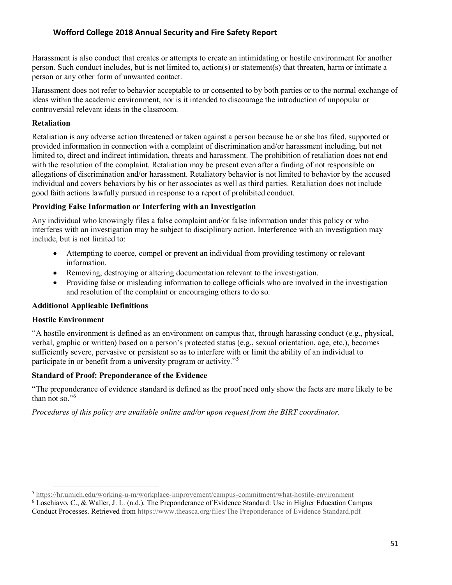Harassment is also conduct that creates or attempts to create an intimidating or hostile environment for another person. Such conduct includes, but is not limited to, action(s) or statement(s) that threaten, harm or intimate a person or any other form of unwanted contact.

Harassment does not refer to behavior acceptable to or consented to by both parties or to the normal exchange of ideas within the academic environment, nor is it intended to discourage the introduction of unpopular or controversial relevant ideas in the classroom.

#### **Retaliation**

Retaliation is any adverse action threatened or taken against a person because he or she has filed, supported or provided information in connection with a complaint of discrimination and/or harassment including, but not limited to, direct and indirect intimidation, threats and harassment. The prohibition of retaliation does not end with the resolution of the complaint. Retaliation may be present even after a finding of not responsible on allegations of discrimination and/or harassment. Retaliatory behavior is not limited to behavior by the accused individual and covers behaviors by his or her associates as well as third parties. Retaliation does not include good faith actions lawfully pursued in response to a report of prohibited conduct.

#### **Providing False Information or Interfering with an Investigation**

Any individual who knowingly files a false complaint and/or false information under this policy or who interferes with an investigation may be subject to disciplinary action. Interference with an investigation may include, but is not limited to:

- Attempting to coerce, compel or prevent an individual from providing testimony or relevant information.
- Removing, destroying or altering documentation relevant to the investigation.
- Providing false or misleading information to college officials who are involved in the investigation and resolution of the complaint or encouraging others to do so.

## **Additional Applicable Definitions**

#### **Hostile Environment**

l

"A hostile environment is defined as an environment on campus that, through harassing conduct (e.g., physical, verbal, graphic or written) based on a person's protected status (e.g., sexual orientation, age, etc.), becomes sufficiently severe, pervasive or persistent so as to interfere with or limit the ability of an individual to participate in or benefit from a university program or activity."<sup>5</sup>

#### **Standard of Proof: Preponderance of the Evidence**

"The preponderance of evidence standard is defined as the proof need only show the facts are more likely to be than not so."<sup>6</sup>

*Procedures of this policy are available online and/or upon request from the BIRT coordinator.* 

<sup>5</sup> <https://hr.umich.edu/working-u-m/workplace-improvement/campus-commitment/what-hostile-environment>

<sup>6</sup> Loschiavo, C., & Waller, J. L. (n.d.). The Preponderance of Evidence Standard: Use in Higher Education Campus Conduct Processes. Retrieved from https://www.theasca.org/files/The [Preponderance of Evidence Standard.pdf](https://www.theasca.org/files/The%20Preponderance%20of%20Evidence%20Standard.pdf)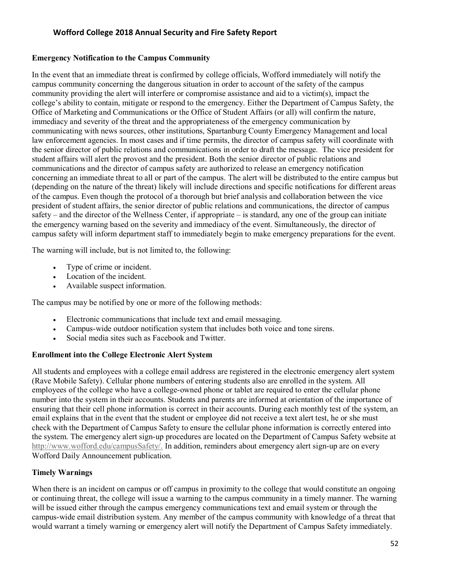#### **Emergency Notification to the Campus Community**

In the event that an immediate threat is confirmed by college officials, Wofford immediately will notify the campus community concerning the dangerous situation in order to account of the safety of the campus community providing the alert will interfere or compromise assistance and aid to a victim(s), impact the college's ability to contain, mitigate or respond to the emergency. Either the Department of Campus Safety, the Office of Marketing and Communications or the Office of Student Affairs (or all) will confirm the nature, immediacy and severity of the threat and the appropriateness of the emergency communication by communicating with news sources, other institutions, Spartanburg County Emergency Management and local law enforcement agencies. In most cases and if time permits, the director of campus safety will coordinate with the senior director of public relations and communications in order to draft the message. The vice president for student affairs will alert the provost and the president. Both the senior director of public relations and communications and the director of campus safety are authorized to release an emergency notification concerning an immediate threat to all or part of the campus. The alert will be distributed to the entire campus but (depending on the nature of the threat) likely will include directions and specific notifications for different areas of the campus. Even though the protocol of a thorough but brief analysis and collaboration between the vice president of student affairs, the senior director of public relations and communications, the director of campus safety – and the director of the Wellness Center, if appropriate – is standard, any one of the group can initiate the emergency warning based on the severity and immediacy of the event. Simultaneously, the director of campus safety will inform department staff to immediately begin to make emergency preparations for the event.

The warning will include, but is not limited to, the following:

- Type of crime or incident.
- Location of the incident.
- Available suspect information.

The campus may be notified by one or more of the following methods:

- Electronic communications that include text and email messaging.
- Campus-wide outdoor notification system that includes both voice and tone sirens.
- Social media sites such as Facebook and Twitter.

#### **Enrollment into the College Electronic Alert System**

All students and employees with a college email address are registered in the electronic emergency alert system (Rave Mobile Safety). Cellular phone numbers of entering students also are enrolled in the system. All employees of the college who have a college-owned phone or tablet are required to enter the cellular phone number into the system in their accounts. Students and parents are informed at orientation of the importance of ensuring that their cell phone information is correct in their accounts. During each monthly test of the system, an email explains that in the event that the student or employee did not receive a text alert test, he or she must check with the Department of Campus Safety to ensure the cellular phone information is correctly entered into the system. The emergency alert sign-up procedures are located on the Department of Campus Safety website at [http://www.wofford.edu/campusSafety/.](http://www.wofford.edu/campusSafety/) In addition, reminders about emergency alert sign-up are on every Wofford Daily Announcement publication.

#### **Timely Warnings**

When there is an incident on campus or off campus in proximity to the college that would constitute an ongoing or continuing threat, the college will issue a warning to the campus community in a timely manner. The warning will be issued either through the campus emergency communications text and email system or through the campus-wide email distribution system. Any member of the campus community with knowledge of a threat that would warrant a timely warning or emergency alert will notify the Department of Campus Safety immediately.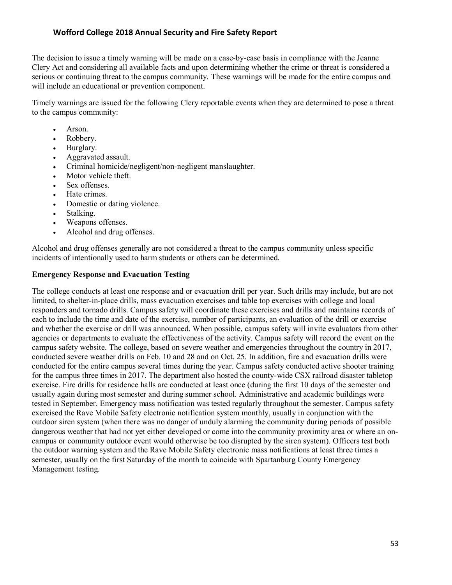The decision to issue a timely warning will be made on a case-by-case basis in compliance with the Jeanne Clery Act and considering all available facts and upon determining whether the crime or threat is considered a serious or continuing threat to the campus community. These warnings will be made for the entire campus and will include an educational or prevention component.

Timely warnings are issued for the following Clery reportable events when they are determined to pose a threat to the campus community:

- Arson.
- Robbery.
- Burglary.
- Aggravated assault.
- Criminal homicide/negligent/non-negligent manslaughter.
- Motor vehicle theft.
- Sex offenses.
- Hate crimes.
- Domestic or dating violence.
- Stalking.
- Weapons offenses.
- Alcohol and drug offenses.

Alcohol and drug offenses generally are not considered a threat to the campus community unless specific incidents of intentionally used to harm students or others can be determined.

#### **Emergency Response and Evacuation Testing**

The college conducts at least one response and or evacuation drill per year. Such drills may include, but are not limited, to shelter-in-place drills, mass evacuation exercises and table top exercises with college and local responders and tornado drills. Campus safety will coordinate these exercises and drills and maintains records of each to include the time and date of the exercise, number of participants, an evaluation of the drill or exercise and whether the exercise or drill was announced. When possible, campus safety will invite evaluators from other agencies or departments to evaluate the effectiveness of the activity. Campus safety will record the event on the campus safety website. The college, based on severe weather and emergencies throughout the country in 2017, conducted severe weather drills on Feb. 10 and 28 and on Oct. 25. In addition, fire and evacuation drills were conducted for the entire campus several times during the year. Campus safety conducted active shooter training for the campus three times in 2017. The department also hosted the county-wide CSX railroad disaster tabletop exercise. Fire drills for residence halls are conducted at least once (during the first 10 days of the semester and usually again during most semester and during summer school. Administrative and academic buildings were tested in September. Emergency mass notification was tested regularly throughout the semester. Campus safety exercised the Rave Mobile Safety electronic notification system monthly, usually in conjunction with the outdoor siren system (when there was no danger of unduly alarming the community during periods of possible dangerous weather that had not yet either developed or come into the community proximity area or where an oncampus or community outdoor event would otherwise be too disrupted by the siren system). Officers test both the outdoor warning system and the Rave Mobile Safety electronic mass notifications at least three times a semester, usually on the first Saturday of the month to coincide with Spartanburg County Emergency Management testing.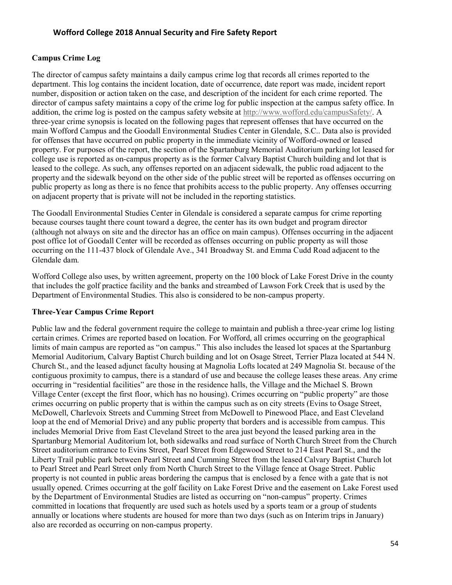#### **Campus Crime Log**

The director of campus safety maintains a daily campus crime log that records all crimes reported to the department. This log contains the incident location, date of occurrence, date report was made, incident report number, disposition or action taken on the case, and description of the incident for each crime reported. The director of campus safety maintains a copy of the crime log for public inspection at the campus safety office. In addition, the crime log is posted on the campus safety website at [http://www.wofford.edu/campusSafety/.](http://www.wofford.edu/campusSafety/) A three-year crime synopsis is located on the following pages that represent offenses that have occurred on the main Wofford Campus and the Goodall Environmental Studies Center in Glendale, S.C.. Data also is provided for offenses that have occurred on public property in the immediate vicinity of Wofford-owned or leased property. For purposes of the report, the section of the Spartanburg Memorial Auditorium parking lot leased for college use is reported as on-campus property as is the former Calvary Baptist Church building and lot that is leased to the college. As such, any offenses reported on an adjacent sidewalk, the public road adjacent to the property and the sidewalk beyond on the other side of the public street will be reported as offenses occurring on public property as long as there is no fence that prohibits access to the public property. Any offenses occurring on adjacent property that is private will not be included in the reporting statistics.

The Goodall Environmental Studies Center in Glendale is considered a separate campus for crime reporting because courses taught there count toward a degree, the center has its own budget and program director (although not always on site and the director has an office on main campus). Offenses occurring in the adjacent post office lot of Goodall Center will be recorded as offenses occurring on public property as will those occurring on the 111-437 block of Glendale Ave., 341 Broadway St. and Emma Cudd Road adjacent to the Glendale dam.

Wofford College also uses, by written agreement, property on the 100 block of Lake Forest Drive in the county that includes the golf practice facility and the banks and streambed of Lawson Fork Creek that is used by the Department of Environmental Studies. This also is considered to be non-campus property.

#### **Three-Year Campus Crime Report**

Public law and the federal government require the college to maintain and publish a three-year crime log listing certain crimes. Crimes are reported based on location. For Wofford, all crimes occurring on the geographical limits of main campus are reported as "on campus." This also includes the leased lot spaces at the Spartanburg Memorial Auditorium, Calvary Baptist Church building and lot on Osage Street, Terrier Plaza located at 544 N. Church St., and the leased adjunct faculty housing at Magnolia Lofts located at 249 Magnolia St. because of the contiguous proximity to campus, there is a standard of use and because the college leases these areas. Any crime occurring in "residential facilities" are those in the residence halls, the Village and the Michael S. Brown Village Center (except the first floor, which has no housing). Crimes occurring on "public property" are those crimes occurring on public property that is within the campus such as on city streets (Evins to Osage Street, McDowell, Charlevoix Streets and Cumming Street from McDowell to Pinewood Place, and East Cleveland loop at the end of Memorial Drive) and any public property that borders and is accessible from campus. This includes Memorial Drive from East Cleveland Street to the area just beyond the leased parking area in the Spartanburg Memorial Auditorium lot, both sidewalks and road surface of North Church Street from the Church Street auditorium entrance to Evins Street, Pearl Street from Edgewood Street to 214 East Pearl St., and the Liberty Trail public park between Pearl Street and Cumming Street from the leased Calvary Baptist Church lot to Pearl Street and Pearl Street only from North Church Street to the Village fence at Osage Street. Public property is not counted in public areas bordering the campus that is enclosed by a fence with a gate that is not usually opened. Crimes occurring at the golf facility on Lake Forest Drive and the easement on Lake Forest used by the Department of Environmental Studies are listed as occurring on "non-campus" property. Crimes committed in locations that frequently are used such as hotels used by a sports team or a group of students annually or locations where students are housed for more than two days (such as on Interim trips in January) also are recorded as occurring on non-campus property.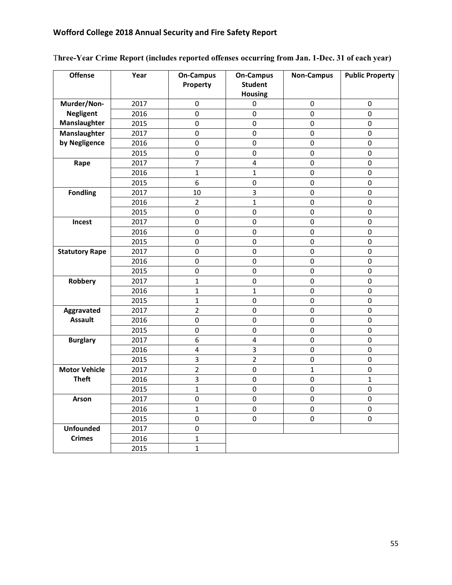| <b>Offense</b>        | Year | <b>On-Campus</b><br>Property | <b>On-Campus</b><br><b>Student</b><br><b>Housing</b> | <b>Non-Campus</b> | <b>Public Property</b> |
|-----------------------|------|------------------------------|------------------------------------------------------|-------------------|------------------------|
| Murder/Non-           | 2017 | 0                            | 0                                                    | 0                 | $\pmb{0}$              |
| <b>Negligent</b>      | 2016 | $\mathbf 0$                  | 0                                                    | $\mathbf 0$       | $\mathbf 0$            |
| Manslaughter          | 2015 | $\mathbf 0$                  | $\mathbf 0$                                          | $\mathbf 0$       | $\mathbf 0$            |
| Manslaughter          | 2017 | $\mathbf 0$                  | $\mathbf 0$                                          | $\mathbf 0$       | $\mathbf 0$            |
| by Negligence         | 2016 | $\mathbf 0$                  | $\mathbf 0$                                          | $\pmb{0}$         | $\mathbf 0$            |
|                       | 2015 | 0                            | 0                                                    | $\pmb{0}$         | $\pmb{0}$              |
| Rape                  | 2017 | $\overline{7}$               | 4                                                    | $\pmb{0}$         | $\pmb{0}$              |
|                       | 2016 | 1                            | 1                                                    | $\pmb{0}$         | $\pmb{0}$              |
|                       | 2015 | 6                            | 0                                                    | $\mathbf 0$       | 0                      |
| <b>Fondling</b>       | 2017 | 10                           | 3                                                    | $\mathbf 0$       | $\mathbf 0$            |
|                       | 2016 | $\overline{2}$               | $\mathbf{1}$                                         | $\pmb{0}$         | $\pmb{0}$              |
|                       | 2015 | $\mathbf 0$                  | $\mathbf 0$                                          | $\mathbf 0$       | $\mathbf 0$            |
| Incest                | 2017 | $\mathbf 0$                  | 0                                                    | $\mathbf 0$       | $\mathbf 0$            |
|                       | 2016 | $\mathbf 0$                  | 0                                                    | 0                 | $\mathbf 0$            |
|                       | 2015 | $\mathbf 0$                  | $\mathbf 0$                                          | $\mathbf 0$       | $\mathbf 0$            |
| <b>Statutory Rape</b> | 2017 | $\mathbf 0$                  | $\mathbf 0$                                          | $\mathbf 0$       | $\mathbf 0$            |
|                       | 2016 | 0                            | 0                                                    | $\pmb{0}$         | $\pmb{0}$              |
|                       | 2015 | 0                            | 0                                                    | $\pmb{0}$         | $\pmb{0}$              |
| Robbery               | 2017 | $\mathbf{1}$                 | $\pmb{0}$                                            | 0                 | $\pmb{0}$              |
|                       | 2016 | $\mathbf{1}$                 | 1                                                    | 0                 | 0                      |
|                       | 2015 | $\mathbf{1}$                 | 0                                                    | 0                 | 0                      |
| Aggravated            | 2017 | $\overline{2}$               | 0                                                    | 0                 | 0                      |
| <b>Assault</b>        | 2016 | 0                            | $\pmb{0}$                                            | $\pmb{0}$         | $\pmb{0}$              |
|                       | 2015 | $\mathbf 0$                  | $\mathbf 0$                                          | $\mathbf 0$       | $\mathbf 0$            |
| <b>Burglary</b>       | 2017 | 6                            | 4                                                    | $\mathbf 0$       | $\mathbf 0$            |
|                       | 2016 | $\overline{4}$               | 3                                                    | $\pmb{0}$         | $\mathbf 0$            |
|                       | 2015 | 3                            | $\overline{2}$                                       | $\mathbf 0$       | $\mathbf 0$            |
| <b>Motor Vehicle</b>  | 2017 | $\overline{2}$               | $\mathbf 0$                                          | $\mathbf{1}$      | $\mathbf 0$            |
| <b>Theft</b>          | 2016 | 3                            | $\pmb{0}$                                            | $\pmb{0}$         | $\mathbf{1}$           |
|                       | 2015 | $\mathbf{1}$                 | 0                                                    | $\pmb{0}$         | $\pmb{0}$              |
| Arson                 | 2017 | 0                            | $\pmb{0}$                                            | $\pmb{0}$         | $\pmb{0}$              |
|                       | 2016 | $\mathbf{1}$                 | 0                                                    | 0                 | $\pmb{0}$              |
|                       | 2015 | 0                            | 0                                                    | $\mathbf 0$       | $\mathbf 0$            |
| <b>Unfounded</b>      | 2017 | 0                            |                                                      |                   |                        |
| <b>Crimes</b>         | 2016 | $\mathbf{1}$                 |                                                      |                   |                        |
|                       | 2015 | $\mathbf{1}$                 |                                                      |                   |                        |

## T**hree-Year Crime Report (includes reported offenses occurring from Jan. 1-Dec. 31 of each year)**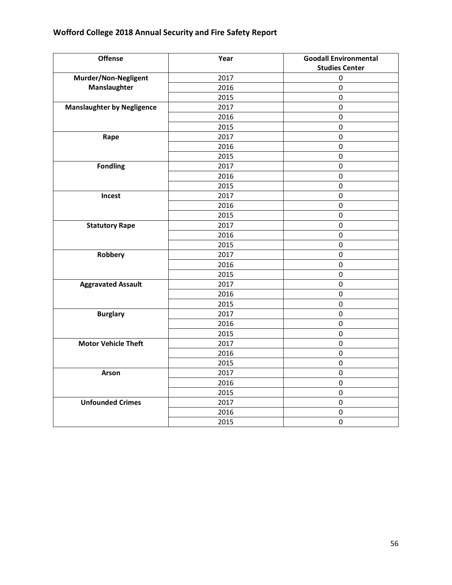| <b>Offense</b>                    | Year | <b>Goodall Environmental</b> |
|-----------------------------------|------|------------------------------|
|                                   |      | <b>Studies Center</b>        |
| Murder/Non-Negligent              | 2017 | $\pmb{0}$                    |
| Manslaughter                      | 2016 | $\pmb{0}$                    |
|                                   | 2015 | $\pmb{0}$                    |
| <b>Manslaughter by Negligence</b> | 2017 | $\pmb{0}$                    |
|                                   | 2016 | $\pmb{0}$                    |
|                                   | 2015 | $\mathbf 0$                  |
| Rape                              | 2017 | $\pmb{0}$                    |
|                                   | 2016 | $\mathbf 0$                  |
|                                   | 2015 | $\mathsf 0$                  |
| <b>Fondling</b>                   | 2017 | $\pmb{0}$                    |
|                                   | 2016 | $\pmb{0}$                    |
|                                   | 2015 | $\mathsf 0$                  |
| Incest                            | 2017 | $\pmb{0}$                    |
|                                   | 2016 | $\pmb{0}$                    |
|                                   | 2015 | $\mathsf 0$                  |
| <b>Statutory Rape</b>             | 2017 | $\mathsf 0$                  |
|                                   | 2016 | $\pmb{0}$                    |
|                                   | 2015 | $\mathsf 0$                  |
| Robbery                           | 2017 | $\pmb{0}$                    |
|                                   | 2016 | $\pmb{0}$                    |
|                                   | 2015 | $\pmb{0}$                    |
| <b>Aggravated Assault</b>         | 2017 | $\pmb{0}$                    |
|                                   | 2016 | $\pmb{0}$                    |
|                                   | 2015 | $\pmb{0}$                    |
| <b>Burglary</b>                   | 2017 | $\mathsf 0$                  |
|                                   | 2016 | $\mathsf 0$                  |
|                                   | 2015 | $\pmb{0}$                    |
| <b>Motor Vehicle Theft</b>        | 2017 | $\pmb{0}$                    |
|                                   | 2016 | $\pmb{0}$                    |
|                                   | 2015 | $\pmb{0}$                    |
| Arson                             | 2017 | $\pmb{0}$                    |
|                                   | 2016 | $\pmb{0}$                    |
|                                   | 2015 | $\pmb{0}$                    |
| <b>Unfounded Crimes</b>           | 2017 | $\pmb{0}$                    |
|                                   | 2016 | $\pmb{0}$                    |
|                                   | 2015 | $\pmb{0}$                    |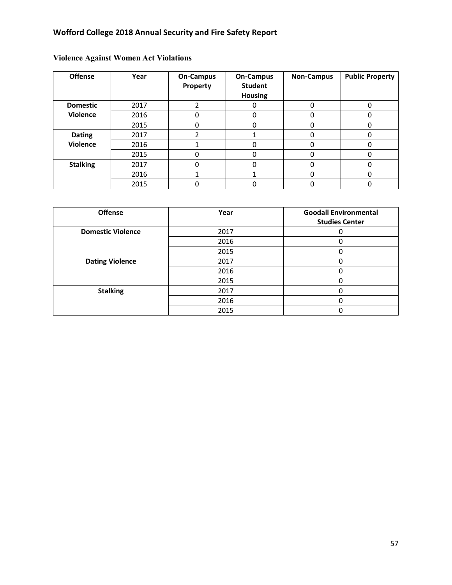| <b>Offense</b>  | Year | <b>On-Campus</b><br>Property | <b>On-Campus</b><br><b>Student</b><br><b>Housing</b> | <b>Non-Campus</b> | <b>Public Property</b> |
|-----------------|------|------------------------------|------------------------------------------------------|-------------------|------------------------|
| <b>Domestic</b> | 2017 |                              | Ω                                                    | 0                 | 0                      |
| <b>Violence</b> | 2016 |                              | 0                                                    | 0                 |                        |
|                 | 2015 |                              | n                                                    | 0                 |                        |
| <b>Dating</b>   | 2017 |                              |                                                      | 0                 |                        |
| <b>Violence</b> | 2016 |                              |                                                      | 0                 |                        |
|                 | 2015 |                              | 0                                                    | 0                 | O                      |
| <b>Stalking</b> | 2017 |                              | O                                                    | 0                 |                        |
|                 | 2016 |                              |                                                      | 0                 |                        |
|                 | 2015 |                              |                                                      | 0                 |                        |

## **Violence Against Women Act Violations**

| <b>Offense</b>           | Year | <b>Goodall Environmental</b><br><b>Studies Center</b> |
|--------------------------|------|-------------------------------------------------------|
| <b>Domestic Violence</b> | 2017 |                                                       |
|                          | 2016 |                                                       |
|                          | 2015 |                                                       |
| <b>Dating Violence</b>   | 2017 |                                                       |
|                          | 2016 |                                                       |
|                          | 2015 |                                                       |
| <b>Stalking</b>          | 2017 |                                                       |
|                          | 2016 |                                                       |
|                          | 2015 |                                                       |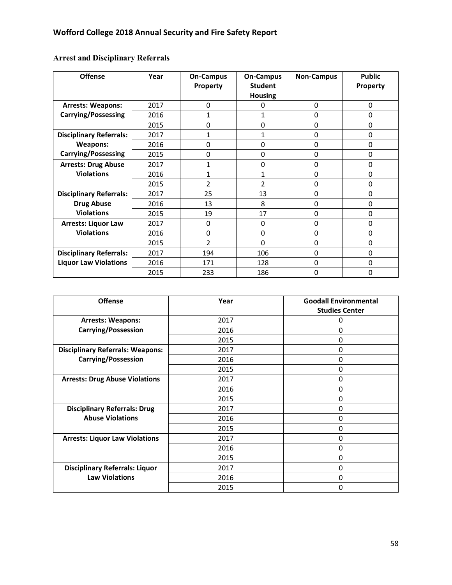**Arrest and Disciplinary Referrals**

| <b>Offense</b>                 | Year | <b>On-Campus</b> | <b>On-Campus</b> | <b>Non-Campus</b> | <b>Public</b> |
|--------------------------------|------|------------------|------------------|-------------------|---------------|
|                                |      | Property         | <b>Student</b>   |                   | Property      |
|                                |      |                  | <b>Housing</b>   |                   |               |
| <b>Arrests: Weapons:</b>       | 2017 | 0                | 0                | 0                 | 0             |
| <b>Carrying/Possessing</b>     | 2016 | 1                | 1                | 0                 | $\Omega$      |
|                                | 2015 | 0                | 0                | 0                 | 0             |
| <b>Disciplinary Referrals:</b> | 2017 | $\mathbf{1}$     | $\mathbf{1}$     | 0                 | 0             |
| Weapons:                       | 2016 | 0                | 0                | 0                 | 0             |
| <b>Carrying/Possessing</b>     | 2015 | 0                | $\Omega$         | 0                 | 0             |
| <b>Arrests: Drug Abuse</b>     | 2017 | $\mathbf{1}$     | 0                | 0                 | 0             |
| <b>Violations</b>              | 2016 | 1                | $\mathbf{1}$     | 0                 | 0             |
|                                | 2015 | $\overline{2}$   | $\overline{2}$   | 0                 | 0             |
| <b>Disciplinary Referrals:</b> | 2017 | 25               | 13               | 0                 | 0             |
| <b>Drug Abuse</b>              | 2016 | 13               | 8                | 0                 | 0             |
| <b>Violations</b>              | 2015 | 19               | 17               | 0                 | 0             |
| <b>Arrests: Liquor Law</b>     | 2017 | 0                | 0                | 0                 | 0             |
| <b>Violations</b>              | 2016 | 0                | 0                | 0                 | $\Omega$      |
|                                | 2015 | $\mathfrak{p}$   | 0                | 0                 | 0             |
| <b>Disciplinary Referrals:</b> | 2017 | 194              | 106              | 0                 | 0             |
| <b>Liquor Law Violations</b>   | 2016 | 171              | 128              | 0                 | 0             |
|                                | 2015 | 233              | 186              | 0                 | 0             |

| <b>Offense</b>                          | Year | <b>Goodall Environmental</b> |
|-----------------------------------------|------|------------------------------|
|                                         |      | <b>Studies Center</b>        |
| <b>Arrests: Weapons:</b>                | 2017 | 0                            |
| <b>Carrying/Possession</b>              | 2016 | 0                            |
|                                         | 2015 | 0                            |
| <b>Disciplinary Referrals: Weapons:</b> | 2017 | 0                            |
| <b>Carrying/Possession</b>              | 2016 | 0                            |
|                                         | 2015 | 0                            |
| <b>Arrests: Drug Abuse Violations</b>   | 2017 | 0                            |
|                                         | 2016 | 0                            |
|                                         | 2015 | 0                            |
| <b>Disciplinary Referrals: Drug</b>     | 2017 | 0                            |
| <b>Abuse Violations</b>                 | 2016 | 0                            |
|                                         | 2015 | 0                            |
| <b>Arrests: Liquor Law Violations</b>   | 2017 | 0                            |
|                                         | 2016 | 0                            |
|                                         | 2015 | 0                            |
| <b>Disciplinary Referrals: Liquor</b>   | 2017 | 0                            |
| <b>Law Violations</b>                   | 2016 | 0                            |
|                                         | 2015 | 0                            |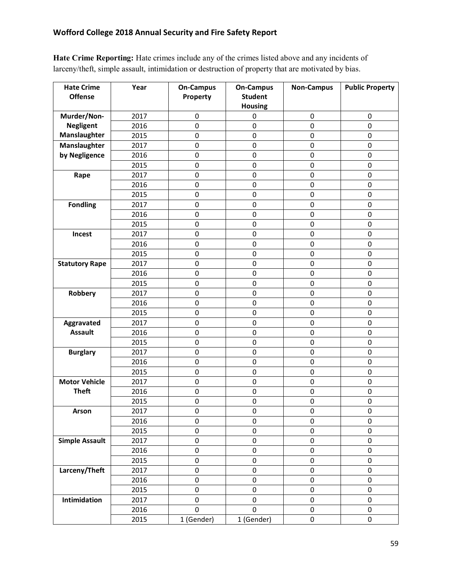**Hate Crime Reporting:** Hate crimes include any of the crimes listed above and any incidents of larceny/theft, simple assault, intimidation or destruction of property that are motivated by bias.

| <b>Hate Crime</b><br><b>Offense</b> | Year | <b>On-Campus</b><br>Property | <b>On-Campus</b><br><b>Student</b> | <b>Non-Campus</b> | <b>Public Property</b> |
|-------------------------------------|------|------------------------------|------------------------------------|-------------------|------------------------|
|                                     |      |                              | <b>Housing</b>                     |                   |                        |
| Murder/Non-                         | 2017 | $\pmb{0}$                    | 0                                  | $\pmb{0}$         | $\mathbf 0$            |
| <b>Negligent</b>                    | 2016 | 0                            | 0                                  | 0                 | $\mathbf 0$            |
| Manslaughter                        | 2015 | 0                            | $\mathbf 0$                        | $\pmb{0}$         | 0                      |
| Manslaughter                        | 2017 | 0                            | $\mathbf 0$                        | $\mathbf 0$       | $\mathbf 0$            |
| by Negligence                       | 2016 | 0                            | $\pmb{0}$                          | 0                 | $\mathbf 0$            |
|                                     | 2015 | 0                            | 0                                  | $\pmb{0}$         | $\mathbf 0$            |
| Rape                                | 2017 | 0                            | $\pmb{0}$                          | 0                 | 0                      |
|                                     | 2016 | 0                            | $\mathbf 0$                        | $\pmb{0}$         | $\mathbf 0$            |
|                                     | 2015 | 0                            | $\pmb{0}$                          | $\pmb{0}$         | $\mathbf 0$            |
| <b>Fondling</b>                     | 2017 | 0                            | $\mathsf{O}\xspace$                | $\pmb{0}$         | $\mathbf 0$            |
|                                     | 2016 | 0                            | $\pmb{0}$                          | $\pmb{0}$         | $\mathbf 0$            |
|                                     | 2015 | 0                            | $\mathbf 0$                        | $\pmb{0}$         | $\mathbf 0$            |
| Incest                              | 2017 | 0                            | $\mathbf 0$                        | $\mathbf 0$       | $\mathbf 0$            |
|                                     | 2016 | 0                            | $\pmb{0}$                          | 0                 | 0                      |
|                                     | 2015 | 0                            | 0                                  | $\pmb{0}$         | $\mathbf 0$            |
| <b>Statutory Rape</b>               | 2017 | 0                            | 0                                  | $\pmb{0}$         | $\mathbf 0$            |
|                                     | 2016 | 0                            | $\mathbf 0$                        | $\pmb{0}$         | 0                      |
|                                     | 2015 | 0                            | $\mathbf 0$                        | $\pmb{0}$         | 0                      |
| Robbery                             | 2017 | 0                            | $\pmb{0}$                          | $\pmb{0}$         | 0                      |
|                                     | 2016 | 0                            | $\pmb{0}$                          | $\pmb{0}$         | $\mathbf 0$            |
|                                     | 2015 | 0                            | $\mathbf 0$                        | $\pmb{0}$         | 0                      |
| Aggravated                          | 2017 | 0                            | $\mathbf 0$                        | $\pmb{0}$         | $\mathbf 0$            |
| <b>Assault</b>                      | 2016 | 0                            | $\mathsf{O}\xspace$                | $\pmb{0}$         | $\mathbf 0$            |
|                                     | 2015 | 0                            | $\pmb{0}$                          | 0                 | 0                      |
| <b>Burglary</b>                     | 2017 | 0                            | 0                                  | 0                 | $\mathbf 0$            |
|                                     | 2016 | 0                            | $\mathbf 0$                        | $\pmb{0}$         | 0                      |
|                                     | 2015 | 0                            | $\mathbf 0$                        | $\pmb{0}$         | $\mathbf 0$            |
| <b>Motor Vehicle</b>                | 2017 | 0                            | $\pmb{0}$                          | $\pmb{0}$         | $\pmb{0}$              |
| <b>Theft</b>                        | 2016 | 0                            | $\pmb{0}$                          | $\pmb{0}$         | $\mathbf 0$            |
|                                     | 2015 | 0                            | 0                                  | 0                 | 0                      |
| <b>Arson</b>                        | 2017 | 0                            | $\pmb{0}$                          | 0                 | 0                      |
|                                     | 2016 | 0                            | $\mathbf 0$                        | $\mathbf 0$       | 0                      |
|                                     | 2015 | 0                            | $\pmb{0}$                          | 0                 | 0                      |
| <b>Simple Assault</b>               | 2017 | 0                            | $\pmb{0}$                          | 0                 | 0                      |
|                                     | 2016 | 0                            | $\mathbf 0$                        | $\pmb{0}$         | 0                      |
|                                     | 2015 | 0                            | $\pmb{0}$                          | 0                 | 0                      |
| Larceny/Theft                       | 2017 | 0                            | $\pmb{0}$                          | $\pmb{0}$         | $\pmb{0}$              |
|                                     | 2016 | 0                            | 0                                  | 0                 | 0                      |
|                                     | 2015 | 0                            | 0                                  | 0                 | 0                      |
| Intimidation                        | 2017 | 0                            | $\mathbf 0$                        | 0                 | 0                      |
|                                     | 2016 | 0                            | $\mathbf 0$                        | $\pmb{0}$         | 0                      |
|                                     | 2015 | 1 (Gender)                   | 1 (Gender)                         | $\mathsf 0$       | $\mathsf 0$            |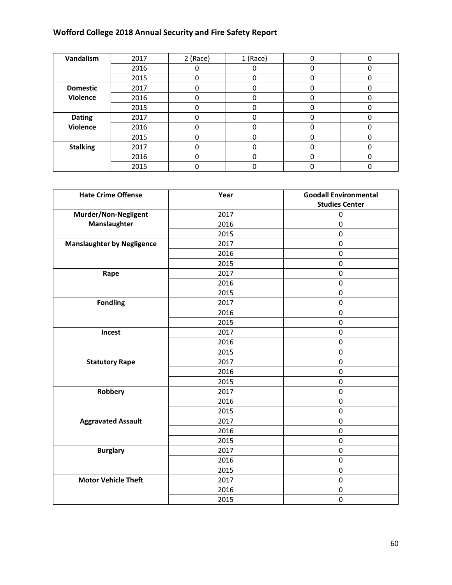| Vandalism       | 2017 | 2 (Race) | 1 (Race) | 0 | 0 |
|-----------------|------|----------|----------|---|---|
|                 | 2016 |          | 0        | 0 | 0 |
|                 | 2015 |          | 0        | 0 | 0 |
| <b>Domestic</b> | 2017 |          | 0        |   |   |
| Violence        | 2016 |          | O        | Ω |   |
|                 | 2015 |          |          |   |   |
| <b>Dating</b>   | 2017 |          |          |   |   |
| <b>Violence</b> | 2016 |          |          |   |   |
|                 | 2015 |          | ი        |   |   |
| <b>Stalking</b> | 2017 |          | ი        | በ |   |
|                 | 2016 |          | 0        | 0 |   |
|                 | 2015 |          | ი        |   |   |

| <b>Hate Crime Offense</b>         | Year | <b>Goodall Environmental</b><br><b>Studies Center</b> |
|-----------------------------------|------|-------------------------------------------------------|
| Murder/Non-Negligent              | 2017 | $\pmb{0}$                                             |
| Manslaughter                      | 2016 | $\pmb{0}$                                             |
|                                   | 2015 | $\mathbf 0$                                           |
| <b>Manslaughter by Negligence</b> | 2017 | $\mathsf{O}\xspace$                                   |
|                                   | 2016 | $\pmb{0}$                                             |
|                                   | 2015 | $\mathbf 0$                                           |
| Rape                              | 2017 | $\pmb{0}$                                             |
|                                   | 2016 | $\pmb{0}$                                             |
|                                   | 2015 | $\mathbf 0$                                           |
| <b>Fondling</b>                   | 2017 | $\mathbf 0$                                           |
|                                   | 2016 | 0                                                     |
|                                   | 2015 | $\mathbf 0$                                           |
| Incest                            | 2017 | $\mathbf 0$                                           |
|                                   | 2016 | $\pmb{0}$                                             |
|                                   | 2015 | $\mathbf 0$                                           |
| <b>Statutory Rape</b>             | 2017 | $\mathbf 0$                                           |
|                                   | 2016 | $\mathbf 0$                                           |
|                                   | 2015 | 0                                                     |
| Robbery                           | 2017 | $\mathbf 0$                                           |
|                                   | 2016 | $\mathsf{O}\xspace$                                   |
|                                   | 2015 | $\pmb{0}$                                             |
| <b>Aggravated Assault</b>         | 2017 | $\mathbf 0$                                           |
|                                   | 2016 | $\mathbf 0$                                           |
|                                   | 2015 | $\pmb{0}$                                             |
| <b>Burglary</b>                   | 2017 | $\mathbf 0$                                           |
|                                   | 2016 | $\pmb{0}$                                             |
|                                   | 2015 | $\pmb{0}$                                             |
| <b>Motor Vehicle Theft</b>        | 2017 | $\mathbf 0$                                           |
|                                   | 2016 | $\pmb{0}$                                             |
|                                   | 2015 | $\pmb{0}$                                             |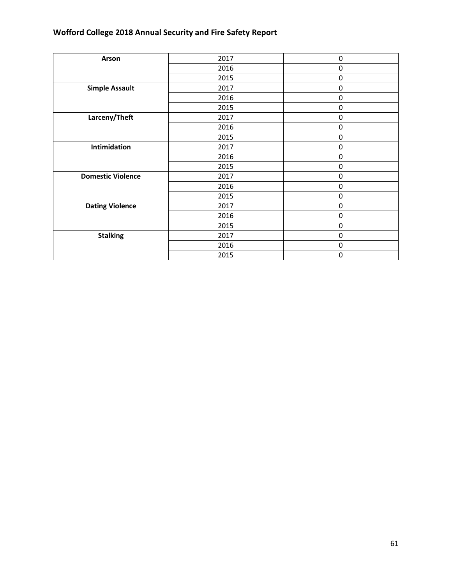| Arson                    | 2017 | 0         |
|--------------------------|------|-----------|
|                          | 2016 | $\pmb{0}$ |
|                          | 2015 | $\pmb{0}$ |
| <b>Simple Assault</b>    | 2017 | $\pmb{0}$ |
|                          | 2016 | $\pmb{0}$ |
|                          | 2015 | $\pmb{0}$ |
| Larceny/Theft            | 2017 | $\pmb{0}$ |
|                          | 2016 | $\pmb{0}$ |
|                          | 2015 | $\pmb{0}$ |
| Intimidation             | 2017 | $\pmb{0}$ |
|                          | 2016 | $\pmb{0}$ |
|                          | 2015 | $\pmb{0}$ |
| <b>Domestic Violence</b> | 2017 | $\pmb{0}$ |
|                          | 2016 | $\pmb{0}$ |
|                          | 2015 | $\pmb{0}$ |
| <b>Dating Violence</b>   | 2017 | $\pmb{0}$ |
|                          | 2016 | $\pmb{0}$ |
|                          | 2015 | 0         |
| <b>Stalking</b>          | 2017 | $\pmb{0}$ |
|                          | 2016 | $\pmb{0}$ |
|                          | 2015 | $\pmb{0}$ |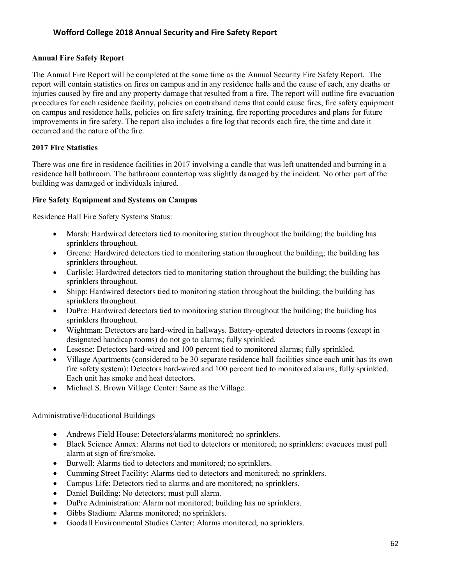#### **Annual Fire Safety Report**

The Annual Fire Report will be completed at the same time as the Annual Security Fire Safety Report. The report will contain statistics on fires on campus and in any residence halls and the cause of each, any deaths or injuries caused by fire and any property damage that resulted from a fire. The report will outline fire evacuation procedures for each residence facility, policies on contraband items that could cause fires, fire safety equipment on campus and residence halls, policies on fire safety training, fire reporting procedures and plans for future improvements in fire safety. The report also includes a fire log that records each fire, the time and date it occurred and the nature of the fire.

## **2017 Fire Statistics**

There was one fire in residence facilities in 2017 involving a candle that was left unattended and burning in a residence hall bathroom. The bathroom countertop was slightly damaged by the incident. No other part of the building was damaged or individuals injured.

#### **Fire Safety Equipment and Systems on Campus**

Residence Hall Fire Safety Systems Status:

- Marsh: Hardwired detectors tied to monitoring station throughout the building; the building has sprinklers throughout.
- Greene: Hardwired detectors tied to monitoring station throughout the building; the building has sprinklers throughout.
- Carlisle: Hardwired detectors tied to monitoring station throughout the building; the building has sprinklers throughout.
- Shipp: Hardwired detectors tied to monitoring station throughout the building; the building has sprinklers throughout.
- DuPre: Hardwired detectors tied to monitoring station throughout the building; the building has sprinklers throughout.
- Wightman: Detectors are hard-wired in hallways. Battery-operated detectors in rooms (except in designated handicap rooms) do not go to alarms; fully sprinkled.
- Lesesne: Detectors hard-wired and 100 percent tied to monitored alarms; fully sprinkled.
- Village Apartments (considered to be 30 separate residence hall facilities since each unit has its own fire safety system): Detectors hard-wired and 100 percent tied to monitored alarms; fully sprinkled. Each unit has smoke and heat detectors.
- Michael S. Brown Village Center: Same as the Village.

Administrative/Educational Buildings

- Andrews Field House: Detectors/alarms monitored; no sprinklers.
- Black Science Annex: Alarms not tied to detectors or monitored; no sprinklers: evacuees must pull alarm at sign of fire/smoke.
- Burwell: Alarms tied to detectors and monitored; no sprinklers.
- Cumming Street Facility: Alarms tied to detectors and monitored; no sprinklers.
- Campus Life: Detectors tied to alarms and are monitored; no sprinklers.
- Daniel Building: No detectors; must pull alarm.
- DuPre Administration: Alarm not monitored; building has no sprinklers.
- Gibbs Stadium: Alarms monitored; no sprinklers.
- Goodall Environmental Studies Center: Alarms monitored; no sprinklers.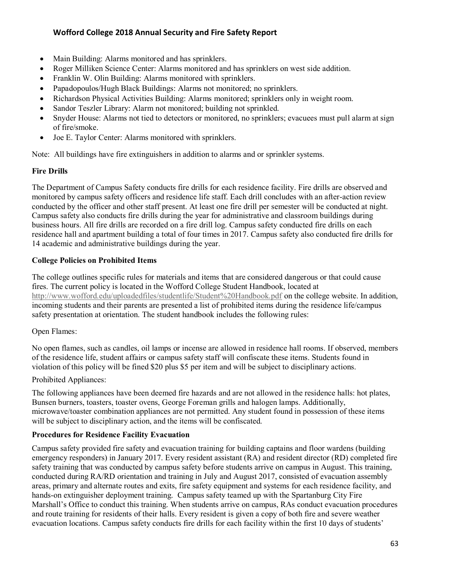- Main Building: Alarms monitored and has sprinklers.
- Roger Milliken Science Center: Alarms monitored and has sprinklers on west side addition.
- Franklin W. Olin Building: Alarms monitored with sprinklers.
- Papadopoulos/Hugh Black Buildings: Alarms not monitored; no sprinklers.
- Richardson Physical Activities Building: Alarms monitored; sprinklers only in weight room.
- Sandor Teszler Library: Alarm not monitored; building not sprinkled.
- Snyder House: Alarms not tied to detectors or monitored, no sprinklers; evacuees must pull alarm at sign of fire/smoke.
- Joe E. Taylor Center: Alarms monitored with sprinklers.

Note: All buildings have fire extinguishers in addition to alarms and or sprinkler systems.

## **Fire Drills**

The Department of Campus Safety conducts fire drills for each residence facility. Fire drills are observed and monitored by campus safety officers and residence life staff. Each drill concludes with an after-action review conducted by the officer and other staff present. At least one fire drill per semester will be conducted at night. Campus safety also conducts fire drills during the year for administrative and classroom buildings during business hours. All fire drills are recorded on a fire drill log. Campus safety conducted fire drills on each residence hall and apartment building a total of four times in 2017. Campus safety also conducted fire drills for 14 academic and administrative buildings during the year.

## **College Policies on Prohibited Items**

The college outlines specific rules for materials and items that are considered dangerous or that could cause fires. The current policy is located in the Wofford College Student Handbook, located at <http://www.wofford.edu/uploadedfiles/studentlife/Student%20Handbook.pdf> on the college website. In addition, incoming students and their parents are presented a list of prohibited items during the residence life/campus safety presentation at orientation. The student handbook includes the following rules:

## Open Flames:

No open flames, such as candles, oil lamps or incense are allowed in residence hall rooms. If observed, members of the residence life, student affairs or campus safety staff will confiscate these items. Students found in violation of this policy will be fined \$20 plus \$5 per item and will be subject to disciplinary actions.

## Prohibited Appliances:

The following appliances have been deemed fire hazards and are not allowed in the residence halls: hot plates, Bunsen burners, toasters, toaster ovens, George Foreman grills and halogen lamps. Additionally, microwave/toaster combination appliances are not permitted. Any student found in possession of these items will be subject to disciplinary action, and the items will be confiscated.

## **Procedures for Residence Facility Evacuation**

Campus safety provided fire safety and evacuation training for building captains and floor wardens (building emergency responders) in January 2017. Every resident assistant (RA) and resident director (RD) completed fire safety training that was conducted by campus safety before students arrive on campus in August. This training, conducted during RA/RD orientation and training in July and August 2017, consisted of evacuation assembly areas, primary and alternate routes and exits, fire safety equipment and systems for each residence facility, and hands-on extinguisher deployment training. Campus safety teamed up with the Spartanburg City Fire Marshall's Office to conduct this training. When students arrive on campus, RAs conduct evacuation procedures and route training for residents of their halls. Every resident is given a copy of both fire and severe weather evacuation locations. Campus safety conducts fire drills for each facility within the first 10 days of students'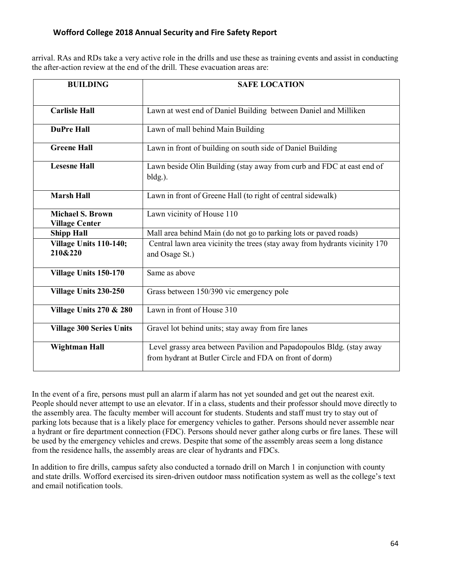arrival. RAs and RDs take a very active role in the drills and use these as training events and assist in conducting the after-action review at the end of the drill. These evacuation areas are:

| <b>BUILDING</b>                                  | <b>SAFE LOCATION</b>                                                                                                            |  |  |
|--------------------------------------------------|---------------------------------------------------------------------------------------------------------------------------------|--|--|
|                                                  |                                                                                                                                 |  |  |
| <b>Carlisle Hall</b>                             | Lawn at west end of Daniel Building between Daniel and Milliken                                                                 |  |  |
| <b>DuPre Hall</b>                                | Lawn of mall behind Main Building                                                                                               |  |  |
| <b>Greene Hall</b>                               | Lawn in front of building on south side of Daniel Building                                                                      |  |  |
| <b>Lesesne Hall</b>                              | Lawn beside Olin Building (stay away from curb and FDC at east end of<br>$bldg.$ ).                                             |  |  |
| <b>Marsh Hall</b>                                | Lawn in front of Greene Hall (to right of central sidewalk)                                                                     |  |  |
| <b>Michael S. Brown</b><br><b>Village Center</b> | Lawn vicinity of House 110                                                                                                      |  |  |
| <b>Shipp Hall</b>                                | Mall area behind Main (do not go to parking lots or paved roads)                                                                |  |  |
| Village Units 110-140;<br>210&220                | Central lawn area vicinity the trees (stay away from hydrants vicinity 170<br>and Osage St.)                                    |  |  |
| Village Units 150-170                            | Same as above                                                                                                                   |  |  |
| Village Units 230-250                            | Grass between 150/390 vic emergency pole                                                                                        |  |  |
| <b>Village Units 270 &amp; 280</b>               | Lawn in front of House 310                                                                                                      |  |  |
| <b>Village 300 Series Units</b>                  | Gravel lot behind units; stay away from fire lanes                                                                              |  |  |
| Wightman Hall                                    | Level grassy area between Pavilion and Papadopoulos Bldg. (stay away<br>from hydrant at Butler Circle and FDA on front of dorm) |  |  |

In the event of a fire, persons must pull an alarm if alarm has not yet sounded and get out the nearest exit. People should never attempt to use an elevator. If in a class, students and their professor should move directly to the assembly area. The faculty member will account for students. Students and staff must try to stay out of parking lots because that is a likely place for emergency vehicles to gather. Persons should never assemble near a hydrant or fire department connection (FDC). Persons should never gather along curbs or fire lanes. These will be used by the emergency vehicles and crews. Despite that some of the assembly areas seem a long distance from the residence halls, the assembly areas are clear of hydrants and FDCs.

In addition to fire drills, campus safety also conducted a tornado drill on March 1 in conjunction with county and state drills. Wofford exercised its siren-driven outdoor mass notification system as well as the college's text and email notification tools.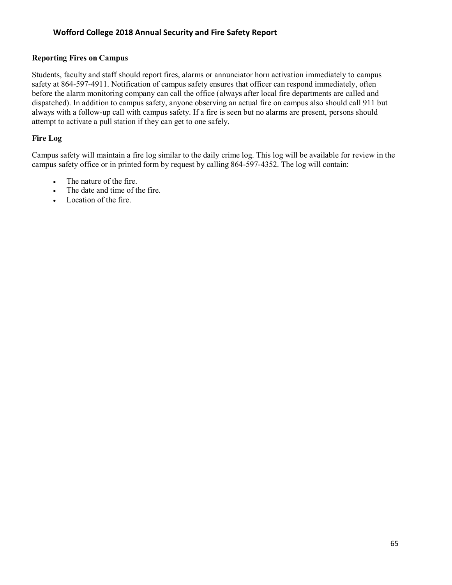#### **Reporting Fires on Campus**

Students, faculty and staff should report fires, alarms or annunciator horn activation immediately to campus safety at 864-597-4911. Notification of campus safety ensures that officer can respond immediately, often before the alarm monitoring company can call the office (always after local fire departments are called and dispatched). In addition to campus safety, anyone observing an actual fire on campus also should call 911 but always with a follow-up call with campus safety. If a fire is seen but no alarms are present, persons should attempt to activate a pull station if they can get to one safely.

## **Fire Log**

Campus safety will maintain a fire log similar to the daily crime log. This log will be available for review in the campus safety office or in printed form by request by calling 864-597-4352. The log will contain:

- The nature of the fire.
- The date and time of the fire.
- Location of the fire.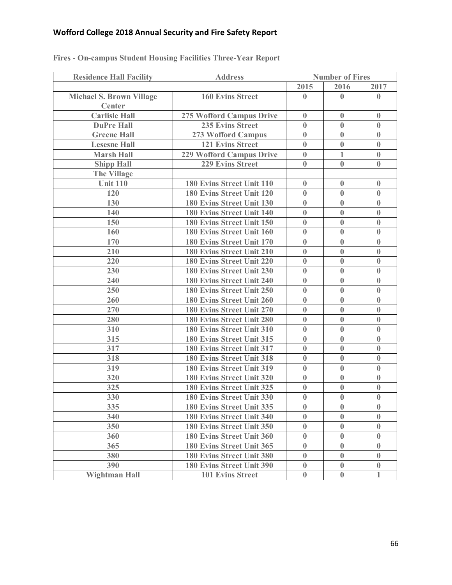| <b>Residence Hall Facility</b>  | <b>Address</b>                  | <b>Number of Fires</b> |              |              |
|---------------------------------|---------------------------------|------------------------|--------------|--------------|
|                                 |                                 | 2015                   | 2016         | 2017         |
| <b>Michael S. Brown Village</b> | <b>160 Evins Street</b>         | $\bf{0}$               | $\mathbf{0}$ | $\mathbf{0}$ |
| Center                          |                                 |                        |              |              |
| <b>Carlisle Hall</b>            | 275 Wofford Campus Drive        | $\bf{0}$               | $\bf{0}$     | $\mathbf{0}$ |
| <b>DuPre Hall</b>               | <b>235 Evins Street</b>         | $\bf{0}$               | $\bf{0}$     | $\bf{0}$     |
| <b>Greene Hall</b>              | 273 Wofford Campus              | $\bf{0}$               | $\bf{0}$     | $\mathbf{0}$ |
| <b>Lesesne Hall</b>             | <b>121 Evins Street</b>         | $\bf{0}$               | $\bf{0}$     | $\mathbf{0}$ |
| <b>Marsh Hall</b>               | <b>229 Wofford Campus Drive</b> | $\bf{0}$               | 1            | $\bf{0}$     |
| <b>Shipp Hall</b>               | <b>229 Evins Street</b>         | $\mathbf{0}$           | $\mathbf{0}$ | $\mathbf{0}$ |
| <b>The Village</b>              |                                 |                        |              |              |
| <b>Unit 110</b>                 | 180 Evins Street Unit 110       | $\bf{0}$               | $\bf{0}$     | $\bf{0}$     |
| 120                             | 180 Evins Street Unit 120       | $\bf{0}$               | $\bf{0}$     | $\bf{0}$     |
| 130                             | 180 Evins Street Unit 130       | $\bf{0}$               | $\bf{0}$     | $\bf{0}$     |
| 140                             | 180 Evins Street Unit 140       | $\bf{0}$               | $\bf{0}$     | $\bf{0}$     |
| 150                             | 180 Evins Street Unit 150       | $\bf{0}$               | $\bf{0}$     | $\mathbf{0}$ |
| 160                             | 180 Evins Street Unit 160       | $\bf{0}$               | $\bf{0}$     | $\bf{0}$     |
| 170                             | 180 Evins Street Unit 170       | $\bf{0}$               | $\bf{0}$     | $\mathbf{0}$ |
| 210                             | 180 Evins Street Unit 210       | $\bf{0}$               | $\bf{0}$     | $\bf{0}$     |
| 220                             | 180 Evins Street Unit 220       | $\bf{0}$               | $\bf{0}$     | $\bf{0}$     |
| 230                             | 180 Evins Street Unit 230       | $\bf{0}$               | $\bf{0}$     | $\bf{0}$     |
| 240                             | 180 Evins Street Unit 240       | $\bf{0}$               | $\bf{0}$     | $\bf{0}$     |
| 250                             | 180 Evins Street Unit 250       | $\bf{0}$               | $\bf{0}$     | $\mathbf{0}$ |
| 260                             | 180 Evins Street Unit 260       | $\bf{0}$               | $\bf{0}$     | $\bf{0}$     |
| 270                             | 180 Evins Street Unit 270       | $\bf{0}$               | $\bf{0}$     | $\bf{0}$     |
| 280                             | 180 Evins Street Unit 280       | $\bf{0}$               | $\bf{0}$     | $\bf{0}$     |
| 310                             | 180 Evins Street Unit 310       | $\bf{0}$               | $\bf{0}$     | $\bf{0}$     |
| 315                             | 180 Evins Street Unit 315       | $\bf{0}$               | $\bf{0}$     | $\bf{0}$     |
| 317                             | 180 Evins Street Unit 317       | $\bf{0}$               | $\bf{0}$     | $\bf{0}$     |
| 318                             | 180 Evins Street Unit 318       | $\bf{0}$               | $\bf{0}$     | $\bf{0}$     |
| 319                             | 180 Evins Street Unit 319       | $\bf{0}$               | $\bf{0}$     | $\mathbf{0}$ |
| 320                             | 180 Evins Street Unit 320       | $\bf{0}$               | $\bf{0}$     | $\mathbf{0}$ |
| 325                             | 180 Evins Street Unit 325       | $\bf{0}$               | $\bf{0}$     | $\bf{0}$     |
| 330                             | 180 Evins Street Unit 330       | $\bf{0}$               | $\bf{0}$     | $\bf{0}$     |
| 335                             | 180 Evins Street Unit 335       | $\bf{0}$               | $\bf{0}$     | $\bf{0}$     |
| 340                             | 180 Evins Street Unit 340       | $\bf{0}$               | $\bf{0}$     | $\mathbf{0}$ |
| 350                             | 180 Evins Street Unit 350       | $\bf{0}$               | $\bf{0}$     | $\mathbf{0}$ |
| 360                             | 180 Evins Street Unit 360       | $\bf{0}$               | $\bf{0}$     | $\bf{0}$     |
| 365                             | 180 Evins Street Unit 365       | $\bf{0}$               | $\mathbf{0}$ | $\mathbf{0}$ |
| 380                             | 180 Evins Street Unit 380       | $\bf{0}$               | $\bf{0}$     | $\bf{0}$     |
| 390                             | 180 Evins Street Unit 390       | $\boldsymbol{0}$       | $\bf{0}$     | $\bf{0}$     |
| <b>Wightman Hall</b>            | <b>101 Evins Street</b>         | $\bf{0}$               | $\bf{0}$     | 1            |
|                                 |                                 |                        |              |              |

## **Fires - On-campus Student Housing Facilities Three-Year Report**